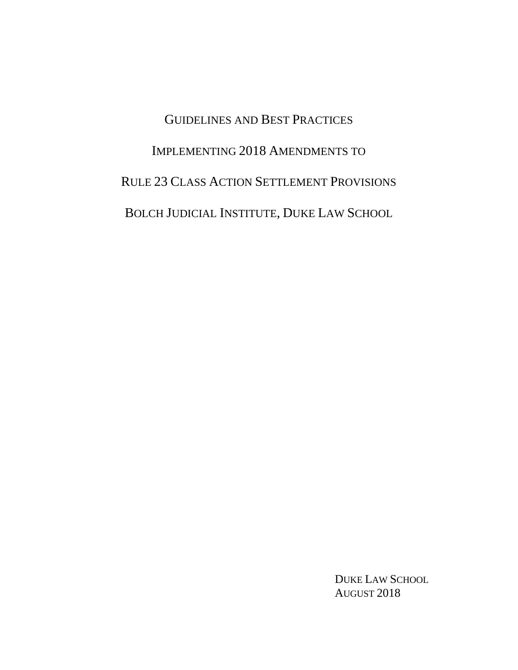# GUIDELINES AND BEST PRACTICES IMPLEMENTING 2018 AMENDMENTS TO RULE 23 CLASS ACTION SETTLEMENT PROVISIONS BOLCH JUDICIAL INSTITUTE, DUKE LAW SCHOOL

DUKE LAW SCHOOL AUGUST 2018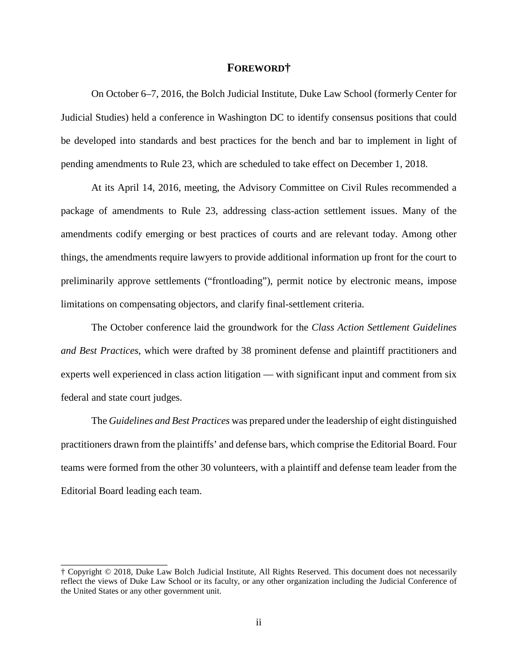## **FOREWORD†**

On October 6–7, 2016, the Bolch Judicial Institute, Duke Law School (formerly Center for Judicial Studies) held a conference in Washington DC to identify consensus positions that could be developed into standards and best practices for the bench and bar to implement in light of pending amendments to Rule 23, which are scheduled to take effect on December 1, 2018.

At its April 14, 2016, meeting, the Advisory Committee on Civil Rules recommended a package of amendments to Rule 23, addressing class-action settlement issues. Many of the amendments codify emerging or best practices of courts and are relevant today. Among other things, the amendments require lawyers to provide additional information up front for the court to preliminarily approve settlements ("frontloading"), permit notice by electronic means, impose limitations on compensating objectors, and clarify final-settlement criteria.

The October conference laid the groundwork for the *Class Action Settlement Guidelines and Best Practices*, which were drafted by 38 prominent defense and plaintiff practitioners and experts well experienced in class action litigation — with significant input and comment from six federal and state court judges.

The *Guidelines and Best Practices* was prepared under the leadership of eight distinguished practitioners drawn from the plaintiffs' and defense bars, which comprise the Editorial Board. Four teams were formed from the other 30 volunteers, with a plaintiff and defense team leader from the Editorial Board leading each team.

\_\_\_\_\_\_\_\_\_\_\_\_\_\_\_\_\_\_\_\_\_

<sup>†</sup> Copyright © 2018, Duke Law Bolch Judicial Institute, All Rights Reserved. This document does not necessarily reflect the views of Duke Law School or its faculty, or any other organization including the Judicial Conference of the United States or any other government unit.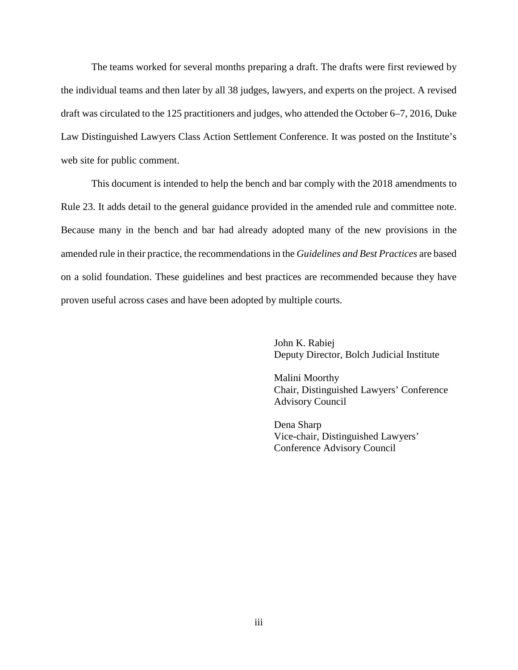The teams worked for several months preparing a draft. The drafts were first reviewed by the individual teams and then later by all 38 judges, lawyers, and experts on the project. A revised draft was circulated to the 125 practitioners and judges, who attended the October 6–7, 2016, Duke Law Distinguished Lawyers Class Action Settlement Conference. It was posted on the Institute's web site for public comment.

This document is intended to help the bench and bar comply with the 2018 amendments to Rule 23. It adds detail to the general guidance provided in the amended rule and committee note. Because many in the bench and bar had already adopted many of the new provisions in the amended rule in their practice, the recommendations in the *Guidelines and Best Practices* are based on a solid foundation. These guidelines and best practices are recommended because they have proven useful across cases and have been adopted by multiple courts.

> John K. Rabiej Deputy Director, Bolch Judicial Institute

Malini Moorthy Chair, Distinguished Lawyers' Conference Advisory Council

Dena Sharp Vice-chair, Distinguished Lawyers' Conference Advisory Council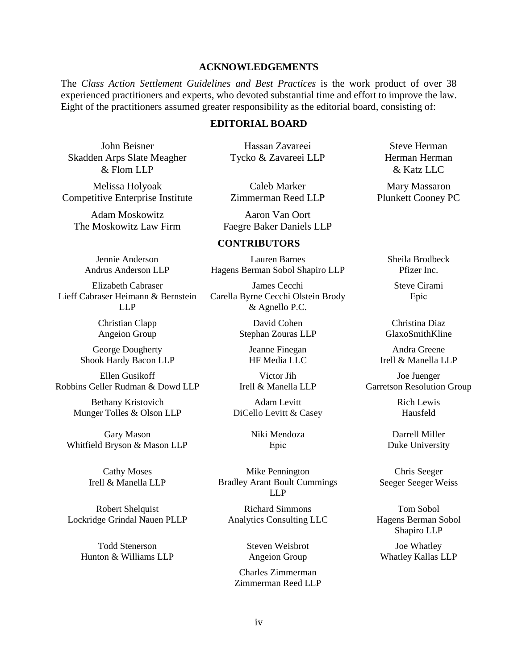#### **ACKNOWLEDGEMENTS**

The *Class Action Settlement Guidelines and Best Practices* is the work product of over 38 experienced practitioners and experts, who devoted substantial time and effort to improve the law. Eight of the practitioners assumed greater responsibility as the editorial board, consisting of:

## **EDITORIAL BOARD**

John Beisner Skadden Arps Slate Meagher & Flom LLP

Melissa Holyoak Competitive Enterprise Institute

Adam Moskowitz The Moskowitz Law Firm

Jennie Anderson Andrus Anderson LLP

Elizabeth Cabraser Lieff Cabraser Heimann & Bernstein LLP

> Christian Clapp Angeion Group

George Dougherty Shook Hardy Bacon LLP

Ellen Gusikoff Robbins Geller Rudman & Dowd LLP

> Bethany Kristovich Munger Tolles & Olson LLP

Gary Mason Whitfield Bryson & Mason LLP

> Cathy Moses Irell & Manella LLP

Robert Shelquist Lockridge Grindal Nauen PLLP

> Todd Stenerson Hunton & Williams LLP

Hassan Zavareei Tycko & Zavareei LLP

Caleb Marker Zimmerman Reed LLP

Aaron Van Oort Faegre Baker Daniels LLP

#### **CONTRIBUTORS**

Lauren Barnes Hagens Berman Sobol Shapiro LLP

James Cecchi Carella Byrne Cecchi Olstein Brody & Agnello P.C.

> David Cohen Stephan Zouras LLP

> > Jeanne Finegan HF Media LLC

Victor Jih Irell & Manella LLP

Adam Levitt DiCello Levitt & Casey

> Niki Mendoza Epic

Mike Pennington Bradley Arant Boult Cummings LLP

Richard Simmons Analytics Consulting LLC

> Steven Weisbrot Angeion Group

Charles Zimmerman Zimmerman Reed LLP

Steve Herman Herman Herman & Katz LLC

Mary Massaron Plunkett Cooney PC

> Sheila Brodbeck Pfizer Inc.

Steve Cirami Epic

Christina Diaz GlaxoSmithKline

Andra Greene Irell & Manella LLP

Joe Juenger Garretson Resolution Group

> Rich Lewis Hausfeld

Darrell Miller Duke University

Chris Seeger Seeger Seeger Weiss

Tom Sobol Hagens Berman Sobol Shapiro LLP

Joe Whatley Whatley Kallas LLP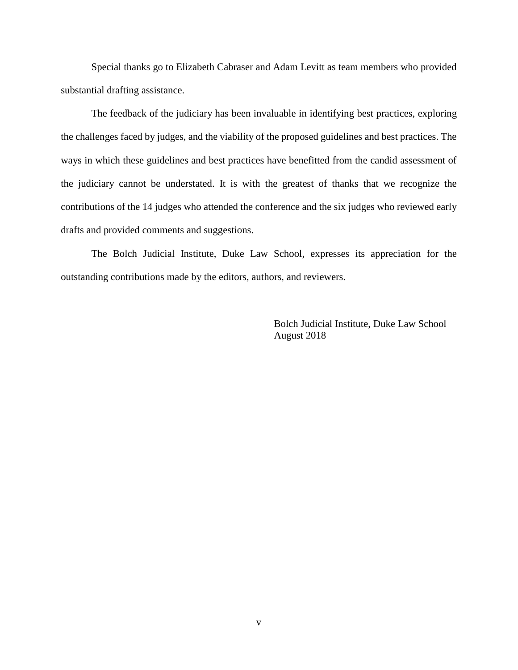Special thanks go to Elizabeth Cabraser and Adam Levitt as team members who provided substantial drafting assistance.

The feedback of the judiciary has been invaluable in identifying best practices, exploring the challenges faced by judges, and the viability of the proposed guidelines and best practices. The ways in which these guidelines and best practices have benefitted from the candid assessment of the judiciary cannot be understated. It is with the greatest of thanks that we recognize the contributions of the 14 judges who attended the conference and the six judges who reviewed early drafts and provided comments and suggestions.

The Bolch Judicial Institute, Duke Law School, expresses its appreciation for the outstanding contributions made by the editors, authors, and reviewers.

> Bolch Judicial Institute, Duke Law School August 2018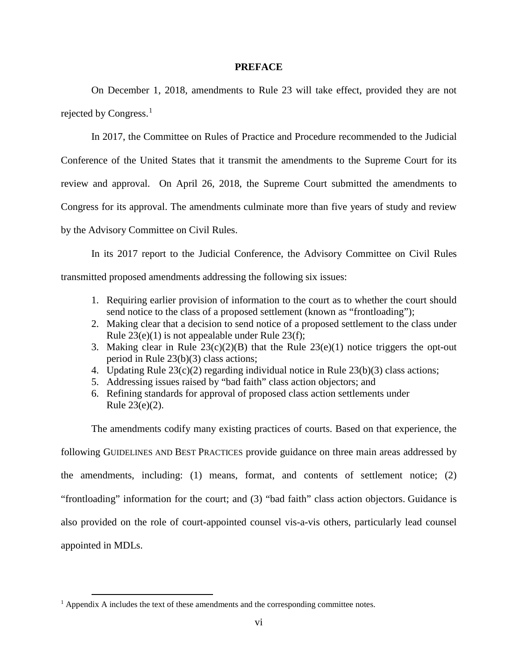#### **PREFACE**

On December 1, 2018, amendments to Rule 23 will take effect, provided they are not rejected by Congress.<sup>[1](#page-5-0)</sup>

In 2017, the Committee on Rules of Practice and Procedure recommended to the Judicial Conference of the United States that it transmit the amendments to the Supreme Court for its review and approval. On April 26, 2018, the Supreme Court submitted the amendments to Congress for its approval. The amendments culminate more than five years of study and review by the Advisory Committee on Civil Rules.

In its 2017 report to the Judicial Conference, the Advisory Committee on Civil Rules transmitted proposed amendments addressing the following six issues:

- 1. Requiring earlier provision of information to the court as to whether the court should send notice to the class of a proposed settlement (known as "frontloading");
- 2. Making clear that a decision to send notice of a proposed settlement to the class under Rule  $23(e)(1)$  is not appealable under Rule  $23(f)$ ;
- 3. Making clear in Rule  $23(c)(2)(B)$  that the Rule  $23(e)(1)$  notice triggers the opt-out period in Rule 23(b)(3) class actions;
- 4. Updating Rule 23(c)(2) regarding individual notice in Rule 23(b)(3) class actions;
- 5. Addressing issues raised by "bad faith" class action objectors; and
- 6. Refining standards for approval of proposed class action settlements under Rule 23(e)(2).

The amendments codify many existing practices of courts. Based on that experience, the following GUIDELINES AND BEST PRACTICES provide guidance on three main areas addressed by the amendments, including: (1) means, format, and contents of settlement notice; (2) "frontloading" information for the court; and (3) "bad faith" class action objectors. Guidance is also provided on the role of court-appointed counsel vis-a-vis others, particularly lead counsel appointed in MDLs.

<span id="page-5-0"></span> $<sup>1</sup>$  Appendix A includes the text of these amendments and the corresponding committee notes.</sup>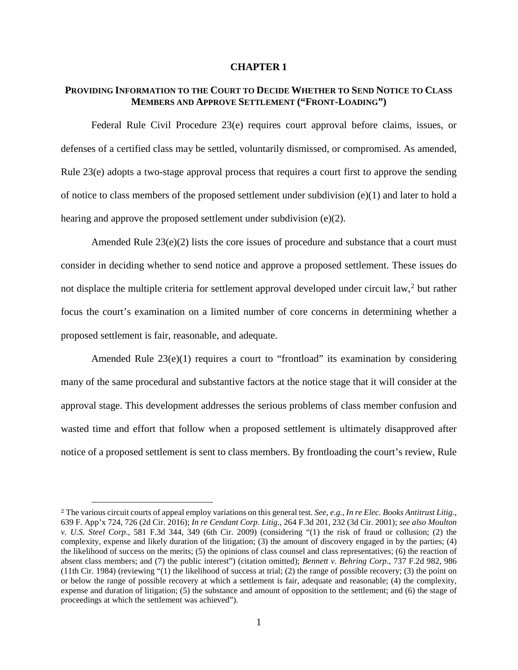#### **CHAPTER 1**

## **PROVIDING INFORMATION TO THE COURT TO DECIDE WHETHER TO SEND NOTICE TO CLASS MEMBERS AND APPROVE SETTLEMENT ("FRONT-LOADING")**

Federal Rule Civil Procedure 23(e) requires court approval before claims, issues, or defenses of a certified class may be settled, voluntarily dismissed, or compromised. As amended, Rule 23(e) adopts a two-stage approval process that requires a court first to approve the sending of notice to class members of the proposed settlement under subdivision (e)(1) and later to hold a hearing and approve the proposed settlement under subdivision (e)(2).

Amended Rule 23(e)(2) lists the core issues of procedure and substance that a court must consider in deciding whether to send notice and approve a proposed settlement. These issues do not displace the multiple criteria for settlement approval developed under circuit law,<sup>[2](#page-6-0)</sup> but rather focus the court's examination on a limited number of core concerns in determining whether a proposed settlement is fair, reasonable, and adequate.

Amended Rule 23(e)(1) requires a court to "frontload" its examination by considering many of the same procedural and substantive factors at the notice stage that it will consider at the approval stage. This development addresses the serious problems of class member confusion and wasted time and effort that follow when a proposed settlement is ultimately disapproved after notice of a proposed settlement is sent to class members. By frontloading the court's review, Rule

 $\overline{a}$ 

<span id="page-6-0"></span><sup>2</sup> The various circuit courts of appeal employ variations on this general test. *See, e.g.*, *In re Elec. Books Antitrust Litig*., 639 F. App'x 724, 726 (2d Cir. 2016); *In re Cendant Corp. Litig*., 264 F.3d 201, 232 (3d Cir. 2001); *see also Moulton v. U.S. Steel Corp*., 581 F.3d 344, 349 (6th Cir. 2009) (considering "(1) the risk of fraud or collusion; (2) the complexity, expense and likely duration of the litigation; (3) the amount of discovery engaged in by the parties; (4) the likelihood of success on the merits; (5) the opinions of class counsel and class representatives; (6) the reaction of absent class members; and (7) the public interest") (citation omitted); *Bennett v. Behring Corp*., 737 F.2d 982, 986 (11th Cir. 1984) (reviewing "(1) the likelihood of success at trial; (2) the range of possible recovery; (3) the point on or below the range of possible recovery at which a settlement is fair, adequate and reasonable; (4) the complexity, expense and duration of litigation; (5) the substance and amount of opposition to the settlement; and (6) the stage of proceedings at which the settlement was achieved").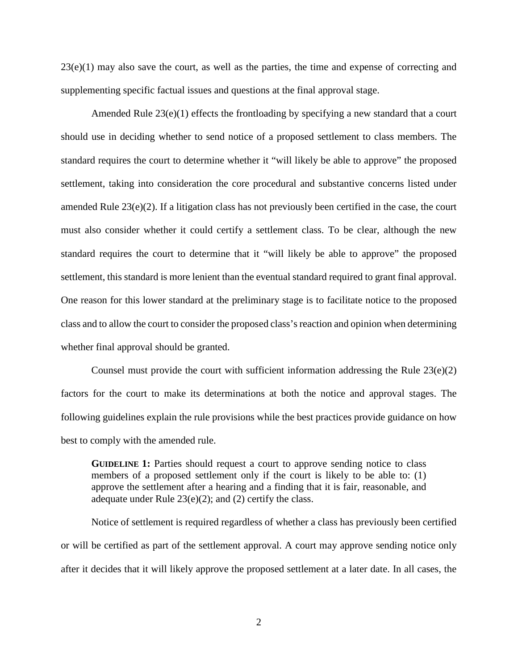$23(e)(1)$  may also save the court, as well as the parties, the time and expense of correcting and supplementing specific factual issues and questions at the final approval stage.

Amended Rule 23(e)(1) effects the frontloading by specifying a new standard that a court should use in deciding whether to send notice of a proposed settlement to class members. The standard requires the court to determine whether it "will likely be able to approve" the proposed settlement, taking into consideration the core procedural and substantive concerns listed under amended Rule 23(e)(2). If a litigation class has not previously been certified in the case, the court must also consider whether it could certify a settlement class. To be clear, although the new standard requires the court to determine that it "will likely be able to approve" the proposed settlement, this standard is more lenient than the eventual standard required to grant final approval. One reason for this lower standard at the preliminary stage is to facilitate notice to the proposed class and to allow the court to consider the proposed class's reaction and opinion when determining whether final approval should be granted.

Counsel must provide the court with sufficient information addressing the Rule  $23(e)(2)$ factors for the court to make its determinations at both the notice and approval stages. The following guidelines explain the rule provisions while the best practices provide guidance on how best to comply with the amended rule.

**GUIDELINE 1:** Parties should request a court to approve sending notice to class members of a proposed settlement only if the court is likely to be able to: (1) approve the settlement after a hearing and a finding that it is fair, reasonable, and adequate under Rule  $23(e)(2)$ ; and  $(2)$  certify the class.

Notice of settlement is required regardless of whether a class has previously been certified or will be certified as part of the settlement approval. A court may approve sending notice only after it decides that it will likely approve the proposed settlement at a later date. In all cases, the

2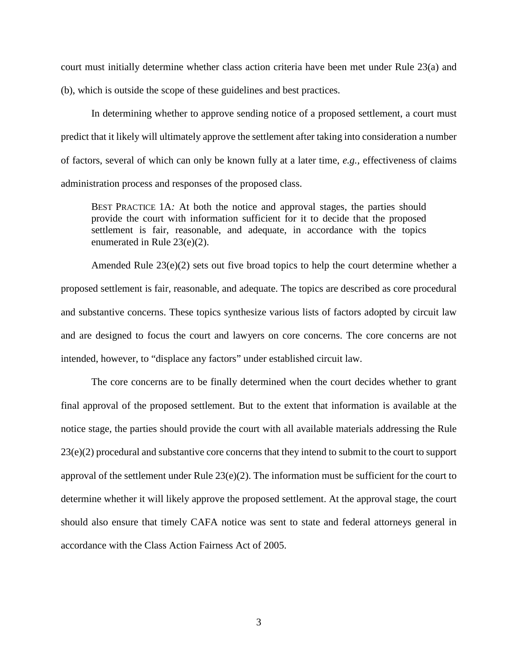court must initially determine whether class action criteria have been met under Rule 23(a) and (b), which is outside the scope of these guidelines and best practices.

In determining whether to approve sending notice of a proposed settlement, a court must predict that it likely will ultimately approve the settlement after taking into consideration a number of factors, several of which can only be known fully at a later time, *e.g.,* effectiveness of claims administration process and responses of the proposed class.

BEST PRACTICE 1A*:* At both the notice and approval stages, the parties should provide the court with information sufficient for it to decide that the proposed settlement is fair, reasonable, and adequate, in accordance with the topics enumerated in Rule 23(e)(2).

Amended Rule  $23(e)(2)$  sets out five broad topics to help the court determine whether a proposed settlement is fair, reasonable, and adequate. The topics are described as core procedural and substantive concerns. These topics synthesize various lists of factors adopted by circuit law and are designed to focus the court and lawyers on core concerns. The core concerns are not intended, however, to "displace any factors" under established circuit law.

The core concerns are to be finally determined when the court decides whether to grant final approval of the proposed settlement. But to the extent that information is available at the notice stage, the parties should provide the court with all available materials addressing the Rule  $23(e)(2)$  procedural and substantive core concerns that they intend to submit to the court to support approval of the settlement under Rule  $23(e)(2)$ . The information must be sufficient for the court to determine whether it will likely approve the proposed settlement. At the approval stage, the court should also ensure that timely CAFA notice was sent to state and federal attorneys general in accordance with the Class Action Fairness Act of 2005.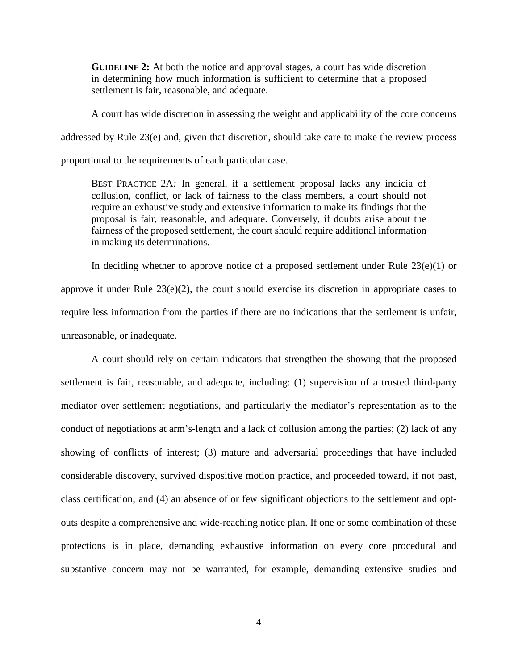**GUIDELINE 2:** At both the notice and approval stages, a court has wide discretion in determining how much information is sufficient to determine that a proposed settlement is fair, reasonable, and adequate.

A court has wide discretion in assessing the weight and applicability of the core concerns addressed by Rule 23(e) and, given that discretion, should take care to make the review process proportional to the requirements of each particular case.

BEST PRACTICE 2A*:* In general, if a settlement proposal lacks any indicia of collusion, conflict, or lack of fairness to the class members, a court should not require an exhaustive study and extensive information to make its findings that the proposal is fair, reasonable, and adequate. Conversely, if doubts arise about the fairness of the proposed settlement, the court should require additional information in making its determinations.

In deciding whether to approve notice of a proposed settlement under Rule  $23(e)(1)$  or approve it under Rule 23(e)(2), the court should exercise its discretion in appropriate cases to require less information from the parties if there are no indications that the settlement is unfair, unreasonable, or inadequate.

A court should rely on certain indicators that strengthen the showing that the proposed settlement is fair, reasonable, and adequate, including: (1) supervision of a trusted third-party mediator over settlement negotiations, and particularly the mediator's representation as to the conduct of negotiations at arm's-length and a lack of collusion among the parties; (2) lack of any showing of conflicts of interest; (3) mature and adversarial proceedings that have included considerable discovery, survived dispositive motion practice, and proceeded toward, if not past, class certification; and (4) an absence of or few significant objections to the settlement and optouts despite a comprehensive and wide-reaching notice plan. If one or some combination of these protections is in place, demanding exhaustive information on every core procedural and substantive concern may not be warranted, for example, demanding extensive studies and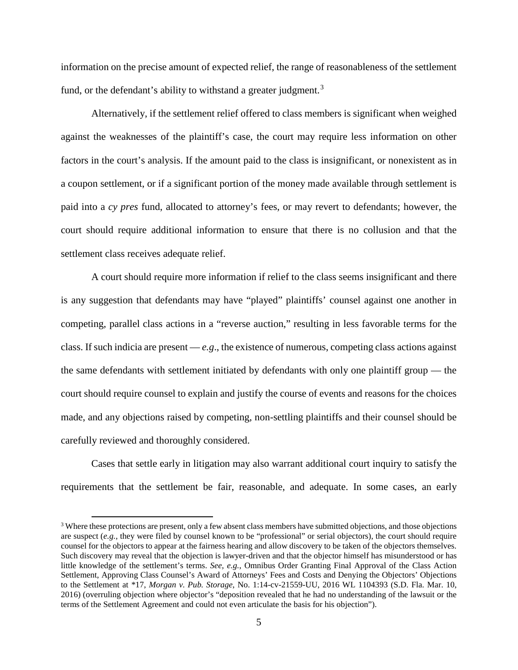information on the precise amount of expected relief, the range of reasonableness of the settlement fund, or the defendant's ability to withstand a greater judgment.<sup>[3](#page-10-0)</sup>

Alternatively, if the settlement relief offered to class members is significant when weighed against the weaknesses of the plaintiff's case, the court may require less information on other factors in the court's analysis. If the amount paid to the class is insignificant, or nonexistent as in a coupon settlement, or if a significant portion of the money made available through settlement is paid into a *cy pres* fund, allocated to attorney's fees, or may revert to defendants; however, the court should require additional information to ensure that there is no collusion and that the settlement class receives adequate relief.

A court should require more information if relief to the class seems insignificant and there is any suggestion that defendants may have "played" plaintiffs' counsel against one another in competing, parallel class actions in a "reverse auction," resulting in less favorable terms for the class. If such indicia are present — *e.g*., the existence of numerous, competing class actions against the same defendants with settlement initiated by defendants with only one plaintiff group — the court should require counsel to explain and justify the course of events and reasons for the choices made, and any objections raised by competing, non-settling plaintiffs and their counsel should be carefully reviewed and thoroughly considered.

Cases that settle early in litigation may also warrant additional court inquiry to satisfy the requirements that the settlement be fair, reasonable, and adequate. In some cases, an early

<span id="page-10-0"></span><sup>&</sup>lt;sup>3</sup> Where these protections are present, only a few absent class members have submitted objections, and those objections are suspect  $(e.g., they were filed by \text{counds known to be "professional" or serial objects), the court should require$ counsel for the objectors to appear at the fairness hearing and allow discovery to be taken of the objectors themselves. Such discovery may reveal that the objection is lawyer-driven and that the objector himself has misunderstood or has little knowledge of the settlement's terms. *See, e.g.*, Omnibus Order Granting Final Approval of the Class Action Settlement, Approving Class Counsel's Award of Attorneys' Fees and Costs and Denying the Objectors' Objections to the Settlement at \*17, *Morgan v. Pub. Storage*, No. 1:14-cv-21559-UU, 2016 WL 1104393 (S.D. Fla. Mar. 10, 2016) (overruling objection where objector's "deposition revealed that he had no understanding of the lawsuit or the terms of the Settlement Agreement and could not even articulate the basis for his objection").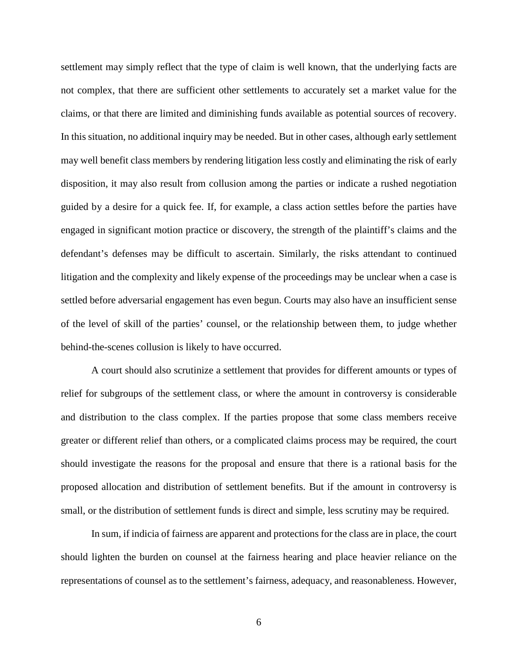settlement may simply reflect that the type of claim is well known, that the underlying facts are not complex, that there are sufficient other settlements to accurately set a market value for the claims, or that there are limited and diminishing funds available as potential sources of recovery. In this situation, no additional inquiry may be needed. But in other cases, although early settlement may well benefit class members by rendering litigation less costly and eliminating the risk of early disposition, it may also result from collusion among the parties or indicate a rushed negotiation guided by a desire for a quick fee. If, for example, a class action settles before the parties have engaged in significant motion practice or discovery, the strength of the plaintiff's claims and the defendant's defenses may be difficult to ascertain. Similarly, the risks attendant to continued litigation and the complexity and likely expense of the proceedings may be unclear when a case is settled before adversarial engagement has even begun. Courts may also have an insufficient sense of the level of skill of the parties' counsel, or the relationship between them, to judge whether behind-the-scenes collusion is likely to have occurred.

A court should also scrutinize a settlement that provides for different amounts or types of relief for subgroups of the settlement class, or where the amount in controversy is considerable and distribution to the class complex. If the parties propose that some class members receive greater or different relief than others, or a complicated claims process may be required, the court should investigate the reasons for the proposal and ensure that there is a rational basis for the proposed allocation and distribution of settlement benefits. But if the amount in controversy is small, or the distribution of settlement funds is direct and simple, less scrutiny may be required.

In sum, if indicia of fairness are apparent and protections for the class are in place, the court should lighten the burden on counsel at the fairness hearing and place heavier reliance on the representations of counsel as to the settlement's fairness, adequacy, and reasonableness. However,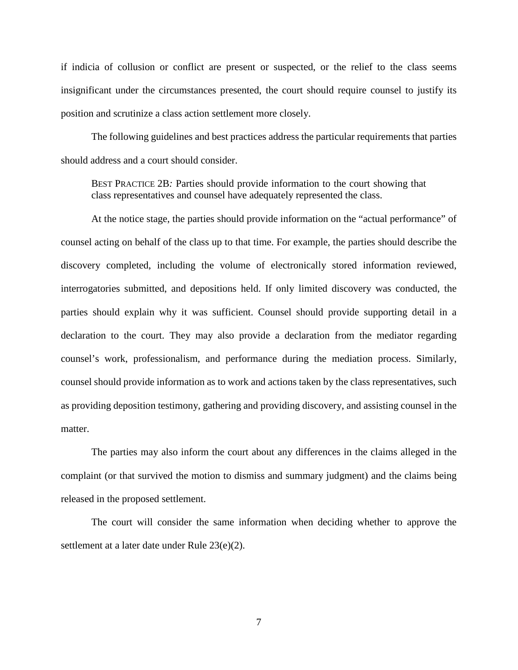if indicia of collusion or conflict are present or suspected, or the relief to the class seems insignificant under the circumstances presented, the court should require counsel to justify its position and scrutinize a class action settlement more closely.

The following guidelines and best practices address the particular requirements that parties should address and a court should consider.

BEST PRACTICE 2B*:* Parties should provide information to the court showing that class representatives and counsel have adequately represented the class.

At the notice stage, the parties should provide information on the "actual performance" of counsel acting on behalf of the class up to that time. For example, the parties should describe the discovery completed, including the volume of electronically stored information reviewed, interrogatories submitted, and depositions held. If only limited discovery was conducted, the parties should explain why it was sufficient. Counsel should provide supporting detail in a declaration to the court. They may also provide a declaration from the mediator regarding counsel's work, professionalism, and performance during the mediation process. Similarly, counsel should provide information as to work and actions taken by the class representatives, such as providing deposition testimony, gathering and providing discovery, and assisting counsel in the matter.

The parties may also inform the court about any differences in the claims alleged in the complaint (or that survived the motion to dismiss and summary judgment) and the claims being released in the proposed settlement.

The court will consider the same information when deciding whether to approve the settlement at a later date under Rule 23(e)(2).

7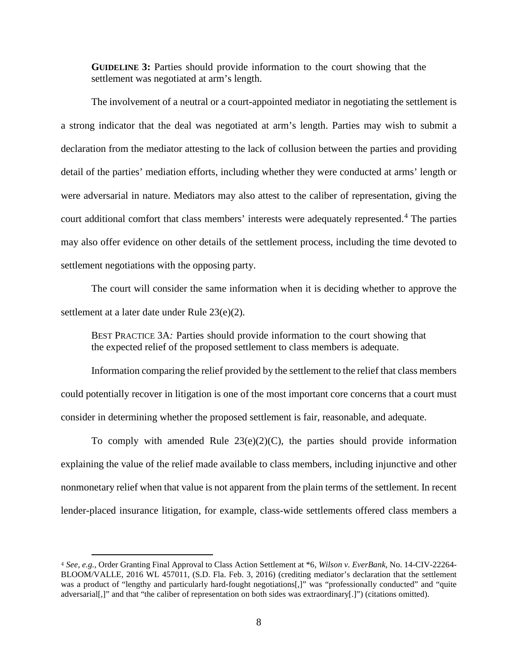**GUIDELINE 3:** Parties should provide information to the court showing that the settlement was negotiated at arm's length.

The involvement of a neutral or a court-appointed mediator in negotiating the settlement is a strong indicator that the deal was negotiated at arm's length. Parties may wish to submit a declaration from the mediator attesting to the lack of collusion between the parties and providing detail of the parties' mediation efforts, including whether they were conducted at arms' length or were adversarial in nature. Mediators may also attest to the caliber of representation, giving the court additional comfort that class members' interests were adequately represented.<sup>[4](#page-13-0)</sup> The parties may also offer evidence on other details of the settlement process, including the time devoted to settlement negotiations with the opposing party.

The court will consider the same information when it is deciding whether to approve the settlement at a later date under Rule 23(e)(2).

BEST PRACTICE 3A*:* Parties should provide information to the court showing that the expected relief of the proposed settlement to class members is adequate.

Information comparing the relief provided by the settlement to the relief that class members could potentially recover in litigation is one of the most important core concerns that a court must consider in determining whether the proposed settlement is fair, reasonable, and adequate.

To comply with amended Rule  $23(e)(2)(C)$ , the parties should provide information explaining the value of the relief made available to class members, including injunctive and other nonmonetary relief when that value is not apparent from the plain terms of the settlement. In recent lender-placed insurance litigation, for example, class-wide settlements offered class members a

 $\overline{a}$ 

<span id="page-13-0"></span><sup>4</sup> *See, e.g.*, Order Granting Final Approval to Class Action Settlement at \*6, *Wilson v. EverBank*, No. 14-CIV-22264- BLOOM/VALLE, 2016 WL 457011, (S.D. Fla. Feb. 3, 2016) (crediting mediator's declaration that the settlement was a product of "lengthy and particularly hard-fought negotiations[,]" was "professionally conducted" and "quite adversarial[,]" and that "the caliber of representation on both sides was extraordinary[.]") (citations omitted).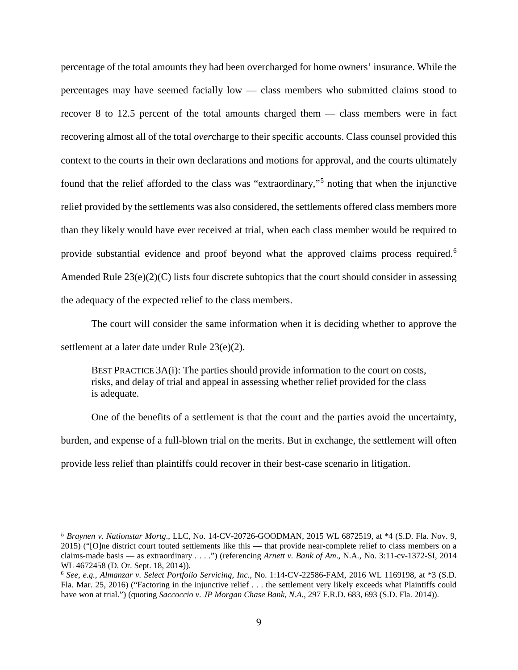percentage of the total amounts they had been overcharged for home owners' insurance. While the percentages may have seemed facially low — class members who submitted claims stood to recover 8 to 12.5 percent of the total amounts charged them — class members were in fact recovering almost all of the total *over*charge to their specific accounts. Class counsel provided this context to the courts in their own declarations and motions for approval, and the courts ultimately found that the relief afforded to the class was "extraordinary,"[5](#page-14-0) noting that when the injunctive relief provided by the settlements was also considered, the settlements offered class members more than they likely would have ever received at trial, when each class member would be required to provide substantial evidence and proof beyond what the approved claims process required.<sup>[6](#page-14-1)</sup> Amended Rule 23(e)(2)(C) lists four discrete subtopics that the court should consider in assessing the adequacy of the expected relief to the class members.

The court will consider the same information when it is deciding whether to approve the settlement at a later date under Rule 23(e)(2).

BEST PRACTICE 3A(i): The parties should provide information to the court on costs, risks, and delay of trial and appeal in assessing whether relief provided for the class is adequate.

One of the benefits of a settlement is that the court and the parties avoid the uncertainty, burden, and expense of a full-blown trial on the merits. But in exchange, the settlement will often provide less relief than plaintiffs could recover in their best-case scenario in litigation.

 $\overline{a}$ 

<span id="page-14-0"></span><sup>5</sup> *Braynen v. Nationstar Mortg*., LLC, No. 14-CV-20726-GOODMAN, 2015 WL 6872519, at \*4 (S.D. Fla. Nov. 9, 2015) ("[O]ne district court touted settlements like this — that provide near-complete relief to class members on a claims-made basis — as extraordinary . . . .") (referencing *Arnett v. Bank of Am*., N.A*.*, No. 3:11-cv-1372-SI, 2014 WL 4672458 (D. Or. Sept. 18, 2014)).

<span id="page-14-1"></span><sup>6</sup> *See, e.g.*, *Almanzar v. Select Portfolio Servicing, Inc.*, No. 1:14-CV-22586-FAM, 2016 WL 1169198, at \*3 (S.D. Fla. Mar. 25, 2016) ("Factoring in the injunctive relief . . . the settlement very likely exceeds what Plaintiffs could have won at trial.") (quoting *Saccoccio v. JP Morgan Chase Bank, N.A.*, 297 F.R.D. 683, 693 (S.D. Fla. 2014)).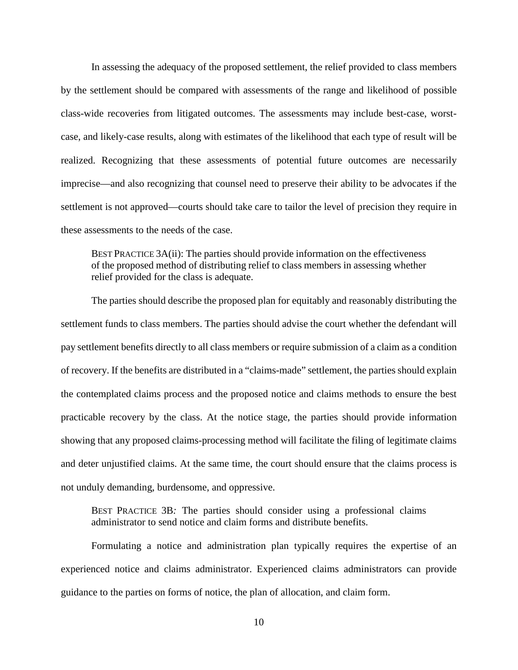In assessing the adequacy of the proposed settlement, the relief provided to class members by the settlement should be compared with assessments of the range and likelihood of possible class-wide recoveries from litigated outcomes. The assessments may include best-case, worstcase, and likely-case results, along with estimates of the likelihood that each type of result will be realized. Recognizing that these assessments of potential future outcomes are necessarily imprecise—and also recognizing that counsel need to preserve their ability to be advocates if the settlement is not approved—courts should take care to tailor the level of precision they require in these assessments to the needs of the case.

BEST PRACTICE 3A(ii): The parties should provide information on the effectiveness of the proposed method of distributing relief to class members in assessing whether relief provided for the class is adequate.

The parties should describe the proposed plan for equitably and reasonably distributing the settlement funds to class members. The parties should advise the court whether the defendant will pay settlement benefits directly to all class members or require submission of a claim as a condition of recovery. If the benefits are distributed in a "claims-made" settlement, the parties should explain the contemplated claims process and the proposed notice and claims methods to ensure the best practicable recovery by the class. At the notice stage, the parties should provide information showing that any proposed claims-processing method will facilitate the filing of legitimate claims and deter unjustified claims. At the same time, the court should ensure that the claims process is not unduly demanding, burdensome, and oppressive.

BEST PRACTICE 3B*:* The parties should consider using a professional claims administrator to send notice and claim forms and distribute benefits.

Formulating a notice and administration plan typically requires the expertise of an experienced notice and claims administrator. Experienced claims administrators can provide guidance to the parties on forms of notice, the plan of allocation, and claim form.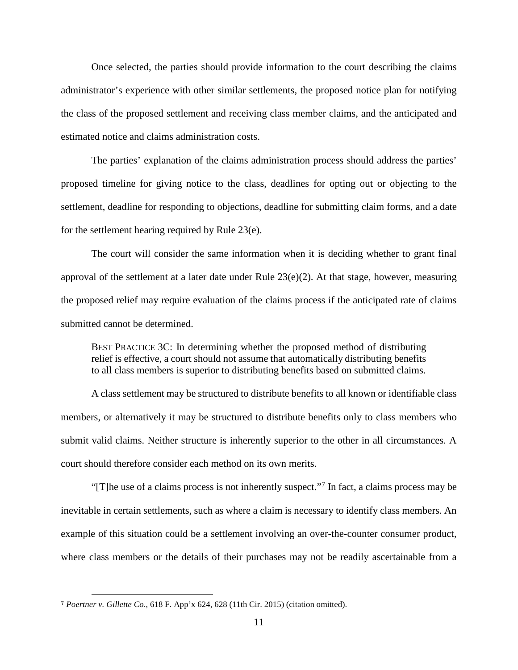Once selected, the parties should provide information to the court describing the claims administrator's experience with other similar settlements, the proposed notice plan for notifying the class of the proposed settlement and receiving class member claims, and the anticipated and estimated notice and claims administration costs.

The parties' explanation of the claims administration process should address the parties' proposed timeline for giving notice to the class, deadlines for opting out or objecting to the settlement, deadline for responding to objections, deadline for submitting claim forms, and a date for the settlement hearing required by Rule 23(e).

The court will consider the same information when it is deciding whether to grant final approval of the settlement at a later date under Rule 23(e)(2). At that stage, however, measuring the proposed relief may require evaluation of the claims process if the anticipated rate of claims submitted cannot be determined.

BEST PRACTICE 3C: In determining whether the proposed method of distributing relief is effective, a court should not assume that automatically distributing benefits to all class members is superior to distributing benefits based on submitted claims.

A class settlement may be structured to distribute benefits to all known or identifiable class members, or alternatively it may be structured to distribute benefits only to class members who submit valid claims. Neither structure is inherently superior to the other in all circumstances. A court should therefore consider each method on its own merits.

"[T]he use of a claims process is not inherently suspect."[7](#page-16-0) In fact, a claims process may be inevitable in certain settlements, such as where a claim is necessary to identify class members. An example of this situation could be a settlement involving an over-the-counter consumer product, where class members or the details of their purchases may not be readily ascertainable from a

 $\overline{a}$ 

<span id="page-16-0"></span><sup>7</sup> *Poertner v. Gillette Co*., 618 F. App'x 624, 628 (11th Cir. 2015) (citation omitted).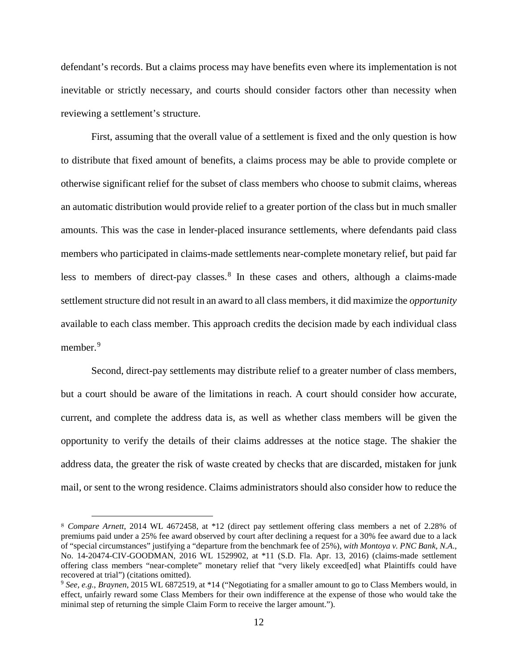defendant's records. But a claims process may have benefits even where its implementation is not inevitable or strictly necessary, and courts should consider factors other than necessity when reviewing a settlement's structure.

First, assuming that the overall value of a settlement is fixed and the only question is how to distribute that fixed amount of benefits, a claims process may be able to provide complete or otherwise significant relief for the subset of class members who choose to submit claims, whereas an automatic distribution would provide relief to a greater portion of the class but in much smaller amounts. This was the case in lender-placed insurance settlements, where defendants paid class members who participated in claims-made settlements near-complete monetary relief, but paid far less to members of direct-pay classes.[8](#page-17-0) In these cases and others, although a claims‐made settlement structure did not result in an award to all class members, it did maximize the *opportunity* available to each class member. This approach credits the decision made by each individual class member.<sup>[9](#page-17-1)</sup>

Second, direct-pay settlements may distribute relief to a greater number of class members, but a court should be aware of the limitations in reach. A court should consider how accurate, current, and complete the address data is, as well as whether class members will be given the opportunity to verify the details of their claims addresses at the notice stage. The shakier the address data, the greater the risk of waste created by checks that are discarded, mistaken for junk mail, or sent to the wrong residence. Claims administrators should also consider how to reduce the

 $\overline{a}$ 

<span id="page-17-0"></span><sup>8</sup> *Compare Arnett*, 2014 WL 4672458, at \*12 (direct pay settlement offering class members a net of 2.28% of premiums paid under a 25% fee award observed by court after declining a request for a 30% fee award due to a lack of "special circumstances" justifying a "departure from the benchmark fee of 25%), *with Montoya v. PNC Bank, N.A*., No. 14-20474-CIV-GOODMAN, 2016 WL 1529902, at \*11 (S.D. Fla. Apr. 13, 2016) (claims-made settlement offering class members "near-complete" monetary relief that "very likely exceed[ed] what Plaintiffs could have recovered at trial") (citations omitted). 9 *See, e.g.*, *Braynen*, 2015 WL 6872519, at \*14 ("Negotiating for a smaller amount to go to Class Members would, in

<span id="page-17-1"></span>effect, unfairly reward some Class Members for their own indifference at the expense of those who would take the minimal step of returning the simple Claim Form to receive the larger amount.").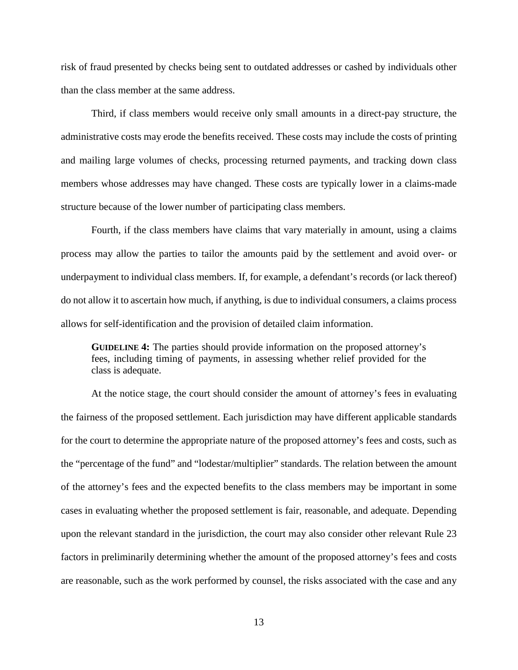risk of fraud presented by checks being sent to outdated addresses or cashed by individuals other than the class member at the same address.

Third, if class members would receive only small amounts in a direct-pay structure, the administrative costs may erode the benefits received. These costs may include the costs of printing and mailing large volumes of checks, processing returned payments, and tracking down class members whose addresses may have changed. These costs are typically lower in a claims-made structure because of the lower number of participating class members.

Fourth, if the class members have claims that vary materially in amount, using a claims process may allow the parties to tailor the amounts paid by the settlement and avoid over- or underpayment to individual class members. If, for example, a defendant's records (or lack thereof) do not allow it to ascertain how much, if anything, is due to individual consumers, a claims process allows for self-identification and the provision of detailed claim information.

**GUIDELINE 4:** The parties should provide information on the proposed attorney's fees, including timing of payments, in assessing whether relief provided for the class is adequate.

At the notice stage, the court should consider the amount of attorney's fees in evaluating the fairness of the proposed settlement. Each jurisdiction may have different applicable standards for the court to determine the appropriate nature of the proposed attorney's fees and costs, such as the "percentage of the fund" and "lodestar/multiplier" standards. The relation between the amount of the attorney's fees and the expected benefits to the class members may be important in some cases in evaluating whether the proposed settlement is fair, reasonable, and adequate. Depending upon the relevant standard in the jurisdiction, the court may also consider other relevant Rule 23 factors in preliminarily determining whether the amount of the proposed attorney's fees and costs are reasonable, such as the work performed by counsel, the risks associated with the case and any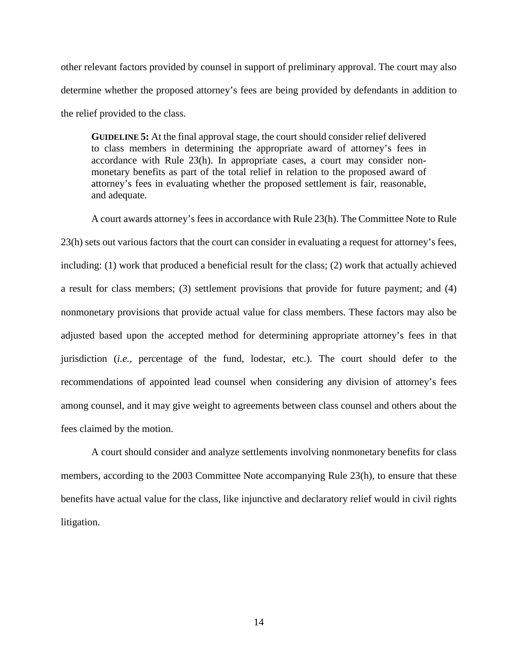other relevant factors provided by counsel in support of preliminary approval. The court may also determine whether the proposed attorney's fees are being provided by defendants in addition to the relief provided to the class.

**GUIDELINE 5:** At the final approval stage, the court should consider relief delivered to class members in determining the appropriate award of attorney's fees in accordance with Rule 23(h). In appropriate cases, a court may consider nonmonetary benefits as part of the total relief in relation to the proposed award of attorney's fees in evaluating whether the proposed settlement is fair, reasonable, and adequate.

A court awards attorney's fees in accordance with Rule 23(h). The Committee Note to Rule 23(h) sets out various factors that the court can consider in evaluating a request for attorney's fees, including: (1) work that produced a beneficial result for the class; (2) work that actually achieved a result for class members; (3) settlement provisions that provide for future payment; and (4) nonmonetary provisions that provide actual value for class members. These factors may also be adjusted based upon the accepted method for determining appropriate attorney's fees in that jurisdiction (*i.e.,* percentage of the fund, lodestar, etc.). The court should defer to the recommendations of appointed lead counsel when considering any division of attorney's fees among counsel, and it may give weight to agreements between class counsel and others about the fees claimed by the motion.

A court should consider and analyze settlements involving nonmonetary benefits for class members, according to the 2003 Committee Note accompanying Rule 23(h), to ensure that these benefits have actual value for the class, like injunctive and declaratory relief would in civil rights litigation.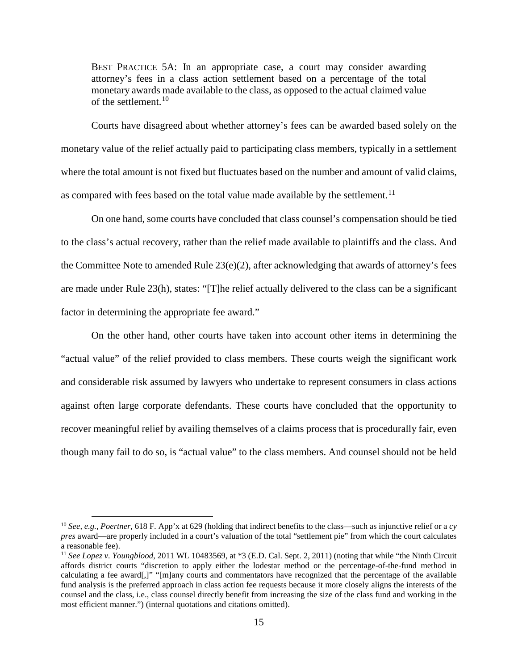BEST PRACTICE 5A: In an appropriate case, a court may consider awarding attorney's fees in a class action settlement based on a percentage of the total monetary awards made available to the class, as opposed to the actual claimed value of the settlement.<sup>[10](#page-20-0)</sup>

Courts have disagreed about whether attorney's fees can be awarded based solely on the monetary value of the relief actually paid to participating class members, typically in a settlement where the total amount is not fixed but fluctuates based on the number and amount of valid claims, as compared with fees based on the total value made available by the settlement.<sup>[11](#page-20-1)</sup>

On one hand, some courts have concluded that class counsel's compensation should be tied to the class's actual recovery, rather than the relief made available to plaintiffs and the class. And the Committee Note to amended Rule 23(e)(2), after acknowledging that awards of attorney's fees are made under Rule 23(h), states: "[T]he relief actually delivered to the class can be a significant factor in determining the appropriate fee award."

On the other hand, other courts have taken into account other items in determining the "actual value" of the relief provided to class members. These courts weigh the significant work and considerable risk assumed by lawyers who undertake to represent consumers in class actions against often large corporate defendants. These courts have concluded that the opportunity to recover meaningful relief by availing themselves of a claims process that is procedurally fair, even though many fail to do so, is "actual value" to the class members. And counsel should not be held

<span id="page-20-0"></span> <sup>10</sup> *See, e.g.*, *Poertner*, 618 F. App'x at 629 (holding that indirect benefits to the class—such as injunctive relief or a *cy pres* award—are properly included in a court's valuation of the total "settlement pie" from which the court calculates a reasonable fee).<br><sup>11</sup> *See Lopez v. Youngblood*, 2011 WL 10483569, at \*3 (E.D. Cal. Sept. 2, 2011) (noting that while "the Ninth Circuit

<span id="page-20-1"></span>affords district courts "discretion to apply either the lodestar method or the percentage-of-the-fund method in calculating a fee award[,]" "[m]any courts and commentators have recognized that the percentage of the available fund analysis is the preferred approach in class action fee requests because it more closely aligns the interests of the counsel and the class, i.e., class counsel directly benefit from increasing the size of the class fund and working in the most efficient manner.") (internal quotations and citations omitted).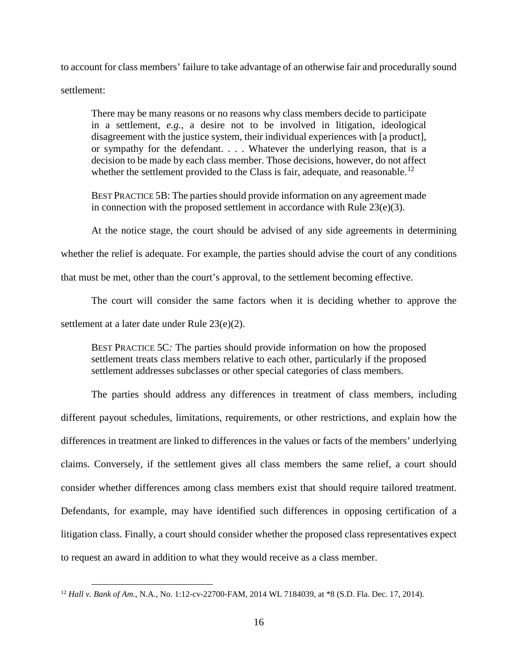to account for class members' failure to take advantage of an otherwise fair and procedurally sound settlement:

There may be many reasons or no reasons why class members decide to participate in a settlement, *e.g.,* a desire not to be involved in litigation, ideological disagreement with the justice system, their individual experiences with [a product], or sympathy for the defendant. . . . Whatever the underlying reason, that is a decision to be made by each class member. Those decisions, however, do not affect whether the settlement provided to the Class is fair, adequate, and reasonable.<sup>[12](#page-21-0)</sup>

BEST PRACTICE 5B: The parties should provide information on any agreement made in connection with the proposed settlement in accordance with Rule 23(e)(3).

At the notice stage, the court should be advised of any side agreements in determining

whether the relief is adequate. For example, the parties should advise the court of any conditions

that must be met, other than the court's approval, to the settlement becoming effective.

The court will consider the same factors when it is deciding whether to approve the settlement at a later date under Rule 23(e)(2).

BEST PRACTICE 5C*:* The parties should provide information on how the proposed settlement treats class members relative to each other, particularly if the proposed settlement addresses subclasses or other special categories of class members.

The parties should address any differences in treatment of class members, including different payout schedules, limitations, requirements, or other restrictions, and explain how the differences in treatment are linked to differences in the values or facts of the members' underlying claims. Conversely, if the settlement gives all class members the same relief, a court should consider whether differences among class members exist that should require tailored treatment. Defendants, for example, may have identified such differences in opposing certification of a litigation class. Finally, a court should consider whether the proposed class representatives expect to request an award in addition to what they would receive as a class member.

<span id="page-21-0"></span> <sup>12</sup> *Hall v. Bank of Am*., N.A., No. 1:12-cv-22700-FAM, 2014 WL 7184039, at \*8 (S.D. Fla. Dec. 17, 2014).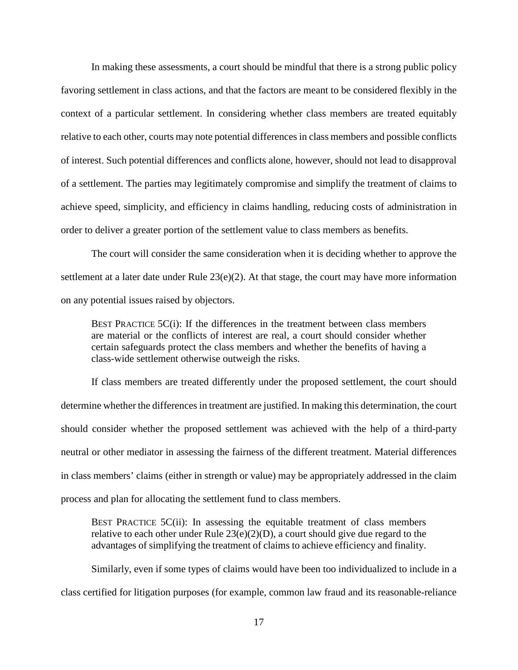In making these assessments, a court should be mindful that there is a strong public policy favoring settlement in class actions, and that the factors are meant to be considered flexibly in the context of a particular settlement. In considering whether class members are treated equitably relative to each other, courts may note potential differences in class members and possible conflicts of interest. Such potential differences and conflicts alone, however, should not lead to disapproval of a settlement. The parties may legitimately compromise and simplify the treatment of claims to achieve speed, simplicity, and efficiency in claims handling, reducing costs of administration in order to deliver a greater portion of the settlement value to class members as benefits.

The court will consider the same consideration when it is deciding whether to approve the settlement at a later date under Rule 23(e)(2). At that stage, the court may have more information on any potential issues raised by objectors.

BEST PRACTICE  $5C(i)$ : If the differences in the treatment between class members are material or the conflicts of interest are real, a court should consider whether certain safeguards protect the class members and whether the benefits of having a class-wide settlement otherwise outweigh the risks.

If class members are treated differently under the proposed settlement, the court should determine whether the differences in treatment are justified. In making this determination, the court should consider whether the proposed settlement was achieved with the help of a third-party neutral or other mediator in assessing the fairness of the different treatment. Material differences in class members' claims (either in strength or value) may be appropriately addressed in the claim process and plan for allocating the settlement fund to class members.

BEST PRACTICE  $5C(ii)$ : In assessing the equitable treatment of class members relative to each other under Rule  $23(e)(2)(D)$ , a court should give due regard to the advantages of simplifying the treatment of claims to achieve efficiency and finality.

Similarly, even if some types of claims would have been too individualized to include in a class certified for litigation purposes (for example, common law fraud and its reasonable-reliance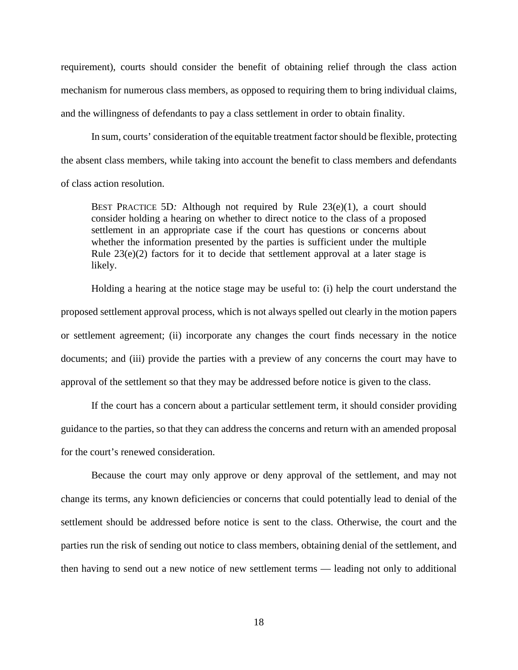requirement), courts should consider the benefit of obtaining relief through the class action mechanism for numerous class members, as opposed to requiring them to bring individual claims, and the willingness of defendants to pay a class settlement in order to obtain finality.

In sum, courts' consideration of the equitable treatment factor should be flexible, protecting the absent class members, while taking into account the benefit to class members and defendants of class action resolution.

BEST PRACTICE 5D*:* Although not required by Rule 23(e)(1), a court should consider holding a hearing on whether to direct notice to the class of a proposed settlement in an appropriate case if the court has questions or concerns about whether the information presented by the parties is sufficient under the multiple Rule  $23(e)(2)$  factors for it to decide that settlement approval at a later stage is likely.

Holding a hearing at the notice stage may be useful to: (i) help the court understand the proposed settlement approval process, which is not always spelled out clearly in the motion papers or settlement agreement; (ii) incorporate any changes the court finds necessary in the notice documents; and (iii) provide the parties with a preview of any concerns the court may have to approval of the settlement so that they may be addressed before notice is given to the class.

If the court has a concern about a particular settlement term, it should consider providing guidance to the parties, so that they can address the concerns and return with an amended proposal for the court's renewed consideration.

Because the court may only approve or deny approval of the settlement, and may not change its terms, any known deficiencies or concerns that could potentially lead to denial of the settlement should be addressed before notice is sent to the class. Otherwise, the court and the parties run the risk of sending out notice to class members, obtaining denial of the settlement, and then having to send out a new notice of new settlement terms -- leading not only to additional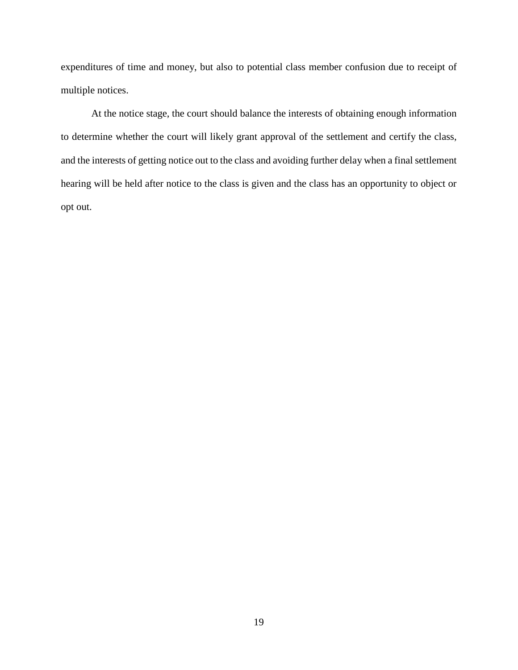expenditures of time and money, but also to potential class member confusion due to receipt of multiple notices.

At the notice stage, the court should balance the interests of obtaining enough information to determine whether the court will likely grant approval of the settlement and certify the class, and the interests of getting notice out to the class and avoiding further delay when a final settlement hearing will be held after notice to the class is given and the class has an opportunity to object or opt out.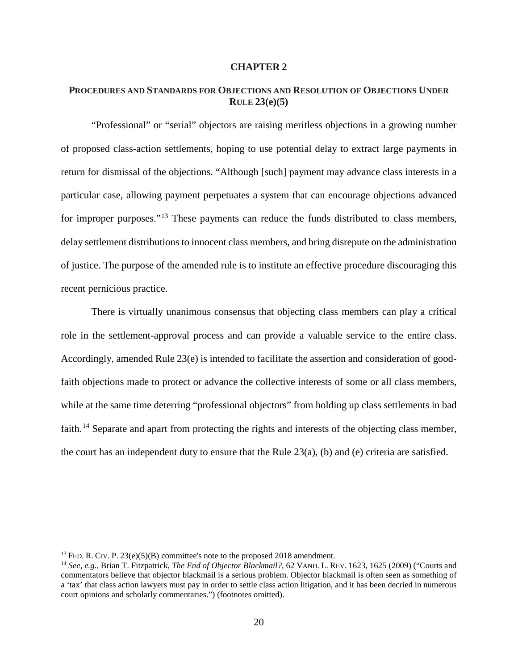#### **CHAPTER 2**

# **PROCEDURES AND STANDARDS FOR OBJECTIONS AND RESOLUTION OF OBJECTIONS UNDER RULE 23(e)(5)**

"Professional" or "serial" objectors are raising meritless objections in a growing number of proposed class-action settlements, hoping to use potential delay to extract large payments in return for dismissal of the objections. "Although [such] payment may advance class interests in a particular case, allowing payment perpetuates a system that can encourage objections advanced for improper purposes."<sup>[13](#page-25-0)</sup> These payments can reduce the funds distributed to class members, delay settlement distributions to innocent class members, and bring disrepute on the administration of justice. The purpose of the amended rule is to institute an effective procedure discouraging this recent pernicious practice.

There is virtually unanimous consensus that objecting class members can play a critical role in the settlement-approval process and can provide a valuable service to the entire class. Accordingly, amended Rule 23(e) is intended to facilitate the assertion and consideration of goodfaith objections made to protect or advance the collective interests of some or all class members, while at the same time deterring "professional objectors" from holding up class settlements in bad faith.<sup>[14](#page-25-1)</sup> Separate and apart from protecting the rights and interests of the objecting class member, the court has an independent duty to ensure that the Rule 23(a), (b) and (e) criteria are satisfied.

<span id="page-25-0"></span><sup>&</sup>lt;sup>13</sup> FED. R. CIV. P.  $23(e)(5)(B)$  committee's note to the proposed 2018 amendment.

<span id="page-25-1"></span><sup>14</sup> *See, e.g.,* Brian T. Fitzpatrick, *The End of Objector Blackmail?*, 62 VAND. L. REV. 1623, 1625 (2009) ("Courts and commentators believe that objector blackmail is a serious problem. Objector blackmail is often seen as something of a 'tax' that class action lawyers must pay in order to settle class action litigation, and it has been decried in numerous court opinions and scholarly commentaries.") (footnotes omitted).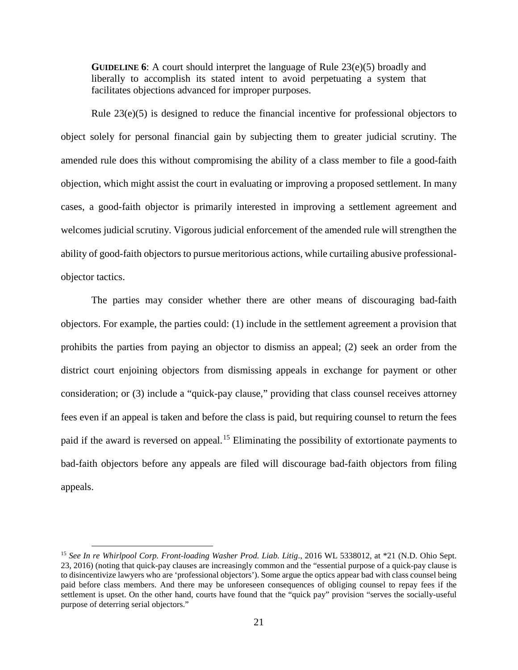**GUIDELINE 6:** A court should interpret the language of Rule 23(e)(5) broadly and liberally to accomplish its stated intent to avoid perpetuating a system that facilitates objections advanced for improper purposes.

Rule 23(e)(5) is designed to reduce the financial incentive for professional objectors to object solely for personal financial gain by subjecting them to greater judicial scrutiny. The amended rule does this without compromising the ability of a class member to file a good-faith objection, which might assist the court in evaluating or improving a proposed settlement. In many cases, a good-faith objector is primarily interested in improving a settlement agreement and welcomes judicial scrutiny. Vigorous judicial enforcement of the amended rule will strengthen the ability of good-faith objectors to pursue meritorious actions, while curtailing abusive professionalobjector tactics.

The parties may consider whether there are other means of discouraging bad-faith objectors. For example, the parties could: (1) include in the settlement agreement a provision that prohibits the parties from paying an objector to dismiss an appeal; (2) seek an order from the district court enjoining objectors from dismissing appeals in exchange for payment or other consideration; or (3) include a "quick-pay clause," providing that class counsel receives attorney fees even if an appeal is taken and before the class is paid, but requiring counsel to return the fees paid if the award is reversed on appeal.[15](#page-26-0) Eliminating the possibility of extortionate payments to bad-faith objectors before any appeals are filed will discourage bad-faith objectors from filing appeals.

<span id="page-26-0"></span><sup>&</sup>lt;sup>15</sup> See In re Whirlpool Corp. Front-loading Washer Prod. Liab. Litig., 2016 WL 5338012, at \*21 (N.D. Ohio Sept. 23, 2016) (noting that quick-pay clauses are increasingly common and the "essential purpose of a quick-pay clause is to disincentivize lawyers who are 'professional objectors'). Some argue the optics appear bad with class counsel being paid before class members. And there may be unforeseen consequences of obliging counsel to repay fees if the settlement is upset. On the other hand, courts have found that the "quick pay" provision "serves the socially-useful purpose of deterring serial objectors."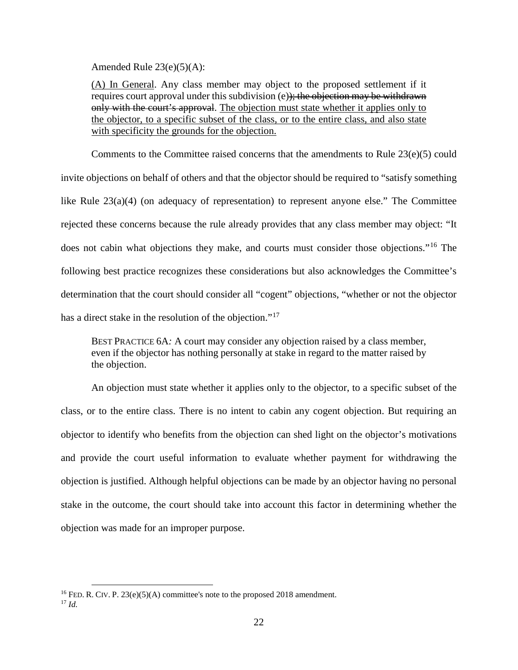Amended Rule  $23(e)(5)(A)$ :

(A) In General. Any class member may object to the proposed settlement if it requires court approval under this subdivision (e)); the objection may be withdrawn only with the court's approval. The objection must state whether it applies only to the objector, to a specific subset of the class, or to the entire class, and also state with specificity the grounds for the objection.

Comments to the Committee raised concerns that the amendments to Rule  $23(e)(5)$  could invite objections on behalf of others and that the objector should be required to "satisfy something like Rule 23(a)(4) (on adequacy of representation) to represent anyone else." The Committee rejected these concerns because the rule already provides that any class member may object: "It does not cabin what objections they make, and courts must consider those objections."[16](#page-27-0) The following best practice recognizes these considerations but also acknowledges the Committee's determination that the court should consider all "cogent" objections, "whether or not the objector has a direct stake in the resolution of the objection."<sup>[17](#page-27-1)</sup>

BEST PRACTICE 6A*:* A court may consider any objection raised by a class member, even if the objector has nothing personally at stake in regard to the matter raised by the objection.

An objection must state whether it applies only to the objector, to a specific subset of the class, or to the entire class. There is no intent to cabin any cogent objection. But requiring an objector to identify who benefits from the objection can shed light on the objector's motivations and provide the court useful information to evaluate whether payment for withdrawing the objection is justified. Although helpful objections can be made by an objector having no personal stake in the outcome, the court should take into account this factor in determining whether the objection was made for an improper purpose.

<span id="page-27-1"></span><span id="page-27-0"></span><sup>&</sup>lt;sup>16</sup> FED. R. CIV. P.  $23(e)(5)(A)$  committee's note to the proposed 2018 amendment. <sup>17</sup> *Id.*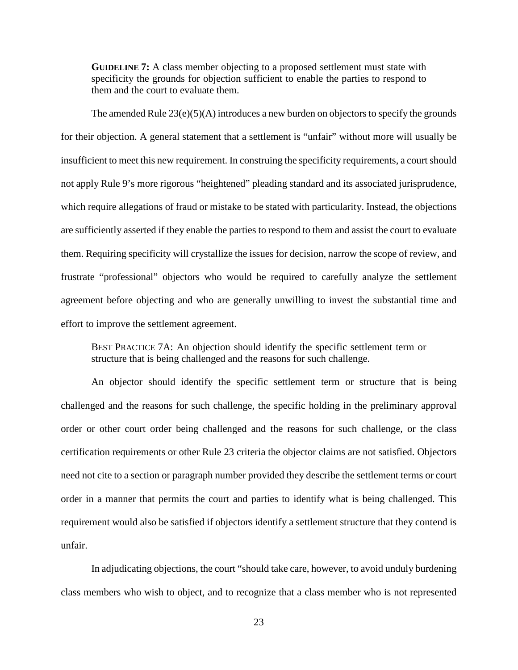**GUIDELINE 7:** A class member objecting to a proposed settlement must state with specificity the grounds for objection sufficient to enable the parties to respond to them and the court to evaluate them.

The amended Rule  $23(e)(5)(A)$  introduces a new burden on objectors to specify the grounds for their objection. A general statement that a settlement is "unfair" without more will usually be insufficient to meet this new requirement. In construing the specificity requirements, a court should not apply Rule 9's more rigorous "heightened" pleading standard and its associated jurisprudence, which require allegations of fraud or mistake to be stated with particularity. Instead, the objections are sufficiently asserted if they enable the parties to respond to them and assist the court to evaluate them. Requiring specificity will crystallize the issues for decision, narrow the scope of review, and frustrate "professional" objectors who would be required to carefully analyze the settlement agreement before objecting and who are generally unwilling to invest the substantial time and effort to improve the settlement agreement.

BEST PRACTICE 7A: An objection should identify the specific settlement term or structure that is being challenged and the reasons for such challenge.

An objector should identify the specific settlement term or structure that is being challenged and the reasons for such challenge, the specific holding in the preliminary approval order or other court order being challenged and the reasons for such challenge, or the class certification requirements or other Rule 23 criteria the objector claims are not satisfied. Objectors need not cite to a section or paragraph number provided they describe the settlement terms or court order in a manner that permits the court and parties to identify what is being challenged. This requirement would also be satisfied if objectors identify a settlement structure that they contend is unfair.

In adjudicating objections, the court "should take care, however, to avoid unduly burdening class members who wish to object, and to recognize that a class member who is not represented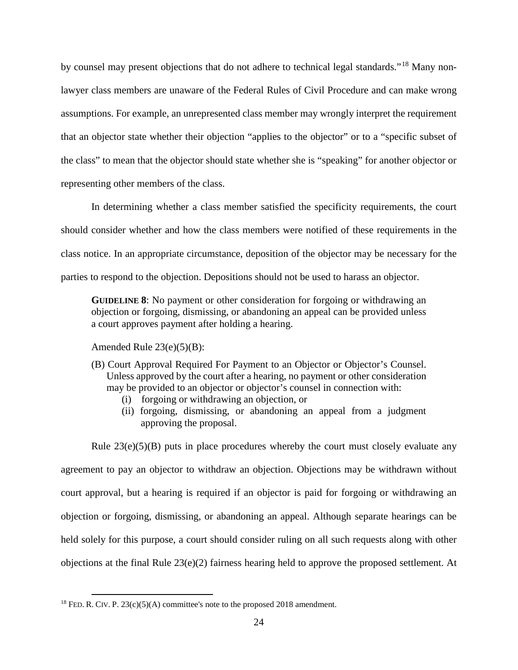by counsel may present objections that do not adhere to technical legal standards."[18](#page-29-0) Many nonlawyer class members are unaware of the Federal Rules of Civil Procedure and can make wrong assumptions. For example, an unrepresented class member may wrongly interpret the requirement that an objector state whether their objection "applies to the objector" or to a "specific subset of the class" to mean that the objector should state whether she is "speaking" for another objector or representing other members of the class.

In determining whether a class member satisfied the specificity requirements, the court should consider whether and how the class members were notified of these requirements in the class notice. In an appropriate circumstance, deposition of the objector may be necessary for the parties to respond to the objection. Depositions should not be used to harass an objector.

**GUIDELINE 8**: No payment or other consideration for forgoing or withdrawing an objection or forgoing, dismissing, or abandoning an appeal can be provided unless a court approves payment after holding a hearing.

Amended Rule  $23(e)(5)(B)$ :

- (B) Court Approval Required For Payment to an Objector or Objector's Counsel. Unless approved by the court after a hearing, no payment or other consideration may be provided to an objector or objector's counsel in connection with:
	- (i) forgoing or withdrawing an objection, or
	- (ii) forgoing, dismissing, or abandoning an appeal from a judgment approving the proposal.

Rule  $23(e)(5)(B)$  puts in place procedures whereby the court must closely evaluate any agreement to pay an objector to withdraw an objection. Objections may be withdrawn without court approval, but a hearing is required if an objector is paid for forgoing or withdrawing an objection or forgoing, dismissing, or abandoning an appeal. Although separate hearings can be held solely for this purpose, a court should consider ruling on all such requests along with other objections at the final Rule 23(e)(2) fairness hearing held to approve the proposed settlement. At

<span id="page-29-0"></span><sup>&</sup>lt;sup>18</sup> FED. R. CIV. P.  $23(c)(5)(A)$  committee's note to the proposed 2018 amendment.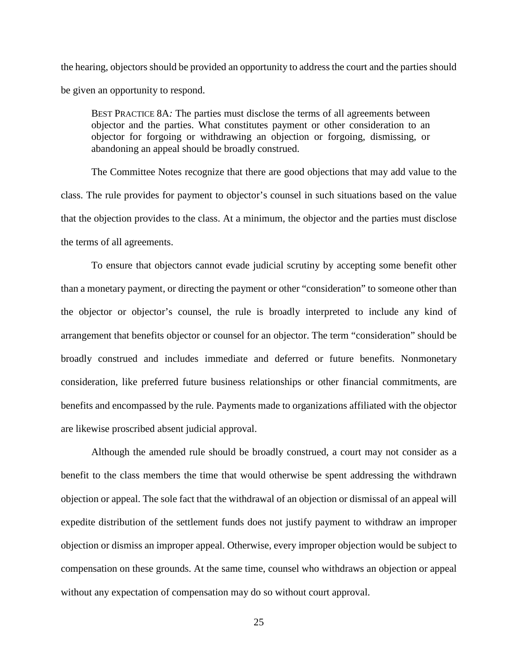the hearing, objectors should be provided an opportunity to address the court and the parties should be given an opportunity to respond.

BEST PRACTICE 8A*:* The parties must disclose the terms of all agreements between objector and the parties. What constitutes payment or other consideration to an objector for forgoing or withdrawing an objection or forgoing, dismissing, or abandoning an appeal should be broadly construed.

The Committee Notes recognize that there are good objections that may add value to the class. The rule provides for payment to objector's counsel in such situations based on the value that the objection provides to the class. At a minimum, the objector and the parties must disclose the terms of all agreements.

To ensure that objectors cannot evade judicial scrutiny by accepting some benefit other than a monetary payment, or directing the payment or other "consideration" to someone other than the objector or objector's counsel, the rule is broadly interpreted to include any kind of arrangement that benefits objector or counsel for an objector. The term "consideration" should be broadly construed and includes immediate and deferred or future benefits. Nonmonetary consideration, like preferred future business relationships or other financial commitments, are benefits and encompassed by the rule. Payments made to organizations affiliated with the objector are likewise proscribed absent judicial approval.

Although the amended rule should be broadly construed, a court may not consider as a benefit to the class members the time that would otherwise be spent addressing the withdrawn objection or appeal. The sole fact that the withdrawal of an objection or dismissal of an appeal will expedite distribution of the settlement funds does not justify payment to withdraw an improper objection or dismiss an improper appeal. Otherwise, every improper objection would be subject to compensation on these grounds. At the same time, counsel who withdraws an objection or appeal without any expectation of compensation may do so without court approval.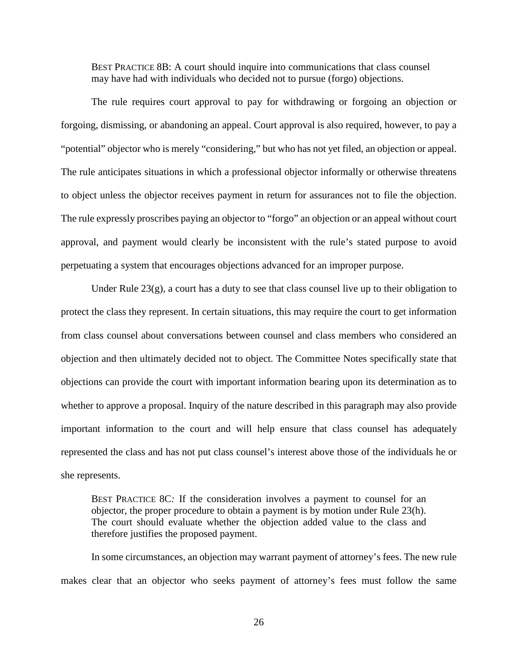BEST PRACTICE 8B: A court should inquire into communications that class counsel may have had with individuals who decided not to pursue (forgo) objections.

The rule requires court approval to pay for withdrawing or forgoing an objection or forgoing, dismissing, or abandoning an appeal. Court approval is also required, however, to pay a "potential" objector who is merely "considering," but who has not yet filed, an objection or appeal. The rule anticipates situations in which a professional objector informally or otherwise threatens to object unless the objector receives payment in return for assurances not to file the objection. The rule expressly proscribes paying an objector to "forgo" an objection or an appeal without court approval, and payment would clearly be inconsistent with the rule's stated purpose to avoid perpetuating a system that encourages objections advanced for an improper purpose.

Under Rule 23(g), a court has a duty to see that class counsel live up to their obligation to protect the class they represent. In certain situations, this may require the court to get information from class counsel about conversations between counsel and class members who considered an objection and then ultimately decided not to object. The Committee Notes specifically state that objections can provide the court with important information bearing upon its determination as to whether to approve a proposal. Inquiry of the nature described in this paragraph may also provide important information to the court and will help ensure that class counsel has adequately represented the class and has not put class counsel's interest above those of the individuals he or she represents.

BEST PRACTICE 8C*:* If the consideration involves a payment to counsel for an objector, the proper procedure to obtain a payment is by motion under Rule 23(h). The court should evaluate whether the objection added value to the class and therefore justifies the proposed payment.

In some circumstances, an objection may warrant payment of attorney's fees. The new rule makes clear that an objector who seeks payment of attorney's fees must follow the same

26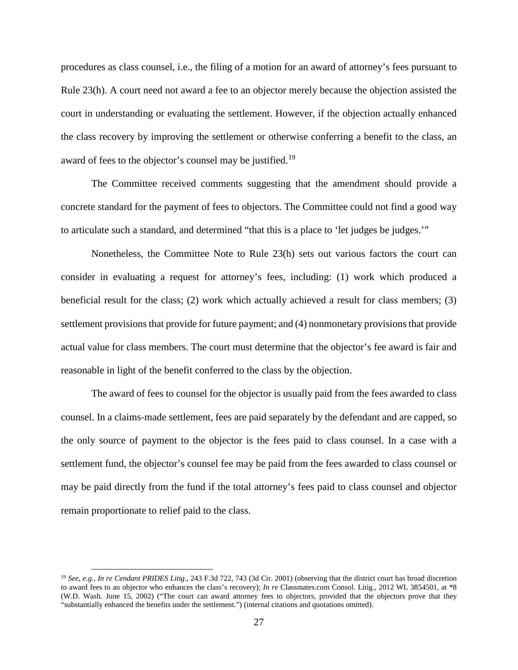procedures as class counsel, i.e., the filing of a motion for an award of attorney's fees pursuant to Rule 23(h). A court need not award a fee to an objector merely because the objection assisted the court in understanding or evaluating the settlement. However, if the objection actually enhanced the class recovery by improving the settlement or otherwise conferring a benefit to the class, an award of fees to the objector's counsel may be justified.<sup>[19](#page-32-0)</sup>

The Committee received comments suggesting that the amendment should provide a concrete standard for the payment of fees to objectors. The Committee could not find a good way to articulate such a standard, and determined "that this is a place to 'let judges be judges.'"

Nonetheless, the Committee Note to Rule 23(h) sets out various factors the court can consider in evaluating a request for attorney's fees, including: (1) work which produced a beneficial result for the class; (2) work which actually achieved a result for class members; (3) settlement provisions that provide for future payment; and (4) nonmonetary provisions that provide actual value for class members. The court must determine that the objector's fee award is fair and reasonable in light of the benefit conferred to the class by the objection.

The award of fees to counsel for the objector is usually paid from the fees awarded to class counsel. In a claims-made settlement, fees are paid separately by the defendant and are capped, so the only source of payment to the objector is the fees paid to class counsel. In a case with a settlement fund, the objector's counsel fee may be paid from the fees awarded to class counsel or may be paid directly from the fund if the total attorney's fees paid to class counsel and objector remain proportionate to relief paid to the class.

<span id="page-32-0"></span> <sup>19</sup> *See, e.g.*, *In re Cendant PRIDES Litig*., 243 F.3d 722, 743 (3d Cir. 2001) (observing that the district court has broad discretion to award fees to an objector who enhances the class's recovery); *In re* Classmates.com Consol. Litig., 2012 WL 3854501, at \*8 (W.D. Wash. June 15, 2002) ("The court can award attorney fees to objectors, provided that the objectors prove that they "substantially enhanced the benefits under the settlement.") (internal citations and quotations omitted).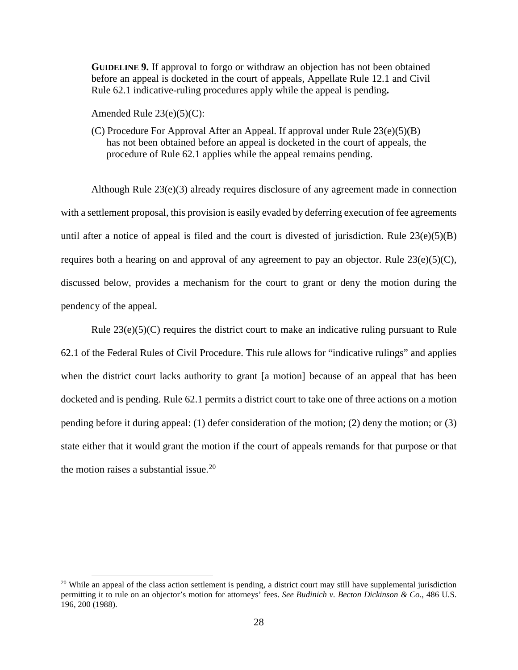**GUIDELINE 9.** If approval to forgo or withdraw an objection has not been obtained before an appeal is docketed in the court of appeals, Appellate Rule 12.1 and Civil Rule 62.1 indicative-ruling procedures apply while the appeal is pending**.**

Amended Rule 23(e)(5)(C):

(C) Procedure For Approval After an Appeal. If approval under Rule  $23(e)(5)(B)$ has not been obtained before an appeal is docketed in the court of appeals, the procedure of Rule 62.1 applies while the appeal remains pending.

Although Rule 23(e)(3) already requires disclosure of any agreement made in connection with a settlement proposal, this provision is easily evaded by deferring execution of fee agreements until after a notice of appeal is filed and the court is divested of jurisdiction. Rule  $23(e)(5)(B)$ requires both a hearing on and approval of any agreement to pay an objector. Rule  $23(e)(5)(C)$ , discussed below, provides a mechanism for the court to grant or deny the motion during the pendency of the appeal.

Rule  $23(e)(5)(C)$  requires the district court to make an indicative ruling pursuant to Rule 62.1 of the Federal Rules of Civil Procedure. This rule allows for "indicative rulings" and applies when the district court lacks authority to grant [a motion] because of an appeal that has been docketed and is pending. Rule 62.1 permits a district court to take one of three actions on a motion pending before it during appeal: (1) defer consideration of the motion; (2) deny the motion; or (3) state either that it would grant the motion if the court of appeals remands for that purpose or that the motion raises a substantial issue. $20$ 

<span id="page-33-0"></span> $20$  While an appeal of the class action settlement is pending, a district court may still have supplemental jurisdiction permitting it to rule on an objector's motion for attorneys' fees. *See Budinich v. Becton Dickinson & Co.,* 486 U.S. 196, 200 (1988).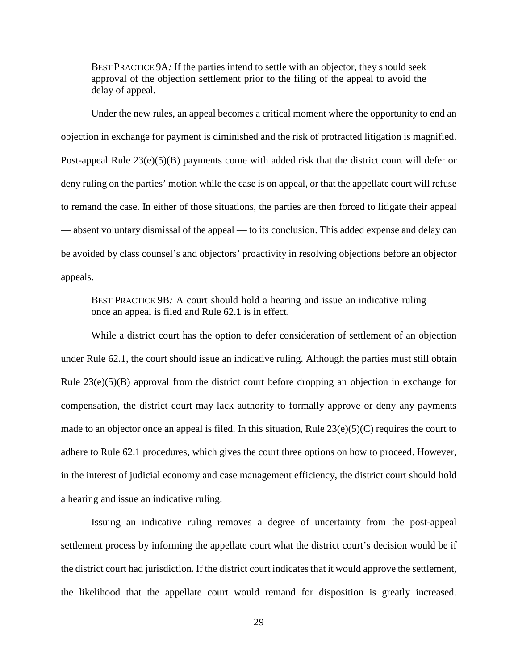BEST PRACTICE 9A*:* If the parties intend to settle with an objector, they should seek approval of the objection settlement prior to the filing of the appeal to avoid the delay of appeal.

Under the new rules, an appeal becomes a critical moment where the opportunity to end an objection in exchange for payment is diminished and the risk of protracted litigation is magnified. Post-appeal Rule 23(e)(5)(B) payments come with added risk that the district court will defer or deny ruling on the parties' motion while the case is on appeal, or that the appellate court will refuse to remand the case. In either of those situations, the parties are then forced to litigate their appeal — absent voluntary dismissal of the appeal — to its conclusion. This added expense and delay can be avoided by class counsel's and objectors' proactivity in resolving objections before an objector appeals.

BEST PRACTICE 9B*:* A court should hold a hearing and issue an indicative ruling once an appeal is filed and Rule 62.1 is in effect.

While a district court has the option to defer consideration of settlement of an objection under Rule 62.1, the court should issue an indicative ruling. Although the parties must still obtain Rule 23(e)(5)(B) approval from the district court before dropping an objection in exchange for compensation, the district court may lack authority to formally approve or deny any payments made to an objector once an appeal is filed. In this situation, Rule  $23(e)(5)(C)$  requires the court to adhere to Rule 62.1 procedures, which gives the court three options on how to proceed. However, in the interest of judicial economy and case management efficiency, the district court should hold a hearing and issue an indicative ruling.

Issuing an indicative ruling removes a degree of uncertainty from the post-appeal settlement process by informing the appellate court what the district court's decision would be if the district court had jurisdiction. If the district court indicates that it would approve the settlement, the likelihood that the appellate court would remand for disposition is greatly increased.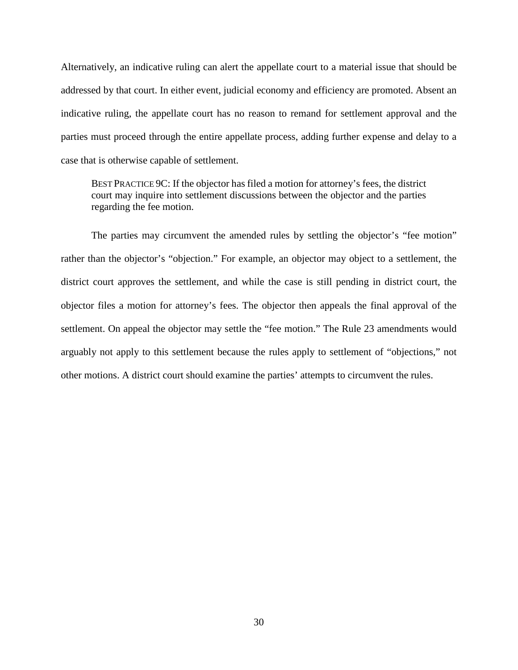Alternatively, an indicative ruling can alert the appellate court to a material issue that should be addressed by that court. In either event, judicial economy and efficiency are promoted. Absent an indicative ruling, the appellate court has no reason to remand for settlement approval and the parties must proceed through the entire appellate process, adding further expense and delay to a case that is otherwise capable of settlement.

BEST PRACTICE 9C: If the objector has filed a motion for attorney's fees, the district court may inquire into settlement discussions between the objector and the parties regarding the fee motion.

The parties may circumvent the amended rules by settling the objector's "fee motion" rather than the objector's "objection." For example, an objector may object to a settlement, the district court approves the settlement, and while the case is still pending in district court, the objector files a motion for attorney's fees. The objector then appeals the final approval of the settlement. On appeal the objector may settle the "fee motion." The Rule 23 amendments would arguably not apply to this settlement because the rules apply to settlement of "objections," not other motions. A district court should examine the parties' attempts to circumvent the rules.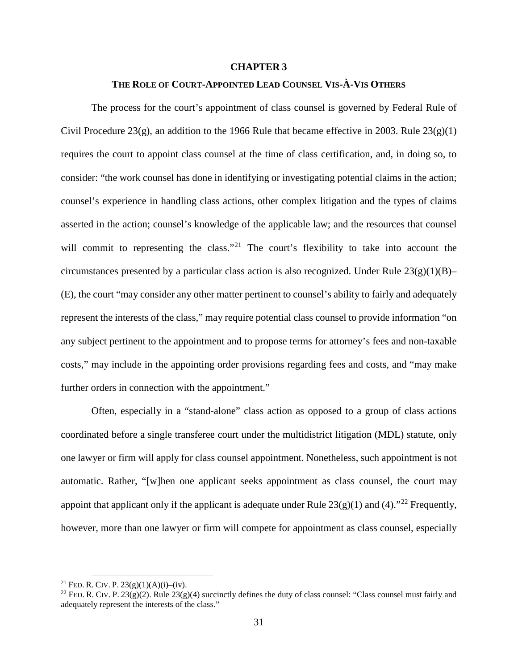### **CHAPTER 3**

## **THE ROLE OF COURT-APPOINTED LEAD COUNSEL VIS-À-VIS OTHERS**

The process for the court's appointment of class counsel is governed by Federal Rule of Civil Procedure 23(g), an addition to the 1966 Rule that became effective in 2003. Rule 23(g)(1) requires the court to appoint class counsel at the time of class certification, and, in doing so, to consider: "the work counsel has done in identifying or investigating potential claims in the action; counsel's experience in handling class actions, other complex litigation and the types of claims asserted in the action; counsel's knowledge of the applicable law; and the resources that counsel will commit to representing the class."<sup>[21](#page-36-0)</sup> The court's flexibility to take into account the circumstances presented by a particular class action is also recognized. Under Rule  $23(g)(1)(B)$ – (E), the court "may consider any other matter pertinent to counsel's ability to fairly and adequately represent the interests of the class," may require potential class counsel to provide information "on any subject pertinent to the appointment and to propose terms for attorney's fees and non-taxable costs," may include in the appointing order provisions regarding fees and costs, and "may make further orders in connection with the appointment."

Often, especially in a "stand-alone" class action as opposed to a group of class actions coordinated before a single transferee court under the multidistrict litigation (MDL) statute, only one lawyer or firm will apply for class counsel appointment. Nonetheless, such appointment is not automatic. Rather, "[w]hen one applicant seeks appointment as class counsel, the court may appoint that applicant only if the applicant is adequate under Rule  $23(g)(1)$  and  $(4)$ ."<sup>[22](#page-36-1)</sup> Frequently, however, more than one lawyer or firm will compete for appointment as class counsel, especially

<span id="page-36-0"></span><sup>&</sup>lt;sup>21</sup> FED. R. CIV. P.  $23(g)(1)(A)(i)$ –(iv).

<span id="page-36-1"></span><sup>&</sup>lt;sup>22</sup> FED. R. CIV. P. 23(g)(2). Rule 23(g)(4) succinctly defines the duty of class counsel: "Class counsel must fairly and adequately represent the interests of the class."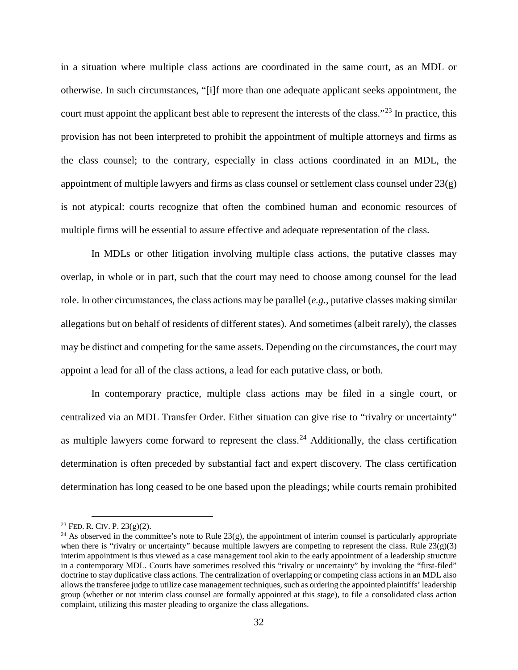in a situation where multiple class actions are coordinated in the same court, as an MDL or otherwise. In such circumstances, "[i]f more than one adequate applicant seeks appointment, the court must appoint the applicant best able to represent the interests of the class."<sup>[23](#page-37-0)</sup> In practice, this provision has not been interpreted to prohibit the appointment of multiple attorneys and firms as the class counsel; to the contrary, especially in class actions coordinated in an MDL, the appointment of multiple lawyers and firms as class counsel or settlement class counsel under  $23(g)$ is not atypical: courts recognize that often the combined human and economic resources of multiple firms will be essential to assure effective and adequate representation of the class.

In MDLs or other litigation involving multiple class actions, the putative classes may overlap, in whole or in part, such that the court may need to choose among counsel for the lead role. In other circumstances, the class actions may be parallel (*e.g.*, putative classes making similar allegations but on behalf of residents of different states). And sometimes (albeit rarely), the classes may be distinct and competing for the same assets. Depending on the circumstances, the court may appoint a lead for all of the class actions, a lead for each putative class, or both.

In contemporary practice, multiple class actions may be filed in a single court, or centralized via an MDL Transfer Order. Either situation can give rise to "rivalry or uncertainty" as multiple lawyers come forward to represent the class.<sup>[24](#page-37-1)</sup> Additionally, the class certification determination is often preceded by substantial fact and expert discovery. The class certification determination has long ceased to be one based upon the pleadings; while courts remain prohibited

<span id="page-37-0"></span><sup>&</sup>lt;sup>23</sup> FED. R. CIV. P.  $23(g)(2)$ .

<span id="page-37-1"></span><sup>&</sup>lt;sup>24</sup> As observed in the committee's note to Rule 23(g), the appointment of interim counsel is particularly appropriate when there is "rivalry or uncertainty" because multiple lawyers are competing to represent the class. Rule  $23(g)(3)$ interim appointment is thus viewed as a case management tool akin to the early appointment of a leadership structure in a contemporary MDL. Courts have sometimes resolved this "rivalry or uncertainty" by invoking the "first-filed" doctrine to stay duplicative class actions. The centralization of overlapping or competing class actions in an MDL also allows the transferee judge to utilize case management techniques, such as ordering the appointed plaintiffs' leadership group (whether or not interim class counsel are formally appointed at this stage), to file a consolidated class action complaint, utilizing this master pleading to organize the class allegations.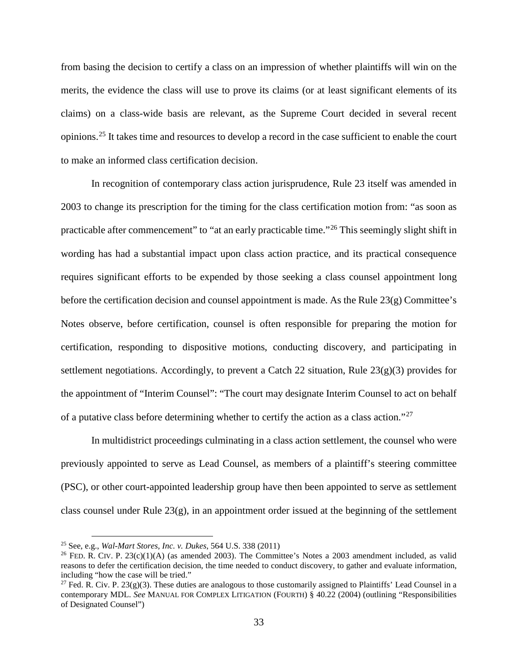from basing the decision to certify a class on an impression of whether plaintiffs will win on the merits, the evidence the class will use to prove its claims (or at least significant elements of its claims) on a class-wide basis are relevant, as the Supreme Court decided in several recent opinions.[25](#page-38-0) It takes time and resources to develop a record in the case sufficient to enable the court to make an informed class certification decision.

In recognition of contemporary class action jurisprudence, Rule 23 itself was amended in 2003 to change its prescription for the timing for the class certification motion from: "as soon as practicable after commencement" to "at an early practicable time."[26](#page-38-1) This seemingly slight shift in wording has had a substantial impact upon class action practice, and its practical consequence requires significant efforts to be expended by those seeking a class counsel appointment long before the certification decision and counsel appointment is made. As the Rule  $23(g)$  Committee's Notes observe, before certification, counsel is often responsible for preparing the motion for certification, responding to dispositive motions, conducting discovery, and participating in settlement negotiations. Accordingly, to prevent a Catch 22 situation, Rule  $23(g)(3)$  provides for the appointment of "Interim Counsel": "The court may designate Interim Counsel to act on behalf of a putative class before determining whether to certify the action as a class action."[27](#page-38-2)

<span id="page-38-3"></span>In multidistrict proceedings culminating in a class action settlement, the counsel who were previously appointed to serve as Lead Counsel, as members of a plaintiff's steering committee (PSC), or other court-appointed leadership group have then been appointed to serve as settlement class counsel under Rule 23(g), in an appointment order issued at the beginning of the settlement

<span id="page-38-0"></span> <sup>25</sup> See, e.g., *Wal-Mart Stores, Inc. v. Dukes*, 564 U.S. 338 (2011)

<span id="page-38-1"></span><sup>&</sup>lt;sup>26</sup> FED. R. CIV. P.  $23(c)(1)(A)$  (as amended 2003). The Committee's Notes a 2003 amendment included, as valid reasons to defer the certification decision, the time needed to conduct discovery, to gather and evaluate information, including "how the case will be tried."

<span id="page-38-2"></span><sup>&</sup>lt;sup>27</sup> Fed. R. Civ. P. 23(g)(3). These duties are analogous to those customarily assigned to Plaintiffs' Lead Counsel in a contemporary MDL. *See* MANUAL FOR COMPLEX LITIGATION (FOURTH) § 40.22 (2004) (outlining "Responsibilities of Designated Counsel")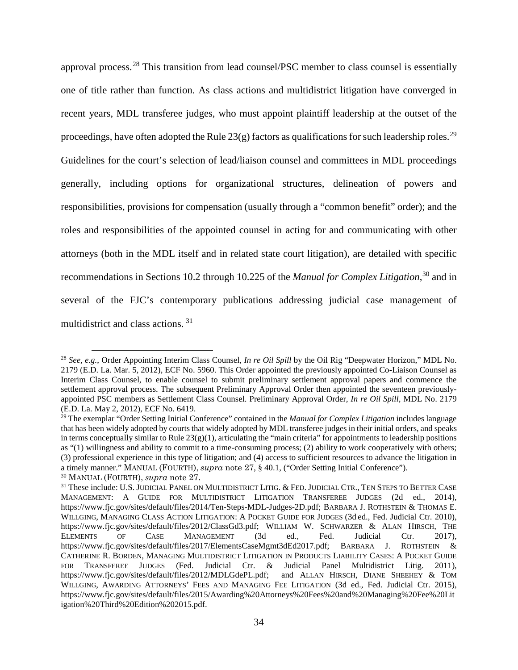approval process.[28](#page-39-0) This transition from lead counsel/PSC member to class counsel is essentially one of title rather than function. As class actions and multidistrict litigation have converged in recent years, MDL transferee judges, who must appoint plaintiff leadership at the outset of the proceedings, have often adopted the Rule  $23(g)$  factors as qualifications for such leadership roles.<sup>[29](#page-39-1)</sup> Guidelines for the court's selection of lead/liaison counsel and committees in MDL proceedings generally, including options for organizational structures, delineation of powers and responsibilities, provisions for compensation (usually through a "common benefit" order); and the roles and responsibilities of the appointed counsel in acting for and communicating with other attorneys (both in the MDL itself and in related state court litigation), are detailed with specific recommendations in Sections 10.2 through 10.225 of the *Manual for Complex Litigation*, [30](#page-39-2) and in several of the FJC's contemporary publications addressing judicial case management of multidistrict and class actions. [31](#page-39-3)

<span id="page-39-4"></span><span id="page-39-0"></span> <sup>28</sup> *See, e.g.*, Order Appointing Interim Class Counsel, *In re Oil Spill* by the Oil Rig "Deepwater Horizon," MDL No. 2179 (E.D. La. Mar. 5, 2012), ECF No. 5960. This Order appointed the previously appointed Co-Liaison Counsel as Interim Class Counsel, to enable counsel to submit preliminary settlement approval papers and commence the settlement approval process. The subsequent Preliminary Approval Order then appointed the seventeen previouslyappointed PSC members as Settlement Class Counsel. Preliminary Approval Order, *In re Oil Spill*, MDL No. 2179 (E.D. La. May 2, 2012), ECF No. 6419.

<span id="page-39-1"></span><sup>29</sup> The exemplar "Order Setting Initial Conference" contained in the *Manual for Complex Litigation* includes language that has been widely adopted by courts that widely adopted by MDL transferee judges in their initial orders, and speaks in terms conceptually similar to Rule  $23(g)(1)$ , articulating the "main criteria" for appointments to leadership positions as "(1) willingness and ability to commit to a time-consuming process; (2) ability to work cooperatively with others; (3) professional experience in this type of litigation; and (4) access to sufficient resources to advance the litigation in a timely manner." MANUAL (FOURTH), *supra* note [27](#page-38-3), § 40.1, ("Order Setting Initial Conference").

<span id="page-39-3"></span><span id="page-39-2"></span><sup>30</sup> MANUAL (FOURTH), *supra* note [27.](#page-38-3)

<sup>31</sup> These include: U.S. JUDICIAL PANEL ON MULTIDISTRICT LITIG. & FED. JUDICIAL CTR., TEN STEPS TO BETTER CASE MANAGEMENT: A GUIDE FOR MULTIDISTRICT LITIGATION TRANSFEREE JUDGES (2d ed., 2014), https://www.fjc.gov/sites/default/files/2014/Ten-Steps-MDL-Judges-2D.pdf; BARBARA J. ROTHSTEIN & THOMAS E. WILLGING, MANAGING CLASS ACTION LITIGATION: A POCKET GUIDE FOR JUDGES (3d ed., Fed. Judicial Ctr. 2010), https://www.fjc.gov/sites/default/files/2012/ClassGd3.pdf; WILLIAM W. SCHWARZER & ALAN HIRSCH, THE ELEMENTS OF CASE MANAGEMENT (3d ed., Fed. Judicial Ctr. 2017), https://www.fjc.gov/sites/default/files/2017/ElementsCaseMgmt3dEd2017.pdf; BARBARA J. ROTHSTEIN & CATHERINE R. BORDEN, MANAGING MULTIDISTRICT LITIGATION IN PRODUCTS LIABILITY CASES: A POCKET GUIDE FOR TRANSFEREE JUDGES (Fed. Judicial Ctr. & Judicial Panel Multidistrict Litig. 2011), https://www.fjc.gov/sites/default/files/2012/MDLGdePL.pdf; and ALLAN HIRSCH, DIANE SHEEHEY & TOM WILLGING, AWARDING ATTORNEYS' FEES AND MANAGING FEE LITIGATION (3d ed., Fed. Judicial Ctr. 2015), https://www.fjc.gov/sites/default/files/2015/Awarding%20Attorneys%20Fees%20and%20Managing%20Fee%20Lit igation%20Third%20Edition%202015.pdf.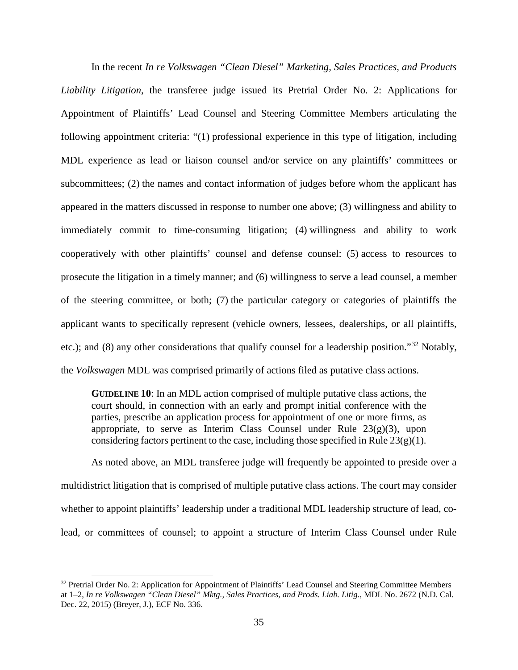In the recent *In re Volkswagen "Clean Diesel" Marketing, Sales Practices, and Products Liability Litigation*, the transferee judge issued its Pretrial Order No. 2: Applications for Appointment of Plaintiffs' Lead Counsel and Steering Committee Members articulating the following appointment criteria: "(1) professional experience in this type of litigation, including MDL experience as lead or liaison counsel and/or service on any plaintiffs' committees or subcommittees; (2) the names and contact information of judges before whom the applicant has appeared in the matters discussed in response to number one above; (3) willingness and ability to immediately commit to time-consuming litigation; (4) willingness and ability to work cooperatively with other plaintiffs' counsel and defense counsel: (5) access to resources to prosecute the litigation in a timely manner; and (6) willingness to serve a lead counsel, a member of the steering committee, or both; (7) the particular category or categories of plaintiffs the applicant wants to specifically represent (vehicle owners, lessees, dealerships, or all plaintiffs, etc.); and (8) any other considerations that qualify counsel for a leadership position."[32](#page-40-0) Notably, the *Volkswagen* MDL was comprised primarily of actions filed as putative class actions.

**GUIDELINE 10**: In an MDL action comprised of multiple putative class actions, the court should, in connection with an early and prompt initial conference with the parties, prescribe an application process for appointment of one or more firms, as appropriate, to serve as Interim Class Counsel under Rule  $23(g)(3)$ , upon considering factors pertinent to the case, including those specified in Rule  $23(g)(1)$ .

As noted above, an MDL transferee judge will frequently be appointed to preside over a multidistrict litigation that is comprised of multiple putative class actions. The court may consider whether to appoint plaintiffs' leadership under a traditional MDL leadership structure of lead, colead, or committees of counsel; to appoint a structure of Interim Class Counsel under Rule

<span id="page-40-0"></span><sup>&</sup>lt;sup>32</sup> Pretrial Order No. 2: Application for Appointment of Plaintiffs' Lead Counsel and Steering Committee Members at 1–2, *In re Volkswagen "Clean Diesel" Mktg., Sales Practices, and Prods. Liab. Litig.*, MDL No. 2672 (N.D. Cal. Dec. 22, 2015) (Breyer, J.), ECF No. 336.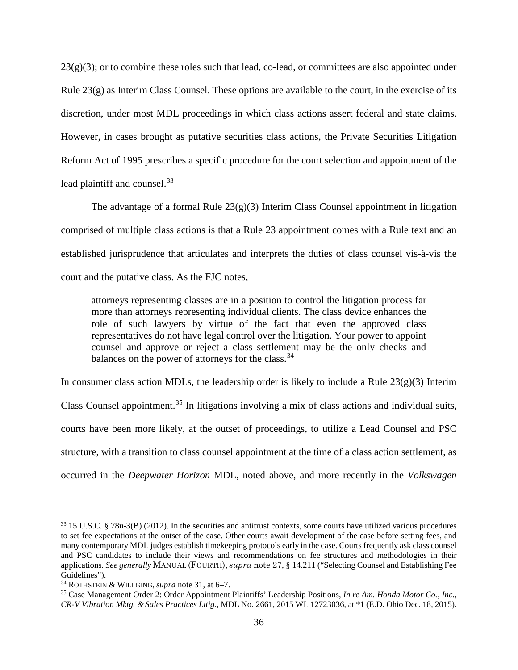$23(g)(3)$ ; or to combine these roles such that lead, co-lead, or committees are also appointed under Rule  $23(g)$  as Interim Class Counsel. These options are available to the court, in the exercise of its discretion, under most MDL proceedings in which class actions assert federal and state claims. However, in cases brought as putative securities class actions, the Private Securities Litigation Reform Act of 1995 prescribes a specific procedure for the court selection and appointment of the lead plaintiff and counsel.<sup>[33](#page-41-0)</sup>

The advantage of a formal Rule  $23(g)(3)$  Interim Class Counsel appointment in litigation comprised of multiple class actions is that a Rule 23 appointment comes with a Rule text and an established jurisprudence that articulates and interprets the duties of class counsel vis-à-vis the court and the putative class. As the FJC notes,

attorneys representing classes are in a position to control the litigation process far more than attorneys representing individual clients. The class device enhances the role of such lawyers by virtue of the fact that even the approved class representatives do not have legal control over the litigation. Your power to appoint counsel and approve or reject a class settlement may be the only checks and balances on the power of attorneys for the class.<sup>[34](#page-41-1)</sup>

In consumer class action MDLs, the leadership order is likely to include a Rule  $23(g)(3)$  Interim Class Counsel appointment.<sup>[35](#page-41-2)</sup> In litigations involving a mix of class actions and individual suits, courts have been more likely, at the outset of proceedings, to utilize a Lead Counsel and PSC structure, with a transition to class counsel appointment at the time of a class action settlement, as occurred in the *Deepwater Horizon* MDL, noted above, and more recently in the *Volkswagen*

<span id="page-41-0"></span> $33$  15 U.S.C. § 78u-3(B) (2012). In the securities and antitrust contexts, some courts have utilized various procedures to set fee expectations at the outset of the case. Other courts await development of the case before setting fees, and many contemporary MDL judges establish timekeeping protocols early in the case. Courts frequently ask class counsel and PSC candidates to include their views and recommendations on fee structures and methodologies in their applications. *See generally* MANUAL (FOURTH), *supra* note [27](#page-38-3), § 14.211 ("Selecting Counsel and Establishing Fee Guidelines").

<span id="page-41-1"></span><sup>34</sup> ROTHSTEIN & WILLGING, *supra* note [31,](#page-39-4) at 6–7.

<span id="page-41-2"></span><sup>35</sup> Case Management Order 2: Order Appointment Plaintiffs' Leadership Positions, *In re Am. Honda Motor Co., Inc., CR-V Vibration Mktg. & Sales Practices Litig*., MDL No. 2661, 2015 WL 12723036, at \*1 (E.D. Ohio Dec. 18, 2015).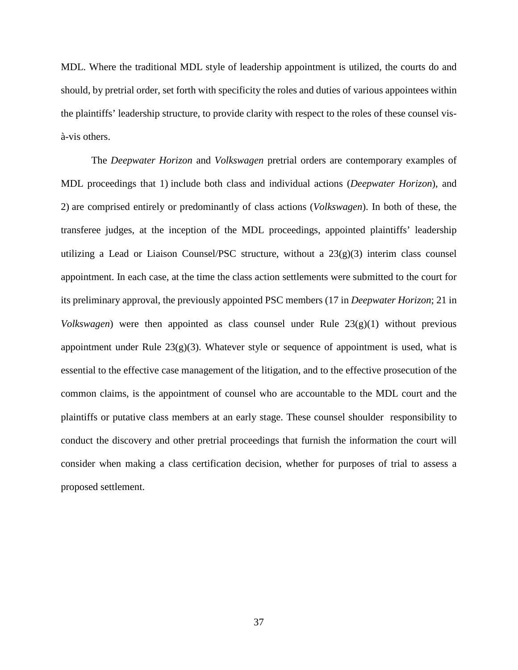MDL. Where the traditional MDL style of leadership appointment is utilized, the courts do and should, by pretrial order, set forth with specificity the roles and duties of various appointees within the plaintiffs' leadership structure, to provide clarity with respect to the roles of these counsel visà-vis others.

The *Deepwater Horizon* and *Volkswagen* pretrial orders are contemporary examples of MDL proceedings that 1) include both class and individual actions (*Deepwater Horizon*), and 2) are comprised entirely or predominantly of class actions (*Volkswagen*). In both of these, the transferee judges, at the inception of the MDL proceedings, appointed plaintiffs' leadership utilizing a Lead or Liaison Counsel/PSC structure, without a  $23(g)(3)$  interim class counsel appointment. In each case, at the time the class action settlements were submitted to the court for its preliminary approval, the previously appointed PSC members (17 in *Deepwater Horizon*; 21 in *Volkswagen*) were then appointed as class counsel under Rule 23(g)(1) without previous appointment under Rule  $23(g)(3)$ . Whatever style or sequence of appointment is used, what is essential to the effective case management of the litigation, and to the effective prosecution of the common claims, is the appointment of counsel who are accountable to the MDL court and the plaintiffs or putative class members at an early stage. These counsel shoulder responsibility to conduct the discovery and other pretrial proceedings that furnish the information the court will consider when making a class certification decision, whether for purposes of trial to assess a proposed settlement.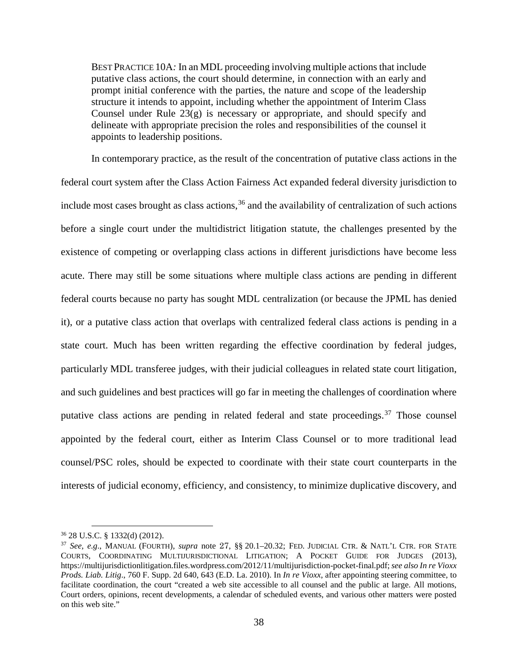BEST PRACTICE 10A*:* In an MDL proceeding involving multiple actions that include putative class actions, the court should determine, in connection with an early and prompt initial conference with the parties, the nature and scope of the leadership structure it intends to appoint, including whether the appointment of Interim Class Counsel under Rule  $23(g)$  is necessary or appropriate, and should specify and delineate with appropriate precision the roles and responsibilities of the counsel it appoints to leadership positions.

In contemporary practice, as the result of the concentration of putative class actions in the federal court system after the Class Action Fairness Act expanded federal diversity jurisdiction to include most cases brought as class actions, [36](#page-43-0) and the availability of centralization of such actions before a single court under the multidistrict litigation statute, the challenges presented by the existence of competing or overlapping class actions in different jurisdictions have become less acute. There may still be some situations where multiple class actions are pending in different federal courts because no party has sought MDL centralization (or because the JPML has denied it), or a putative class action that overlaps with centralized federal class actions is pending in a state court. Much has been written regarding the effective coordination by federal judges, particularly MDL transferee judges, with their judicial colleagues in related state court litigation, and such guidelines and best practices will go far in meeting the challenges of coordination where putative class actions are pending in related federal and state proceedings.<sup>[37](#page-43-1)</sup> Those counsel appointed by the federal court, either as Interim Class Counsel or to more traditional lead counsel/PSC roles, should be expected to coordinate with their state court counterparts in the interests of judicial economy, efficiency, and consistency, to minimize duplicative discovery, and

<span id="page-43-0"></span> <sup>36</sup> 28 U.S.C. § 1332(d) (2012).

<span id="page-43-1"></span><sup>37</sup> *See, e.g*., MANUAL (FOURTH), *supra* note [27](#page-38-3), §§ 20.1–20.32; FED. JUDICIAL CTR. & NATL'L CTR. FOR STATE COURTS, COORDINATING MULTIJURISDICTIONAL LITIGATION; A POCKET GUIDE FOR JUDGES (2013), https://multijurisdictionlitigation.files.wordpress.com/2012/11/multijurisdiction-pocket-final.pdf; *see also In re Vioxx Prods. Liab. Litig*., 760 F. Supp. 2d 640, 643 (E.D. La. 2010). In *In re Vioxx*, after appointing steering committee, to facilitate coordination, the court "created a web site accessible to all counsel and the public at large. All motions, Court orders, opinions, recent developments, a calendar of scheduled events, and various other matters were posted on this web site."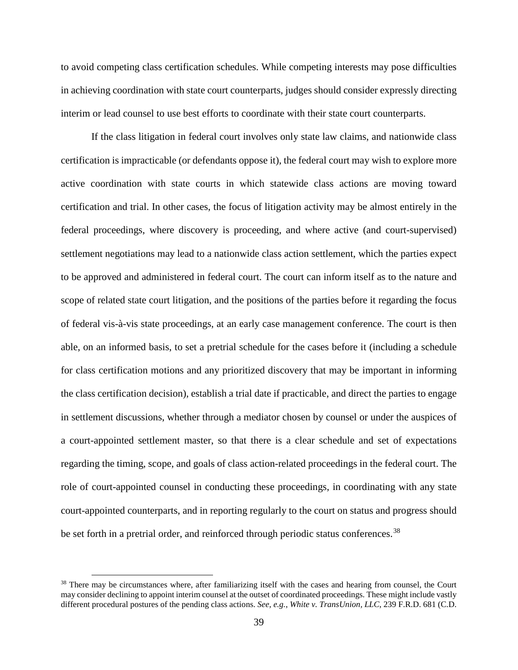to avoid competing class certification schedules. While competing interests may pose difficulties in achieving coordination with state court counterparts, judges should consider expressly directing interim or lead counsel to use best efforts to coordinate with their state court counterparts.

If the class litigation in federal court involves only state law claims, and nationwide class certification is impracticable (or defendants oppose it), the federal court may wish to explore more active coordination with state courts in which statewide class actions are moving toward certification and trial. In other cases, the focus of litigation activity may be almost entirely in the federal proceedings, where discovery is proceeding, and where active (and court-supervised) settlement negotiations may lead to a nationwide class action settlement, which the parties expect to be approved and administered in federal court. The court can inform itself as to the nature and scope of related state court litigation, and the positions of the parties before it regarding the focus of federal vis-à-vis state proceedings, at an early case management conference. The court is then able, on an informed basis, to set a pretrial schedule for the cases before it (including a schedule for class certification motions and any prioritized discovery that may be important in informing the class certification decision), establish a trial date if practicable, and direct the parties to engage in settlement discussions, whether through a mediator chosen by counsel or under the auspices of a court-appointed settlement master, so that there is a clear schedule and set of expectations regarding the timing, scope, and goals of class action-related proceedings in the federal court. The role of court-appointed counsel in conducting these proceedings, in coordinating with any state court-appointed counterparts, and in reporting regularly to the court on status and progress should be set forth in a pretrial order, and reinforced through periodic status conferences.<sup>[38](#page-44-0)</sup>

<span id="page-44-0"></span><sup>&</sup>lt;sup>38</sup> There may be circumstances where, after familiarizing itself with the cases and hearing from counsel, the Court may consider declining to appoint interim counsel at the outset of coordinated proceedings. These might include vastly different procedural postures of the pending class actions. *See, e.g.*, *White v. TransUnion, LLC*, 239 F.R.D. 681 (C.D.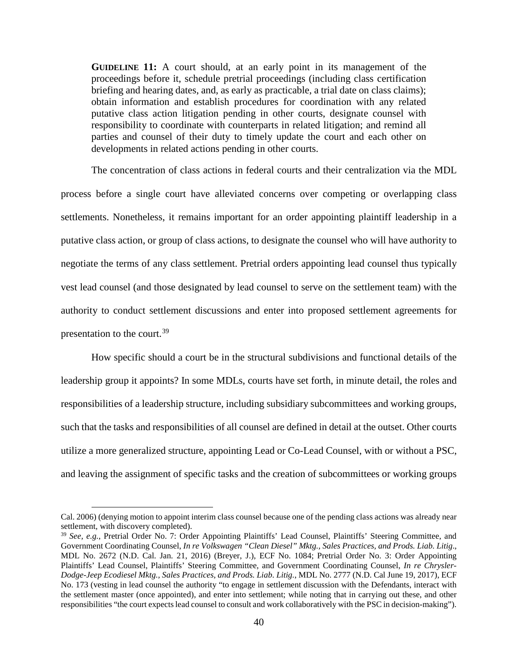**GUIDELINE 11:** A court should, at an early point in its management of the proceedings before it, schedule pretrial proceedings (including class certification briefing and hearing dates, and, as early as practicable, a trial date on class claims); obtain information and establish procedures for coordination with any related putative class action litigation pending in other courts, designate counsel with responsibility to coordinate with counterparts in related litigation; and remind all parties and counsel of their duty to timely update the court and each other on developments in related actions pending in other courts.

The concentration of class actions in federal courts and their centralization via the MDL process before a single court have alleviated concerns over competing or overlapping class settlements. Nonetheless, it remains important for an order appointing plaintiff leadership in a putative class action, or group of class actions, to designate the counsel who will have authority to negotiate the terms of any class settlement. Pretrial orders appointing lead counsel thus typically vest lead counsel (and those designated by lead counsel to serve on the settlement team) with the authority to conduct settlement discussions and enter into proposed settlement agreements for presentation to the court.<sup>[39](#page-45-0)</sup>

How specific should a court be in the structural subdivisions and functional details of the leadership group it appoints? In some MDLs, courts have set forth, in minute detail, the roles and responsibilities of a leadership structure, including subsidiary subcommittees and working groups, such that the tasks and responsibilities of all counsel are defined in detail at the outset. Other courts utilize a more generalized structure, appointing Lead or Co-Lead Counsel, with or without a PSC, and leaving the assignment of specific tasks and the creation of subcommittees or working groups

 $\overline{a}$ 

Cal. 2006) (denying motion to appoint interim class counsel because one of the pending class actions was already near settlement, with discovery completed).

<span id="page-45-0"></span><sup>39</sup> *See, e.g.*, Pretrial Order No. 7: Order Appointing Plaintiffs' Lead Counsel, Plaintiffs' Steering Committee, and Government Coordinating Counsel, *In re Volkswagen "Clean Diesel" Mktg., Sales Practices, and Prods. Liab. Litig*., MDL No. 2672 (N.D. Cal. Jan. 21, 2016) (Breyer, J.), ECF No. 1084; Pretrial Order No. 3: Order Appointing Plaintiffs' Lead Counsel, Plaintiffs' Steering Committee, and Government Coordinating Counsel, *In re Chrysler-Dodge-Jeep Ecodiesel Mktg., Sales Practices, and Prods. Liab. Litig.*, MDL No. 2777 (N.D. Cal June 19, 2017), ECF No. 173 (vesting in lead counsel the authority "to engage in settlement discussion with the Defendants, interact with the settlement master (once appointed), and enter into settlement; while noting that in carrying out these, and other responsibilities "the court expects lead counsel to consult and work collaboratively with the PSC in decision-making").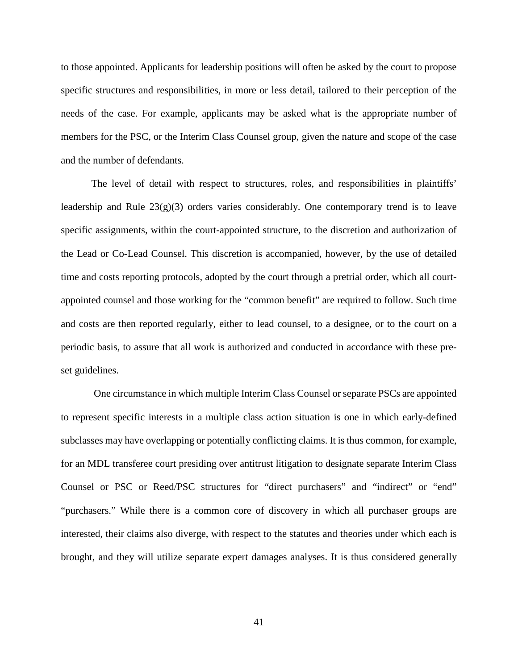to those appointed. Applicants for leadership positions will often be asked by the court to propose specific structures and responsibilities, in more or less detail, tailored to their perception of the needs of the case. For example, applicants may be asked what is the appropriate number of members for the PSC, or the Interim Class Counsel group, given the nature and scope of the case and the number of defendants.

The level of detail with respect to structures, roles, and responsibilities in plaintiffs' leadership and Rule  $23(g)(3)$  orders varies considerably. One contemporary trend is to leave specific assignments, within the court-appointed structure, to the discretion and authorization of the Lead or Co-Lead Counsel. This discretion is accompanied, however, by the use of detailed time and costs reporting protocols, adopted by the court through a pretrial order, which all courtappointed counsel and those working for the "common benefit" are required to follow. Such time and costs are then reported regularly, either to lead counsel, to a designee, or to the court on a periodic basis, to assure that all work is authorized and conducted in accordance with these preset guidelines.

One circumstance in which multiple Interim Class Counsel or separate PSCs are appointed to represent specific interests in a multiple class action situation is one in which early-defined subclasses may have overlapping or potentially conflicting claims. It is thus common, for example, for an MDL transferee court presiding over antitrust litigation to designate separate Interim Class Counsel or PSC or Reed/PSC structures for "direct purchasers" and "indirect" or "end" "purchasers." While there is a common core of discovery in which all purchaser groups are interested, their claims also diverge, with respect to the statutes and theories under which each is brought, and they will utilize separate expert damages analyses. It is thus considered generally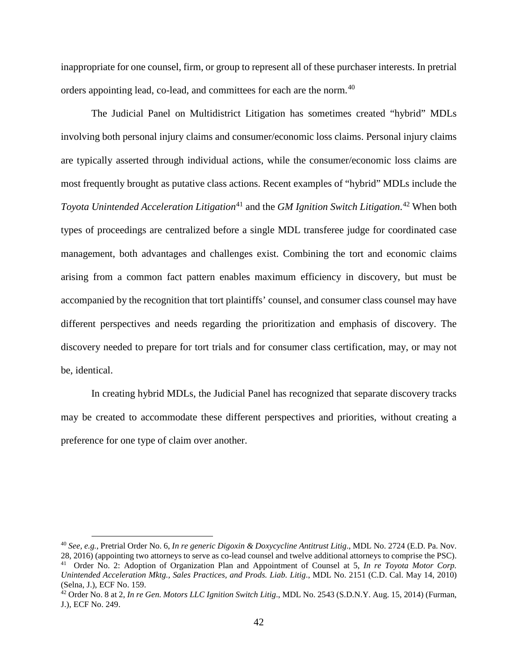inappropriate for one counsel, firm, or group to represent all of these purchaser interests. In pretrial orders appointing lead, co-lead, and committees for each are the norm.[40](#page-47-0)

<span id="page-47-3"></span>The Judicial Panel on Multidistrict Litigation has sometimes created "hybrid" MDLs involving both personal injury claims and consumer/economic loss claims. Personal injury claims are typically asserted through individual actions, while the consumer/economic loss claims are most frequently brought as putative class actions. Recent examples of "hybrid" MDLs include the *Toyota Unintended Acceleration Litigation*[41](#page-47-1) and the *GM Ignition Switch Litigation*. [42](#page-47-2) When both types of proceedings are centralized before a single MDL transferee judge for coordinated case management, both advantages and challenges exist. Combining the tort and economic claims arising from a common fact pattern enables maximum efficiency in discovery, but must be accompanied by the recognition that tort plaintiffs' counsel, and consumer class counsel may have different perspectives and needs regarding the prioritization and emphasis of discovery. The discovery needed to prepare for tort trials and for consumer class certification, may, or may not be, identical.

In creating hybrid MDLs, the Judicial Panel has recognized that separate discovery tracks may be created to accommodate these different perspectives and priorities, without creating a preference for one type of claim over another.

<span id="page-47-0"></span> <sup>40</sup> *See, e.g.*, Pretrial Order No. 6, *In re generic Digoxin & Doxycycline Antitrust Litig*., MDL No. 2724 (E.D. Pa. Nov. 28, 2016) (appointing two attorneys to serve as co-lead counsel and twelve additional attorneys to comprise the PSC).

<span id="page-47-1"></span><sup>41</sup> Order No. 2: Adoption of Organization Plan and Appointment of Counsel at 5, *In re Toyota Motor Corp. Unintended Acceleration Mktg., Sales Practices, and Prods. Liab. Litig*., MDL No. 2151 (C.D. Cal. May 14, 2010) (Selna, J.), ECF No. 159.

<span id="page-47-2"></span><sup>42</sup> Order No. 8 at 2, *In re Gen. Motors LLC Ignition Switch Litig*., MDL No. 2543 (S.D.N.Y. Aug. 15, 2014) (Furman, J.), ECF No. 249.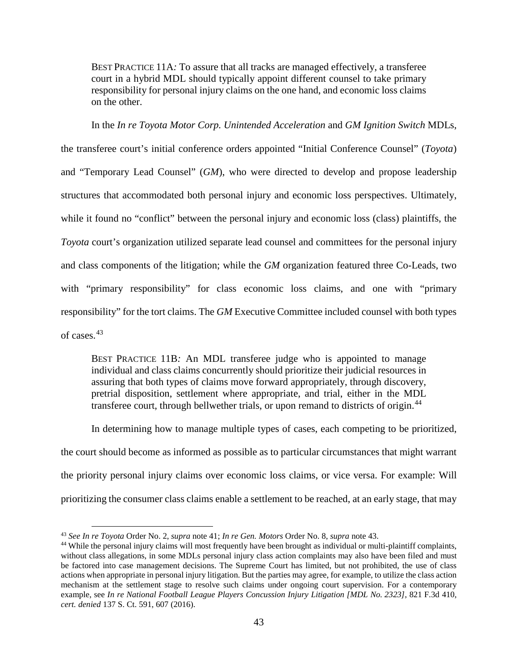BEST PRACTICE 11A*:* To assure that all tracks are managed effectively, a transferee court in a hybrid MDL should typically appoint different counsel to take primary responsibility for personal injury claims on the one hand, and economic loss claims on the other.

In the *In re Toyota Motor Corp. Unintended Acceleration* and *GM Ignition Switch* MDLs, the transferee court's initial conference orders appointed "Initial Conference Counsel" (*Toyota*) and "Temporary Lead Counsel" (*GM*), who were directed to develop and propose leadership structures that accommodated both personal injury and economic loss perspectives. Ultimately, while it found no "conflict" between the personal injury and economic loss (class) plaintiffs, the *Toyota* court's organization utilized separate lead counsel and committees for the personal injury and class components of the litigation; while the *GM* organization featured three Co-Leads, two with "primary responsibility" for class economic loss claims, and one with "primary responsibility" for the tort claims. The *GM* Executive Committee included counsel with both types of cases.[43](#page-48-1)

<span id="page-48-0"></span>BEST PRACTICE 11B*:* An MDL transferee judge who is appointed to manage individual and class claims concurrently should prioritize their judicial resources in assuring that both types of claims move forward appropriately, through discovery, pretrial disposition, settlement where appropriate, and trial, either in the MDL transferee court, through bellwether trials, or upon remand to districts of origin.[44](#page-48-2)

In determining how to manage multiple types of cases, each competing to be prioritized, the court should become as informed as possible as to particular circumstances that might warrant the priority personal injury claims over economic loss claims, or vice versa. For example: Will prioritizing the consumer class claims enable a settlement to be reached, at an early stage, that may

<span id="page-48-2"></span><span id="page-48-1"></span><sup>&</sup>lt;sup>43</sup> See In re Toyota Order No. 2, supra note 41; In re Gen. Motors Order No. 8, supra note 43.<br><sup>44</sup> While the personal injury claims will most frequently have been brought as individual or multi-plaintiff complaints, without class allegations, in some MDLs personal injury class action complaints may also have been filed and must be factored into case management decisions. The Supreme Court has limited, but not prohibited, the use of class actions when appropriate in personal injury litigation. But the parties may agree, for example, to utilize the class action mechanism at the settlement stage to resolve such claims under ongoing court supervision. For a contemporary example, see *In re National Football League Players Concussion Injury Litigation [MDL No. 2323]*, 821 F.3d 410, *cert. denied* 137 S. Ct. 591, 607 (2016).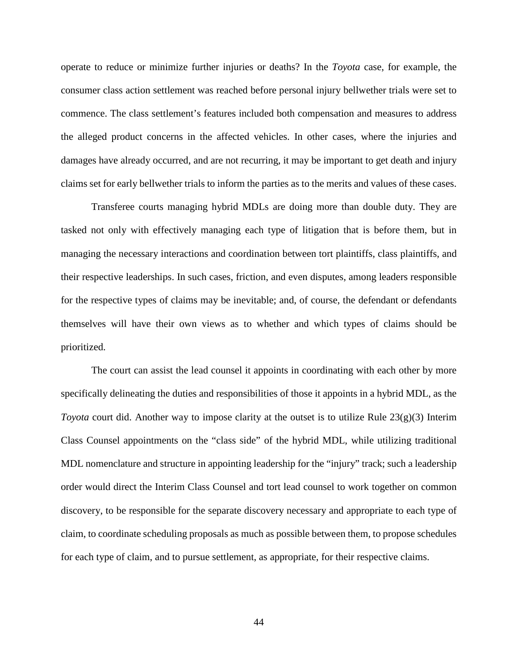operate to reduce or minimize further injuries or deaths? In the *Toyota* case, for example, the consumer class action settlement was reached before personal injury bellwether trials were set to commence. The class settlement's features included both compensation and measures to address the alleged product concerns in the affected vehicles. In other cases, where the injuries and damages have already occurred, and are not recurring, it may be important to get death and injury claims set for early bellwether trials to inform the parties as to the merits and values of these cases.

Transferee courts managing hybrid MDLs are doing more than double duty. They are tasked not only with effectively managing each type of litigation that is before them, but in managing the necessary interactions and coordination between tort plaintiffs, class plaintiffs, and their respective leaderships. In such cases, friction, and even disputes, among leaders responsible for the respective types of claims may be inevitable; and, of course, the defendant or defendants themselves will have their own views as to whether and which types of claims should be prioritized.

The court can assist the lead counsel it appoints in coordinating with each other by more specifically delineating the duties and responsibilities of those it appoints in a hybrid MDL, as the *Toyota* court did. Another way to impose clarity at the outset is to utilize Rule  $23(g)(3)$  Interim Class Counsel appointments on the "class side" of the hybrid MDL, while utilizing traditional MDL nomenclature and structure in appointing leadership for the "injury" track; such a leadership order would direct the Interim Class Counsel and tort lead counsel to work together on common discovery, to be responsible for the separate discovery necessary and appropriate to each type of claim, to coordinate scheduling proposals as much as possible between them, to propose schedules for each type of claim, and to pursue settlement, as appropriate, for their respective claims.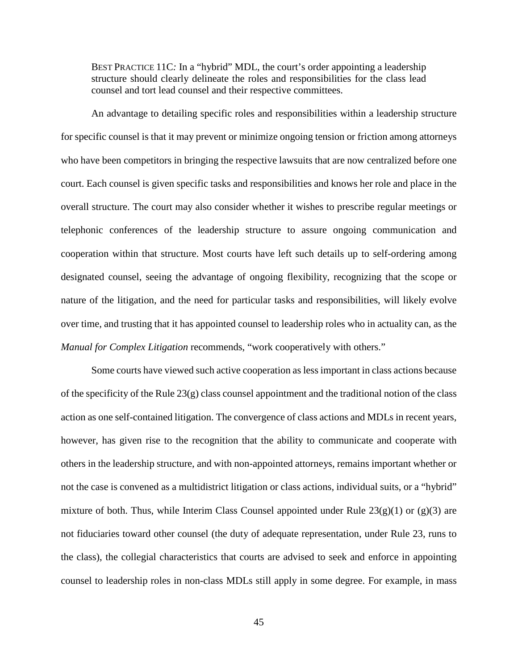BEST PRACTICE 11C: In a "hybrid" MDL, the court's order appointing a leadership structure should clearly delineate the roles and responsibilities for the class lead counsel and tort lead counsel and their respective committees.

An advantage to detailing specific roles and responsibilities within a leadership structure for specific counsel is that it may prevent or minimize ongoing tension or friction among attorneys who have been competitors in bringing the respective lawsuits that are now centralized before one court. Each counsel is given specific tasks and responsibilities and knows her role and place in the overall structure. The court may also consider whether it wishes to prescribe regular meetings or telephonic conferences of the leadership structure to assure ongoing communication and cooperation within that structure. Most courts have left such details up to self-ordering among designated counsel, seeing the advantage of ongoing flexibility, recognizing that the scope or nature of the litigation, and the need for particular tasks and responsibilities, will likely evolve over time, and trusting that it has appointed counsel to leadership roles who in actuality can, as the *Manual for Complex Litigation* recommends, "work cooperatively with others."

Some courts have viewed such active cooperation as less important in class actions because of the specificity of the Rule 23(g) class counsel appointment and the traditional notion of the class action as one self-contained litigation. The convergence of class actions and MDLs in recent years, however, has given rise to the recognition that the ability to communicate and cooperate with others in the leadership structure, and with non-appointed attorneys, remains important whether or not the case is convened as a multidistrict litigation or class actions, individual suits, or a "hybrid" mixture of both. Thus, while Interim Class Counsel appointed under Rule  $23(g)(1)$  or  $(g)(3)$  are not fiduciaries toward other counsel (the duty of adequate representation, under Rule 23, runs to the class), the collegial characteristics that courts are advised to seek and enforce in appointing counsel to leadership roles in non-class MDLs still apply in some degree. For example, in mass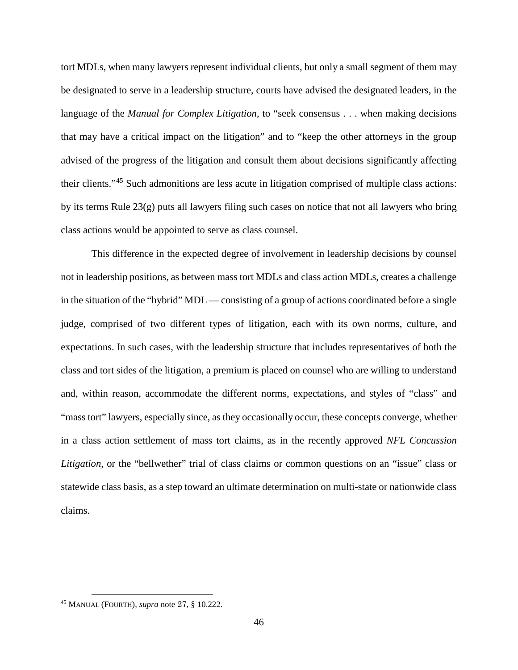tort MDLs, when many lawyers represent individual clients, but only a small segment of them may be designated to serve in a leadership structure, courts have advised the designated leaders, in the language of the *Manual for Complex Litigation*, to "seek consensus . . . when making decisions that may have a critical impact on the litigation" and to "keep the other attorneys in the group advised of the progress of the litigation and consult them about decisions significantly affecting their clients."[45](#page-51-0) Such admonitions are less acute in litigation comprised of multiple class actions: by its terms Rule 23(g) puts all lawyers filing such cases on notice that not all lawyers who bring class actions would be appointed to serve as class counsel.

This difference in the expected degree of involvement in leadership decisions by counsel not in leadership positions, as between mass tort MDLs and class action MDLs, creates a challenge in the situation of the "hybrid" MDL –– consisting of a group of actions coordinated before a single judge, comprised of two different types of litigation, each with its own norms, culture, and expectations. In such cases, with the leadership structure that includes representatives of both the class and tort sides of the litigation, a premium is placed on counsel who are willing to understand and, within reason, accommodate the different norms, expectations, and styles of "class" and "mass tort" lawyers, especially since, as they occasionally occur, these concepts converge, whether in a class action settlement of mass tort claims, as in the recently approved *NFL Concussion Litigation*, or the "bellwether" trial of class claims or common questions on an "issue" class or statewide class basis, as a step toward an ultimate determination on multi-state or nationwide class claims.

<span id="page-51-0"></span> <sup>45</sup> MANUAL (FOURTH), *supra* note [27](#page-38-3), § 10.222.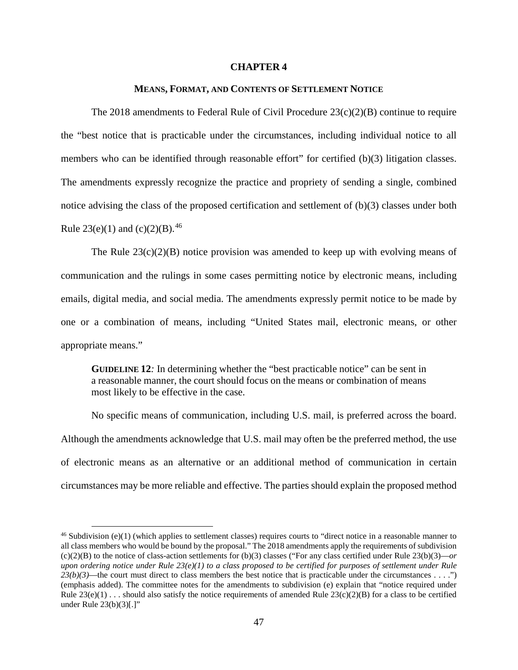#### **CHAPTER 4**

#### **MEANS, FORMAT, AND CONTENTS OF SETTLEMENT NOTICE**

The 2018 amendments to Federal Rule of Civil Procedure  $23(c)(2)(B)$  continue to require the "best notice that is practicable under the circumstances, including individual notice to all members who can be identified through reasonable effort" for certified (b)(3) litigation classes. The amendments expressly recognize the practice and propriety of sending a single, combined notice advising the class of the proposed certification and settlement of (b)(3) classes under both Rule 23(e)(1) and (c)(2)(B).<sup>[46](#page-52-0)</sup>

The Rule  $23(c)(2)(B)$  notice provision was amended to keep up with evolving means of communication and the rulings in some cases permitting notice by electronic means, including emails, digital media, and social media. The amendments expressly permit notice to be made by one or a combination of means, including "United States mail, electronic means, or other appropriate means."

**GUIDELINE 12***:* In determining whether the "best practicable notice" can be sent in a reasonable manner, the court should focus on the means or combination of means most likely to be effective in the case.

No specific means of communication, including U.S. mail, is preferred across the board. Although the amendments acknowledge that U.S. mail may often be the preferred method, the use of electronic means as an alternative or an additional method of communication in certain circumstances may be more reliable and effective. The parties should explain the proposed method

<span id="page-52-0"></span> $46$  Subdivision (e)(1) (which applies to settlement classes) requires courts to "direct notice in a reasonable manner to all class members who would be bound by the proposal." The 2018 amendments apply the requirements of subdivision (c)(2)(B) to the notice of class-action settlements for (b)(3) classes ("For any class certified under Rule 23(b)(3)—*or upon ordering notice under Rule 23(e)(1) to a class proposed to be certified for purposes of settlement under Rule*   $23(b)(3)$ —the court must direct to class members the best notice that is practicable under the circumstances . . . .") (emphasis added). The committee notes for the amendments to subdivision (e) explain that "notice required under Rule  $23(e)(1)$ ... should also satisfy the notice requirements of amended Rule  $23(e)(2)(B)$  for a class to be certified under Rule 23(b)(3)[.]"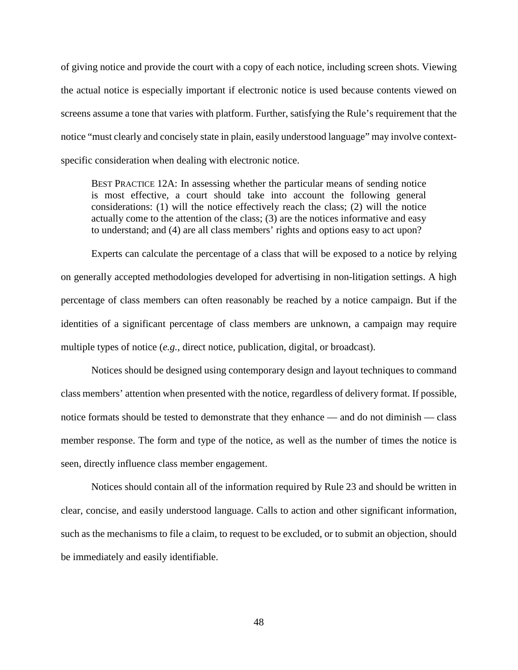of giving notice and provide the court with a copy of each notice, including screen shots. Viewing the actual notice is especially important if electronic notice is used because contents viewed on screens assume a tone that varies with platform. Further, satisfying the Rule's requirement that the notice "must clearly and concisely state in plain, easily understood language" may involve contextspecific consideration when dealing with electronic notice.

BEST PRACTICE 12A: In assessing whether the particular means of sending notice is most effective, a court should take into account the following general considerations: (1) will the notice effectively reach the class; (2) will the notice actually come to the attention of the class; (3) are the notices informative and easy to understand; and (4) are all class members' rights and options easy to act upon?

Experts can calculate the percentage of a class that will be exposed to a notice by relying on generally accepted methodologies developed for advertising in non-litigation settings. A high percentage of class members can often reasonably be reached by a notice campaign. But if the identities of a significant percentage of class members are unknown, a campaign may require multiple types of notice (*e.g.*, direct notice, publication, digital, or broadcast).

Notices should be designed using contemporary design and layout techniques to command class members' attention when presented with the notice, regardless of delivery format. If possible, notice formats should be tested to demonstrate that they enhance — and do not diminish — class member response. The form and type of the notice, as well as the number of times the notice is seen, directly influence class member engagement.

Notices should contain all of the information required by Rule 23 and should be written in clear, concise, and easily understood language. Calls to action and other significant information, such as the mechanisms to file a claim, to request to be excluded, or to submit an objection, should be immediately and easily identifiable.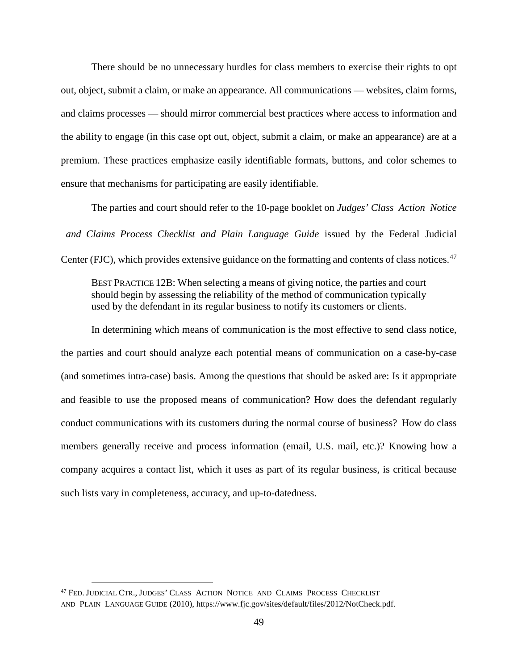There should be no unnecessary hurdles for class members to exercise their rights to opt out, object, submit a claim, or make an appearance. All communications — websites, claim forms, and claims processes — should mirror commercial best practices where access to information and the ability to engage (in this case opt out, object, submit a claim, or make an appearance) are at a premium. These practices emphasize easily identifiable formats, buttons, and color schemes to ensure that mechanisms for participating are easily identifiable.

The parties and court should refer to the 10-page booklet on *Judges' Class Action Notice and Claims Process Checklist and Plain Language Guide* issued by the Federal Judicial Center (FJC), which provides extensive guidance on the formatting and contents of class notices.<sup>[47](#page-54-0)</sup>

BEST PRACTICE 12B: When selecting a means of giving notice, the parties and court should begin by assessing the reliability of the method of communication typically used by the defendant in its regular business to notify its customers or clients.

In determining which means of communication is the most effective to send class notice, the parties and court should analyze each potential means of communication on a case-by-case (and sometimes intra-case) basis. Among the questions that should be asked are: Is it appropriate and feasible to use the proposed means of communication? How does the defendant regularly conduct communications with its customers during the normal course of business? How do class members generally receive and process information (email, U.S. mail, etc.)? Knowing how a company acquires a contact list, which it uses as part of its regular business, is critical because such lists vary in completeness, accuracy, and up-to-datedness.

<span id="page-54-0"></span> <sup>47</sup> FED. JUDICIAL CTR., JUDGES' CLASS ACTION NOTICE AND CLAIMS PROCESS CHECKLIST AND PLAIN LANGUAGE GUIDE (2010), https://www.fjc.gov/sites/default/files/2012/NotCheck.pdf.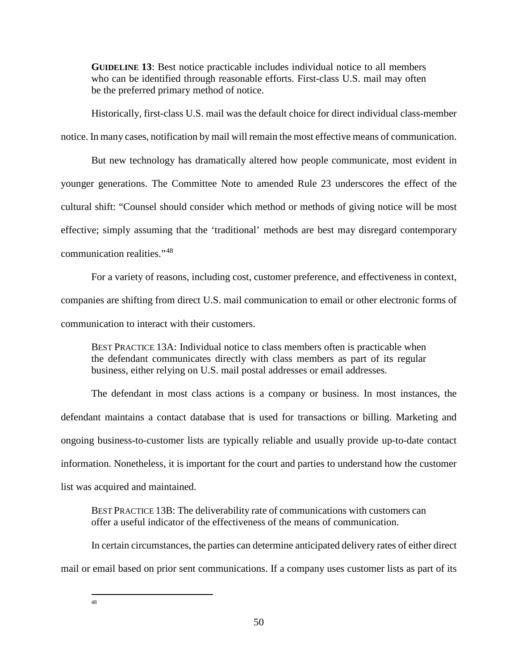**GUIDELINE 13**: Best notice practicable includes individual notice to all members who can be identified through reasonable efforts. First-class U.S. mail may often be the preferred primary method of notice.

Historically, first-class U.S. mail was the default choice for direct individual class-member notice. In many cases, notification by mail will remain the most effective means of communication.

But new technology has dramatically altered how people communicate, most evident in younger generations. The Committee Note to amended Rule 23 underscores the effect of the cultural shift: "Counsel should consider which method or methods of giving notice will be most effective; simply assuming that the 'traditional' methods are best may disregard contemporary communication realities."[48](#page-55-0)

For a variety of reasons, including cost, customer preference, and effectiveness in context, companies are shifting from direct U.S. mail communication to email or other electronic forms of communication to interact with their customers.

BEST PRACTICE 13A: Individual notice to class members often is practicable when the defendant communicates directly with class members as part of its regular business, either relying on U.S. mail postal addresses or email addresses.

The defendant in most class actions is a company or business. In most instances, the defendant maintains a contact database that is used for transactions or billing. Marketing and ongoing business-to-customer lists are typically reliable and usually provide up-to-date contact information. Nonetheless, it is important for the court and parties to understand how the customer list was acquired and maintained.

BEST PRACTICE 13B: The deliverability rate of communications with customers can offer a useful indicator of the effectiveness of the means of communication.

<span id="page-55-0"></span>In certain circumstances, the parties can determine anticipated delivery rates of either direct mail or email based on prior sent communications. If a company uses customer lists as part of its

48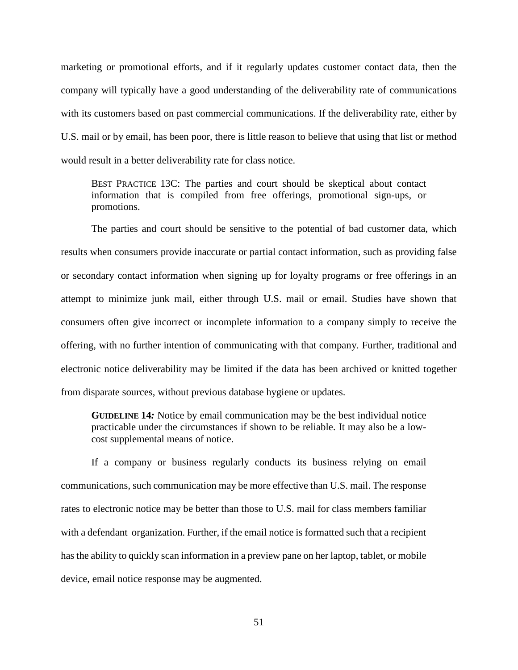marketing or promotional efforts, and if it regularly updates customer contact data, then the company will typically have a good understanding of the deliverability rate of communications with its customers based on past commercial communications. If the deliverability rate, either by U.S. mail or by email, has been poor, there is little reason to believe that using that list or method would result in a better deliverability rate for class notice.

BEST PRACTICE 13C: The parties and court should be skeptical about contact information that is compiled from free offerings, promotional sign-ups, or promotions.

The parties and court should be sensitive to the potential of bad customer data, which results when consumers provide inaccurate or partial contact information, such as providing false or secondary contact information when signing up for loyalty programs or free offerings in an attempt to minimize junk mail, either through U.S. mail or email. Studies have shown that consumers often give incorrect or incomplete information to a company simply to receive the offering, with no further intention of communicating with that company. Further, traditional and electronic notice deliverability may be limited if the data has been archived or knitted together from disparate sources, without previous database hygiene or updates.

**GUIDELINE 14***:* Notice by email communication may be the best individual notice practicable under the circumstances if shown to be reliable. It may also be a lowcost supplemental means of notice.

If a company or business regularly conducts its business relying on email communications, such communication may be more effective than U.S. mail. The response rates to electronic notice may be better than those to U.S. mail for class members familiar with a defendant organization. Further, if the email notice is formatted such that a recipient has the ability to quickly scan information in a preview pane on her laptop, tablet, or mobile device, email notice response may be augmented.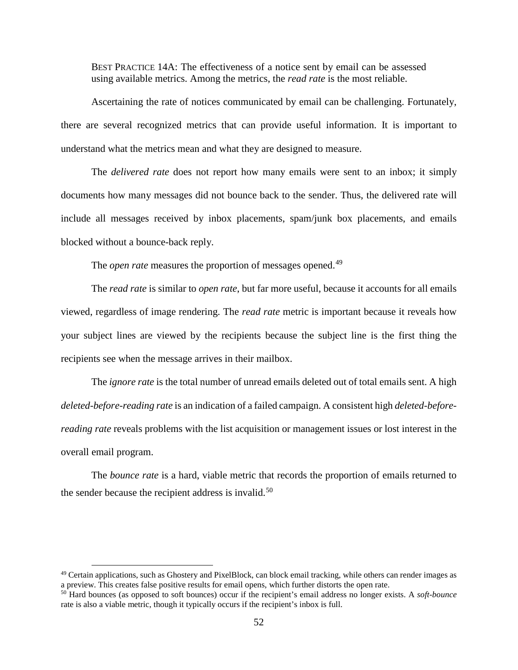BEST PRACTICE 14A: The effectiveness of a notice sent by email can be assessed using available metrics. Among the metrics, the *read rate* is the most reliable.

Ascertaining the rate of notices communicated by email can be challenging. Fortunately, there are several recognized metrics that can provide useful information. It is important to understand what the metrics mean and what they are designed to measure.

The *delivered rate* does not report how many emails were sent to an inbox; it simply documents how many messages did not bounce back to the sender. Thus, the delivered rate will include all messages received by inbox placements, spam/junk box placements, and emails blocked without a bounce-back reply.

The *open rate* measures the proportion of messages opened.<sup>[49](#page-57-0)</sup>

The *read rate* is similar to *open rate*, but far more useful, because it accounts for all emails viewed, regardless of image rendering. The *read rate* metric is important because it reveals how your subject lines are viewed by the recipients because the subject line is the first thing the recipients see when the message arrives in their mailbox.

The *ignore rate* is the total number of unread emails deleted out of total emails sent. A high *deleted-before-reading rate* is an indication of a failed campaign. A consistent high *deleted-beforereading rate* reveals problems with the list acquisition or management issues or lost interest in the overall email program.

The *bounce rate* is a hard, viable metric that records the proportion of emails returned to the sender because the recipient address is invalid.<sup>[50](#page-57-1)</sup>

<span id="page-57-0"></span><sup>&</sup>lt;sup>49</sup> Certain applications, such as Ghostery and PixelBlock, can block email tracking, while others can render images as a preview. This creates false positive results for email opens, which further distorts the open rate.

<span id="page-57-1"></span><sup>50</sup> Hard bounces (as opposed to soft bounces) occur if the recipient's email address no longer exists. A *soft-bounce* rate is also a viable metric, though it typically occurs if the recipient's inbox is full.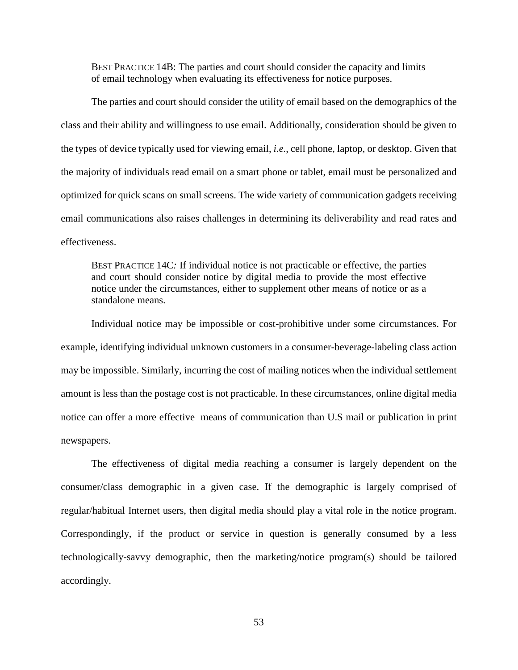BEST PRACTICE 14B: The parties and court should consider the capacity and limits of email technology when evaluating its effectiveness for notice purposes.

The parties and court should consider the utility of email based on the demographics of the class and their ability and willingness to use email. Additionally, consideration should be given to the types of device typically used for viewing email, *i.e.*, cell phone, laptop, or desktop. Given that the majority of individuals read email on a smart phone or tablet, email must be personalized and optimized for quick scans on small screens. The wide variety of communication gadgets receiving email communications also raises challenges in determining its deliverability and read rates and effectiveness.

BEST PRACTICE 14C*:* If individual notice is not practicable or effective, the parties and court should consider notice by digital media to provide the most effective notice under the circumstances, either to supplement other means of notice or as a standalone means.

Individual notice may be impossible or cost-prohibitive under some circumstances. For example, identifying individual unknown customers in a consumer-beverage-labeling class action may be impossible. Similarly, incurring the cost of mailing notices when the individual settlement amount is less than the postage cost is not practicable. In these circumstances, online digital media notice can offer a more effective means of communication than U.S mail or publication in print newspapers.

The effectiveness of digital media reaching a consumer is largely dependent on the consumer/class demographic in a given case. If the demographic is largely comprised of regular/habitual Internet users, then digital media should play a vital role in the notice program. Correspondingly, if the product or service in question is generally consumed by a less technologically-savvy demographic, then the marketing/notice program(s) should be tailored accordingly.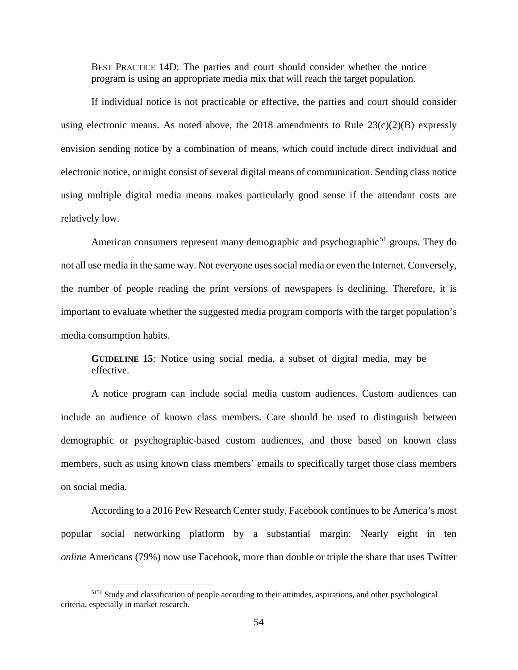BEST PRACTICE 14D: The parties and court should consider whether the notice program is using an appropriate media mix that will reach the target population.

If individual notice is not practicable or effective, the parties and court should consider using electronic means. As noted above, the  $2018$  amendments to Rule  $23(c)(2)(B)$  expressly envision sending notice by a combination of means, which could include direct individual and electronic notice, or might consist of several digital means of communication. Sending class notice using multiple digital media means makes particularly good sense if the attendant costs are relatively low.

American consumers represent many demographic and psychographic<sup>[51](#page-59-0)</sup> groups. They do not all use media in the same way. Not everyone uses social media or even the Internet. Conversely, the number of people reading the print versions of newspapers is declining. Therefore, it is important to evaluate whether the suggested media program comports with the target population's media consumption habits.

**GUIDELINE 15***:* Notice using social media, a subset of digital media, may be effective.

A notice program can include social media custom audiences. Custom audiences can include an audience of known class members. Care should be used to distinguish between demographic or psychographic-based custom audiences, and those based on known class members, such as using known class members' emails to specifically target those class members on social media.

According to a 2016 Pew Research Center study, Facebook continues to be America's most popular social networking platform by a substantial margin: Nearly eight in ten *online* Americans (79%) now use Facebook, more than double or triple the share that uses Twitter

<span id="page-59-0"></span> <sup>5151</sup> Study and classification of people according to their attitudes, aspirations, and other psychological criteria, especially in market research.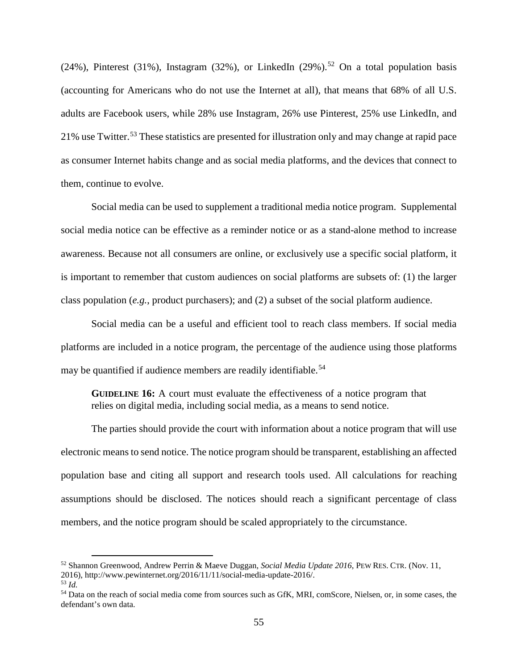(24%), Pinterest (31%), Instagram (32%), or LinkedIn (29%).<sup>[52](#page-60-0)</sup> On a total population basis (accounting for Americans who do not use the Internet at all), that means that 68% of all U.S. adults are Facebook users, while 28% use Instagram, 26% use Pinterest, 25% use LinkedIn, and 21% use Twitter.[53](#page-60-1) These statistics are presented for illustration only and may change at rapid pace as consumer Internet habits change and as social media platforms, and the devices that connect to them, continue to evolve.

Social media can be used to supplement a traditional media notice program. Supplemental social media notice can be effective as a reminder notice or as a stand-alone method to increase awareness. Because not all consumers are online, or exclusively use a specific social platform, it is important to remember that custom audiences on social platforms are subsets of: (1) the larger class population (*e.g.*, product purchasers); and (2) a subset of the social platform audience.

Social media can be a useful and efficient tool to reach class members. If social media platforms are included in a notice program, the percentage of the audience using those platforms may be quantified if audience members are readily identifiable.<sup>[54](#page-60-2)</sup>

**GUIDELINE 16:** A court must evaluate the effectiveness of a notice program that relies on digital media, including social media, as a means to send notice.

The parties should provide the court with information about a notice program that will use electronic means to send notice. The notice program should be transparent, establishing an affected population base and citing all support and research tools used. All calculations for reaching assumptions should be disclosed. The notices should reach a significant percentage of class members, and the notice program should be scaled appropriately to the circumstance.

<span id="page-60-0"></span> <sup>52</sup> Shannon Greenwood, Andrew Perrin & Maeve Duggan, *Social Media Update 2016*, PEW RES. CTR. (Nov. 11, 2016), http://www.pewinternet.org/2016/11/11/social-media-update-2016/. <sup>53</sup> *Id.*

<span id="page-60-2"></span><span id="page-60-1"></span><sup>54</sup> Data on the reach of social media come from sources such as GfK, MRI, comScore, Nielsen, or, in some cases, the defendant's own data.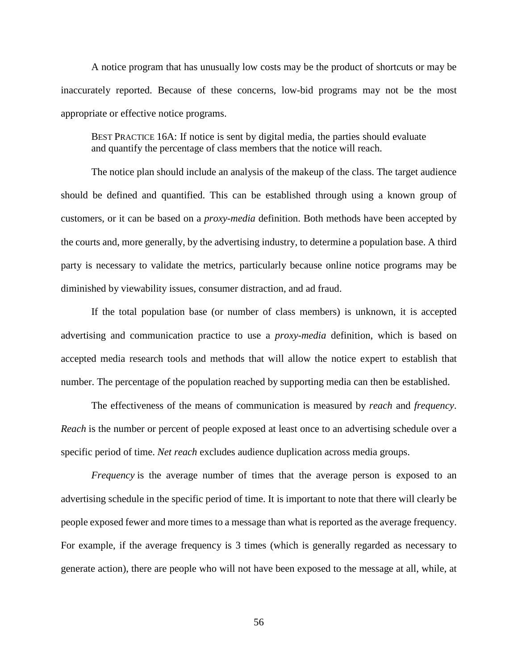A notice program that has unusually low costs may be the product of shortcuts or may be inaccurately reported. Because of these concerns, low-bid programs may not be the most appropriate or effective notice programs.

BEST PRACTICE 16A: If notice is sent by digital media, the parties should evaluate and quantify the percentage of class members that the notice will reach.

The notice plan should include an analysis of the makeup of the class. The target audience should be defined and quantified. This can be established through using a known group of customers, or it can be based on a *proxy-media* definition. Both methods have been accepted by the courts and, more generally, by the advertising industry, to determine a population base. A third party is necessary to validate the metrics, particularly because online notice programs may be diminished by viewability issues, consumer distraction, and ad fraud.

If the total population base (or number of class members) is unknown, it is accepted advertising and communication practice to use a *proxy-media* definition, which is based on accepted media research tools and methods that will allow the notice expert to establish that number. The percentage of the population reached by supporting media can then be established.

The effectiveness of the means of communication is measured by *reach* and *frequency*. *Reach* is the number or percent of people exposed at least once to an advertising schedule over a specific period of time. *Net reach* excludes audience duplication across media groups.

*Frequency* is the average number of times that the average person is exposed to an advertising schedule in the specific period of time. It is important to note that there will clearly be people exposed fewer and more times to a message than what is reported as the average frequency. For example, if the average frequency is 3 times (which is generally regarded as necessary to generate action), there are people who will not have been exposed to the message at all, while, at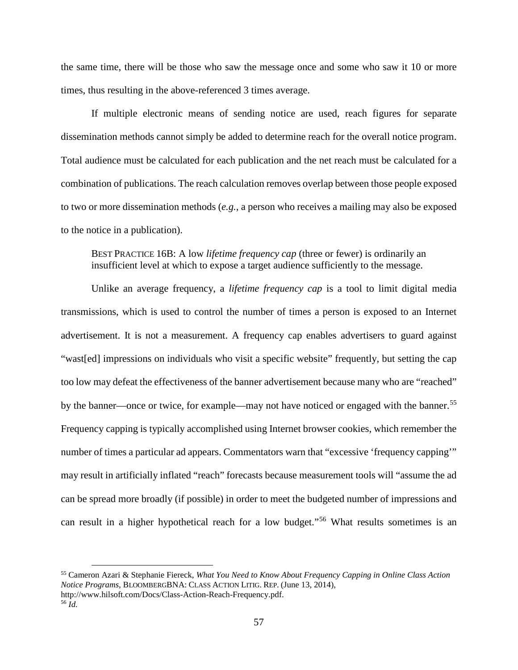the same time, there will be those who saw the message once and some who saw it 10 or more times, thus resulting in the above-referenced 3 times average.

If multiple electronic means of sending notice are used, reach figures for separate dissemination methods cannot simply be added to determine reach for the overall notice program. Total audience must be calculated for each publication and the net reach must be calculated for a combination of publications. The reach calculation removes overlap between those people exposed to two or more dissemination methods (*e.g.*, a person who receives a mailing may also be exposed to the notice in a publication).

### BEST PRACTICE 16B: A low *lifetime frequency cap* (three or fewer) is ordinarily an insufficient level at which to expose a target audience sufficiently to the message.

Unlike an average frequency, a *lifetime frequency cap* is a tool to limit digital media transmissions, which is used to control the number of times a person is exposed to an Internet advertisement. It is not a measurement. A frequency cap enables advertisers to guard against "wast[ed] impressions on individuals who visit a specific website" frequently, but setting the cap too low may defeat the effectiveness of the banner advertisement because many who are "reached" by the banner—once or twice, for example—may not have noticed or engaged with the banner.<sup>[55](#page-62-0)</sup> Frequency capping is typically accomplished using Internet browser cookies, which remember the number of times a particular ad appears. Commentators warn that "excessive 'frequency capping'" may result in artificially inflated "reach" forecasts because measurement tools will "assume the ad can be spread more broadly (if possible) in order to meet the budgeted number of impressions and can result in a higher hypothetical reach for a low budget."[56](#page-62-1) What results sometimes is an

<span id="page-62-1"></span><span id="page-62-0"></span> <sup>55</sup> Cameron Azari & Stephanie Fiereck, *What You Need to Know About Frequency Capping in Online Class Action Notice Programs*, BLOOMBERGBNA: CLASS ACTION LITIG. REP. (June 13, 2014), http://www.hilsoft.com/Docs/Class-Action-Reach-Frequency.pdf. <sup>56</sup> *Id.*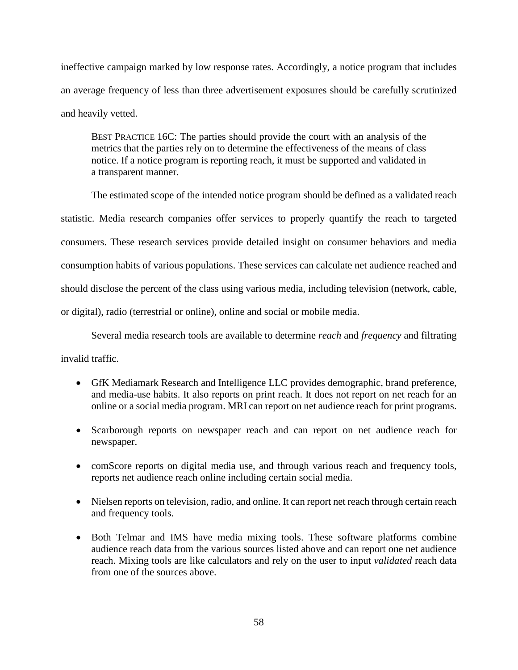ineffective campaign marked by low response rates. Accordingly, a notice program that includes an average frequency of less than three advertisement exposures should be carefully scrutinized and heavily vetted.

BEST PRACTICE 16C: The parties should provide the court with an analysis of the metrics that the parties rely on to determine the effectiveness of the means of class notice. If a notice program is reporting reach, it must be supported and validated in a transparent manner.

The estimated scope of the intended notice program should be defined as a validated reach statistic. Media research companies offer services to properly quantify the reach to targeted consumers. These research services provide detailed insight on consumer behaviors and media consumption habits of various populations. These services can calculate net audience reached and should disclose the percent of the class using various media, including television (network, cable, or digital), radio (terrestrial or online), online and social or mobile media.

Several media research tools are available to determine *reach* and *frequency* and filtrating

invalid traffic.

- GfK Mediamark Research and Intelligence LLC provides demographic, brand preference, and media-use habits. It also reports on print reach. It does not report on net reach for an online or a social media program. MRI can report on net audience reach for print programs.
- Scarborough reports on newspaper reach and can report on net audience reach for newspaper.
- comScore reports on digital media use, and through various reach and frequency tools, reports net audience reach online including certain social media.
- Nielsen reports on television, radio, and online. It can report net reach through certain reach and frequency tools.
- Both Telmar and IMS have media mixing tools. These software platforms combine audience reach data from the various sources listed above and can report one net audience reach. Mixing tools are like calculators and rely on the user to input *validated* reach data from one of the sources above.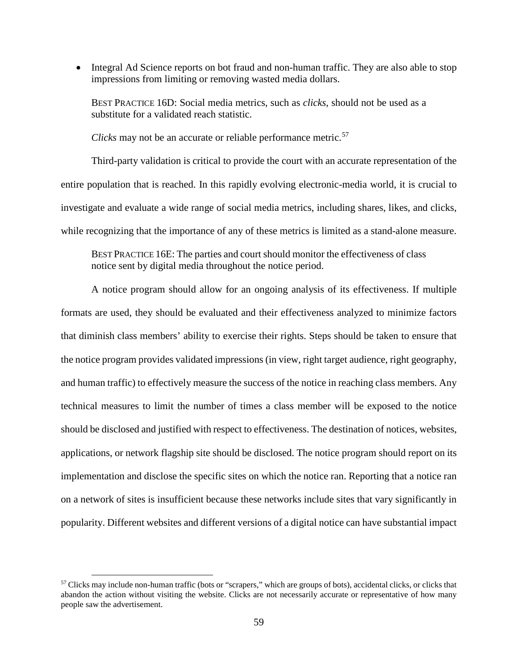• Integral Ad Science reports on bot fraud and non-human traffic. They are also able to stop impressions from limiting or removing wasted media dollars.

BEST PRACTICE 16D: Social media metrics, such as *clicks*, should not be used as a substitute for a validated reach statistic.

*Clicks* may not be an accurate or reliable performance metric.<sup>[57](#page-64-0)</sup>

Third-party validation is critical to provide the court with an accurate representation of the entire population that is reached. In this rapidly evolving electronic-media world, it is crucial to investigate and evaluate a wide range of social media metrics, including shares, likes, and clicks, while recognizing that the importance of any of these metrics is limited as a stand-alone measure.

BEST PRACTICE 16E: The parties and court should monitor the effectiveness of class notice sent by digital media throughout the notice period.

A notice program should allow for an ongoing analysis of its effectiveness. If multiple formats are used, they should be evaluated and their effectiveness analyzed to minimize factors that diminish class members' ability to exercise their rights. Steps should be taken to ensure that the notice program provides validated impressions (in view, right target audience, right geography, and human traffic) to effectively measure the success of the notice in reaching class members. Any technical measures to limit the number of times a class member will be exposed to the notice should be disclosed and justified with respect to effectiveness. The destination of notices, websites, applications, or network flagship site should be disclosed. The notice program should report on its implementation and disclose the specific sites on which the notice ran. Reporting that a notice ran on a network of sites is insufficient because these networks include sites that vary significantly in popularity. Different websites and different versions of a digital notice can have substantial impact

<span id="page-64-0"></span> <sup>57</sup> Clicks may include non-human traffic (bots or "scrapers," which are groups of bots), accidental clicks, or clicks that abandon the action without visiting the website. Clicks are not necessarily accurate or representative of how many people saw the advertisement.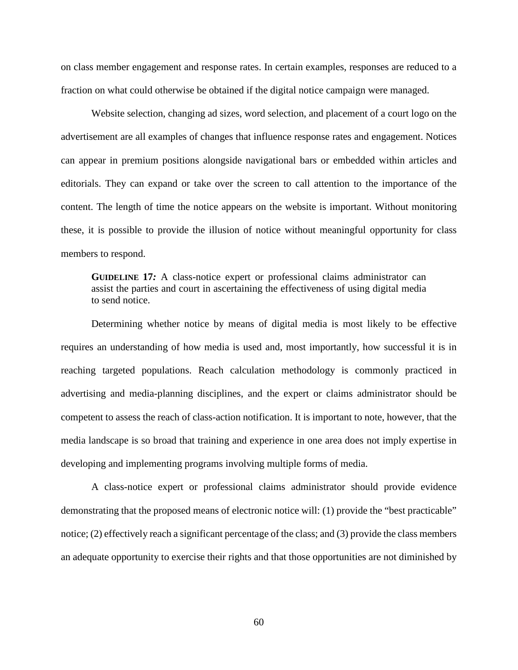on class member engagement and response rates. In certain examples, responses are reduced to a fraction on what could otherwise be obtained if the digital notice campaign were managed.

Website selection, changing ad sizes, word selection, and placement of a court logo on the advertisement are all examples of changes that influence response rates and engagement. Notices can appear in premium positions alongside navigational bars or embedded within articles and editorials. They can expand or take over the screen to call attention to the importance of the content. The length of time the notice appears on the website is important. Without monitoring these, it is possible to provide the illusion of notice without meaningful opportunity for class members to respond.

**GUIDELINE 17***:* A class-notice expert or professional claims administrator can assist the parties and court in ascertaining the effectiveness of using digital media to send notice.

Determining whether notice by means of digital media is most likely to be effective requires an understanding of how media is used and, most importantly, how successful it is in reaching targeted populations. Reach calculation methodology is commonly practiced in advertising and media-planning disciplines, and the expert or claims administrator should be competent to assess the reach of class-action notification. It is important to note, however, that the media landscape is so broad that training and experience in one area does not imply expertise in developing and implementing programs involving multiple forms of media.

A class-notice expert or professional claims administrator should provide evidence demonstrating that the proposed means of electronic notice will: (1) provide the "best practicable" notice; (2) effectively reach a significant percentage of the class; and (3) provide the class members an adequate opportunity to exercise their rights and that those opportunities are not diminished by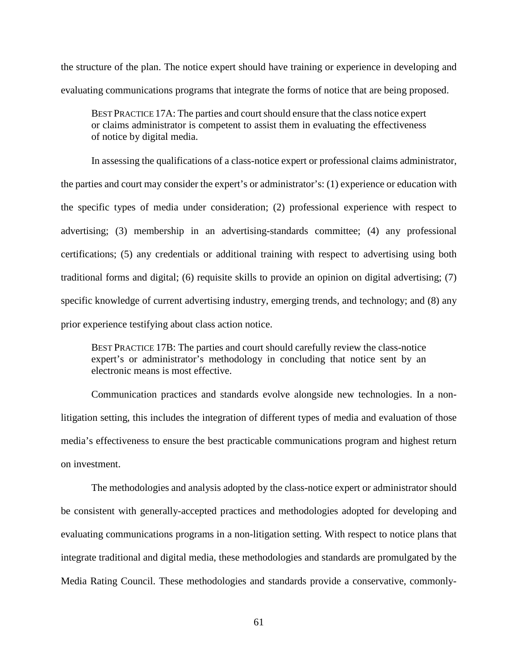the structure of the plan. The notice expert should have training or experience in developing and evaluating communications programs that integrate the forms of notice that are being proposed.

BEST PRACTICE 17A: The parties and court should ensure that the class notice expert or claims administrator is competent to assist them in evaluating the effectiveness of notice by digital media.

In assessing the qualifications of a class-notice expert or professional claims administrator, the parties and court may consider the expert's or administrator's: (1) experience or education with the specific types of media under consideration; (2) professional experience with respect to advertising; (3) membership in an advertising-standards committee; (4) any professional certifications; (5) any credentials or additional training with respect to advertising using both traditional forms and digital; (6) requisite skills to provide an opinion on digital advertising; (7) specific knowledge of current advertising industry, emerging trends, and technology; and (8) any prior experience testifying about class action notice.

BEST PRACTICE 17B: The parties and court should carefully review the class-notice expert's or administrator's methodology in concluding that notice sent by an electronic means is most effective.

Communication practices and standards evolve alongside new technologies. In a nonlitigation setting, this includes the integration of different types of media and evaluation of those media's effectiveness to ensure the best practicable communications program and highest return on investment.

The methodologies and analysis adopted by the class-notice expert or administrator should be consistent with generally-accepted practices and methodologies adopted for developing and evaluating communications programs in a non-litigation setting. With respect to notice plans that integrate traditional and digital media, these methodologies and standards are promulgated by the Media Rating Council. These methodologies and standards provide a conservative, commonly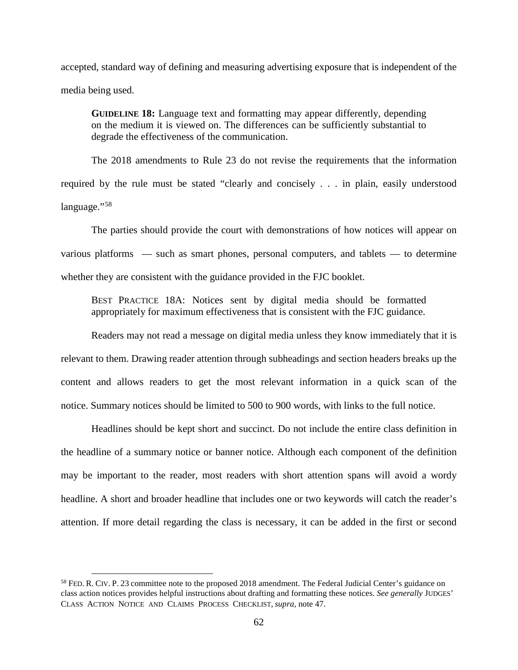accepted, standard way of defining and measuring advertising exposure that is independent of the media being used.

**GUIDELINE 18:** Language text and formatting may appear differently, depending on the medium it is viewed on. The differences can be sufficiently substantial to degrade the effectiveness of the communication.

The 2018 amendments to Rule 23 do not revise the requirements that the information required by the rule must be stated "clearly and concisely . . . in plain, easily understood language."<sup>[58](#page-67-0)</sup>

The parties should provide the court with demonstrations of how notices will appear on various platforms — such as smart phones, personal computers, and tablets — to determine whether they are consistent with the guidance provided in the FJC booklet.

BEST PRACTICE 18A: Notices sent by digital media should be formatted appropriately for maximum effectiveness that is consistent with the FJC guidance.

Readers may not read a message on digital media unless they know immediately that it is relevant to them. Drawing reader attention through subheadings and section headers breaks up the content and allows readers to get the most relevant information in a quick scan of the notice. Summary notices should be limited to 500 to 900 words, with links to the full notice.

Headlines should be kept short and succinct. Do not include the entire class definition in the headline of a summary notice or banner notice. Although each component of the definition may be important to the reader, most readers with short attention spans will avoid a wordy headline. A short and broader headline that includes one or two keywords will catch the reader's attention. If more detail regarding the class is necessary, it can be added in the first or second

<span id="page-67-0"></span> <sup>58</sup> FED. R. CIV. P. <sup>23</sup> committee note to the proposed 2018 amendment. The Federal Judicial Center's guidance on class action notices provides helpful instructions about drafting and formatting these notices. *See generally* JUDGES' CLASS ACTION NOTICE AND CLAIMS PROCESS CHECKLIST, *supra,* note 47.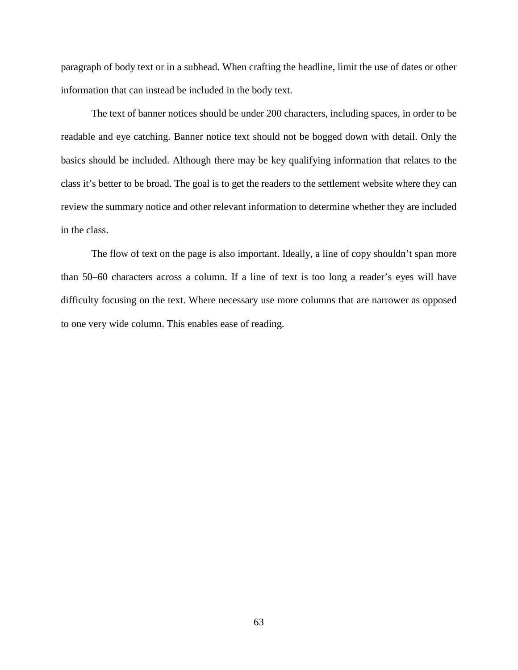paragraph of body text or in a subhead. When crafting the headline, limit the use of dates or other information that can instead be included in the body text.

The text of banner notices should be under 200 characters, including spaces, in order to be readable and eye catching. Banner notice text should not be bogged down with detail. Only the basics should be included. Although there may be key qualifying information that relates to the class it's better to be broad. The goal is to get the readers to the settlement website where they can review the summary notice and other relevant information to determine whether they are included in the class.

The flow of text on the page is also important. Ideally, a line of copy shouldn't span more than 50–60 characters across a column. If a line of text is too long a reader's eyes will have difficulty focusing on the text. Where necessary use more columns that are narrower as opposed to one very wide column. This enables ease of reading.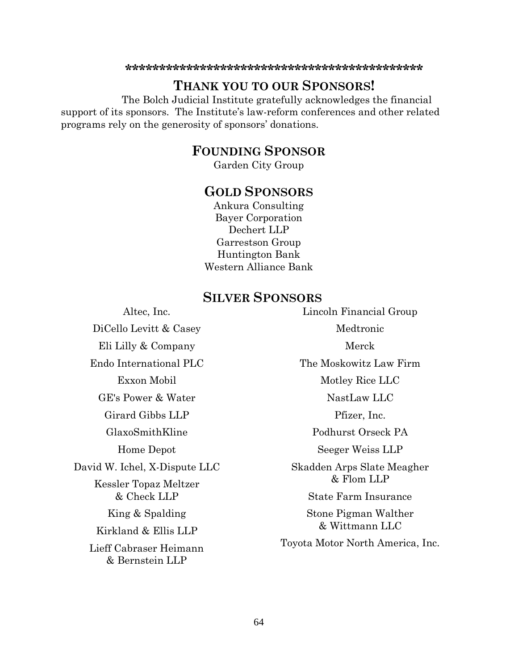**\*\*\*\*\*\*\*\*\*\*\*\*\*\*\*\*\*\*\*\*\*\*\*\*\*\*\*\*\*\*\*\*\*\*\*\*\*\*\*\*\*\*\*\***

# **THANK YOU TO OUR SPONSORS!**

The Bolch Judicial Institute gratefully acknowledges the financial support of its sponsors. The Institute's law-reform conferences and other related programs rely on the generosity of sponsors' donations.

# **FOUNDING SPONSOR**

Garden City Group

# **GOLD SPONSORS**

Ankura Consulting Bayer Corporation Dechert LLP Garrestson Group Huntington Bank Western Alliance Bank

## **SILVER SPONSORS**

Altec, Inc. DiCello Levitt & Casey Eli Lilly & Company Endo International PLC Exxon Mobil GE's Power & Water Girard Gibbs LLP GlaxoSmithKline Home Depot David W. Ichel, X-Dispute LLC Kessler Topaz Meltzer & Check LLP King & Spalding Kirkland & Ellis LLP Lieff Cabraser Heimann & Bernstein LLP

Lincoln Financial Group Medtronic Merck The Moskowitz Law Firm Motley Rice LLC NastLaw LLC Pfizer, Inc. Podhurst Orseck PA Seeger Weiss LLP Skadden Arps Slate Meagher & Flom LLP State Farm Insurance Stone Pigman Walther & Wittmann LLC Toyota Motor North America, Inc.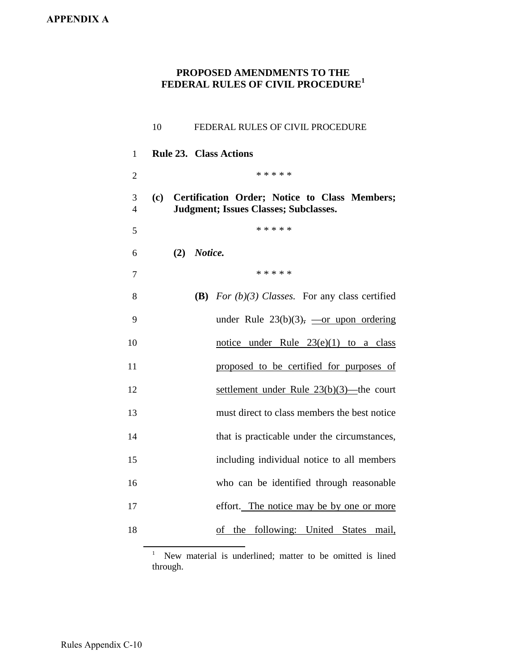## **PROPOSED AMENDMENTS TO THE FEDERAL RULES OF CIVIL PROCEDURE<sup>1</sup>**

|                | 10 |             | FEDERAL RULES OF CIVIL PROCEDURE                                                                  |
|----------------|----|-------------|---------------------------------------------------------------------------------------------------|
| $\mathbf{1}$   |    |             | <b>Rule 23. Class Actions</b>                                                                     |
| $\overline{2}$ |    |             | * * * * *                                                                                         |
| 3<br>4         |    |             | (c) Certification Order; Notice to Class Members;<br><b>Judgment; Issues Classes; Subclasses.</b> |
| 5              |    |             | * * * * *                                                                                         |
| 6              |    | (2) Notice. |                                                                                                   |
| 7              |    |             | * * * * *                                                                                         |
| 8              |    |             | <b>(B)</b> For $(b)(3)$ Classes. For any class certified                                          |
| 9              |    |             | under Rule $23(b)(3)$ , <u>—or upon ordering</u>                                                  |
| 10             |    |             | notice under Rule $23(e)(1)$ to a class                                                           |
| 11             |    |             | proposed to be certified for purposes of                                                          |
| 12             |    |             | settlement under Rule $23(b)(3)$ —the court                                                       |
| 13             |    |             | must direct to class members the best notice                                                      |
| 14             |    |             | that is practicable under the circumstances,                                                      |
| 15             |    |             | including individual notice to all members                                                        |
| 16             |    |             | who can be identified through reasonable                                                          |
| 17             |    |             | effort. The notice may be by one or more                                                          |
| 18             |    |             | of the following: United States mail,                                                             |

<sup>&</sup>lt;sup>1</sup> New material is underlined; matter to be omitted is lined through.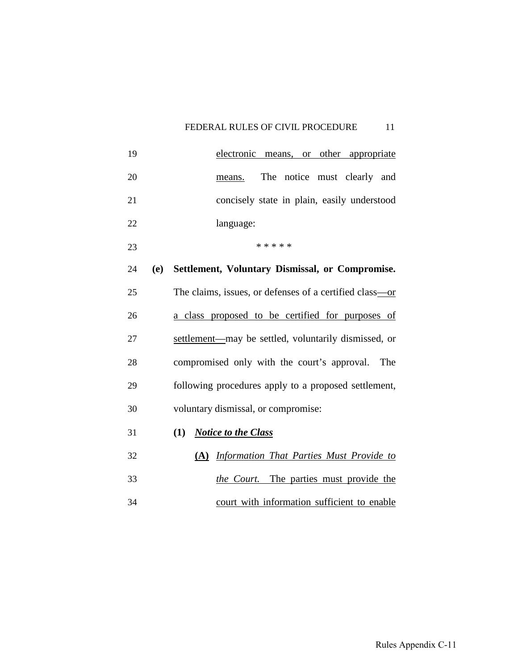## FEDERAL RULES OF CIVIL PROCEDURE 11

| 19        | electronic means, or other appropriate                  |
|-----------|---------------------------------------------------------|
| 20        | The notice must clearly and<br>means.                   |
| 21        | concisely state in plain, easily understood             |
| 22        | language:                                               |
| 23        | * * * * *                                               |
| 24<br>(e) | Settlement, Voluntary Dismissal, or Compromise.         |
| 25        | The claims, issues, or defenses of a certified class—or |
| 26        | a class proposed to be certified for purposes of        |
| 27        | settlement—may be settled, voluntarily dismissed, or    |
| 28        | compromised only with the court's approval. The         |
| 29        | following procedures apply to a proposed settlement,    |
| 30        | voluntary dismissal, or compromise:                     |
| 31        | <b>Notice to the Class</b><br>(1)                       |
| 32        | (A) Information That Parties Must Provide to            |
| 33        | the Court. The parties must provide the                 |
| 34        | court with information sufficient to enable             |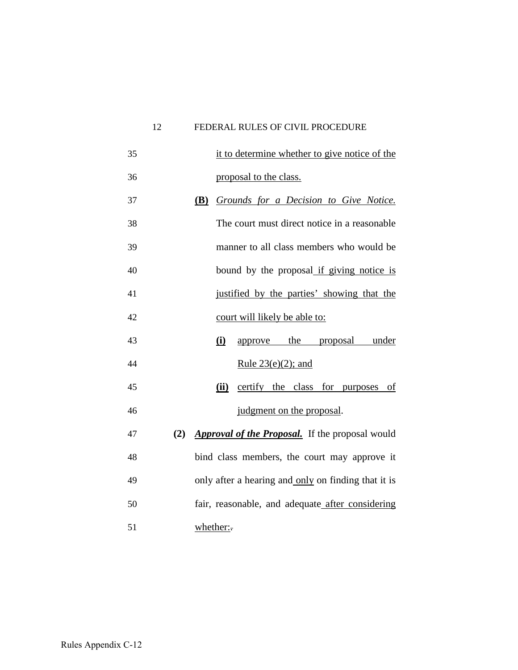|    | 12  | FEDERAL RULES OF CIVIL PROCEDURE                       |
|----|-----|--------------------------------------------------------|
| 35 |     | it to determine whether to give notice of the          |
| 36 |     | proposal to the class.                                 |
| 37 |     | Grounds for a Decision to Give Notice.<br><b>(B)</b>   |
| 38 |     | The court must direct notice in a reasonable           |
| 39 |     | manner to all class members who would be               |
| 40 |     | bound by the proposal if giving notice is              |
| 41 |     | justified by the parties' showing that the             |
| 42 |     | court will likely be able to:                          |
| 43 |     | <u>(i)</u><br>approve the proposal<br>under            |
| 44 |     | Rule $23(e)(2)$ ; and                                  |
| 45 |     | certify the class for purposes of<br>(ii)              |
| 46 |     | judgment on the proposal.                              |
| 47 | (2) | <b>Approval of the Proposal.</b> If the proposal would |
| 48 |     | bind class members, the court may approve it           |
| 49 |     | only after a hearing and only on finding that it is    |
| 50 |     | fair, reasonable, and adequate after considering       |
| 51 |     | whether:                                               |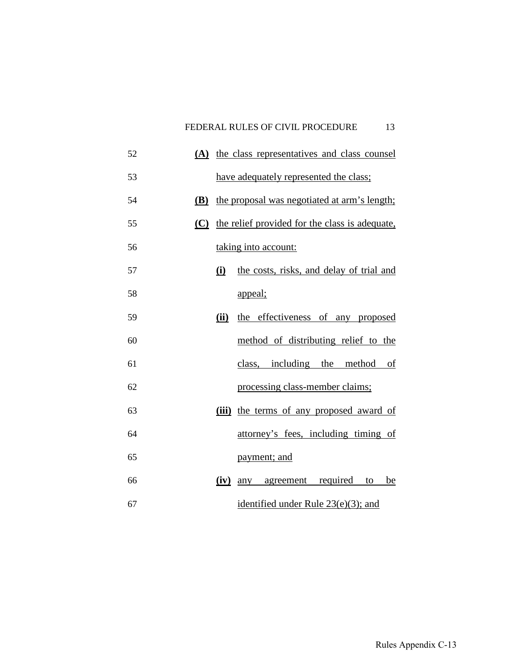| 52 |      | (A) the class representatives and class counsel         |
|----|------|---------------------------------------------------------|
| 53 |      | have adequately represented the class;                  |
| 54 |      | <b>(B)</b> the proposal was negotiated at arm's length; |
| 55 |      | (C) the relief provided for the class is adequate,      |
| 56 |      | taking into account:                                    |
| 57 | (i)  | the costs, risks, and delay of trial and                |
| 58 |      | appeal;                                                 |
| 59 | (ii) | the effectiveness of any proposed                       |
| 60 |      | method of distributing relief to the                    |
| 61 |      | class, including the method of                          |
| 62 |      | processing class-member claims;                         |
| 63 |      | (iii) the terms of any proposed award of                |
| 64 |      | attorney's fees, including timing of                    |
| 65 |      | payment; and                                            |
| 66 | (iy) | any agreement required to<br>be                         |
| 67 |      | identified under Rule 23(e)(3); and                     |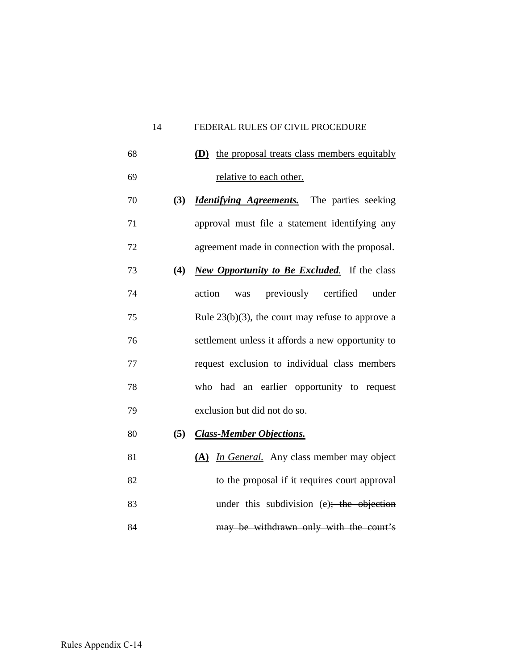| 14 |     | FEDERAL RULES OF CIVIL PROCEDURE                       |
|----|-----|--------------------------------------------------------|
| 68 |     | <b>(D)</b> the proposal treats class members equitably |
| 69 |     | relative to each other.                                |
| 70 | (3) | <b>Identifying Agreements.</b> The parties seeking     |
| 71 |     | approval must file a statement identifying any         |
| 72 |     | agreement made in connection with the proposal.        |
| 73 | (4) | <b>New Opportunity to Be Excluded.</b> If the class    |
| 74 |     | previously certified<br>action<br>was<br>under         |
| 75 |     | Rule $23(b)(3)$ , the court may refuse to approve a    |
| 76 |     | settlement unless it affords a new opportunity to      |
| 77 |     | request exclusion to individual class members          |
| 78 |     | had an earlier opportunity to request<br>who           |
| 79 |     | exclusion but did not do so.                           |
| 80 | (5) | <b>Class-Member Objections.</b>                        |
| 81 |     | (A) In General. Any class member may object            |
| 82 |     | to the proposal if it requires court approval          |
| 83 |     | under this subdivision (e); the objection              |
| 84 |     | may be withdrawn only with the court's                 |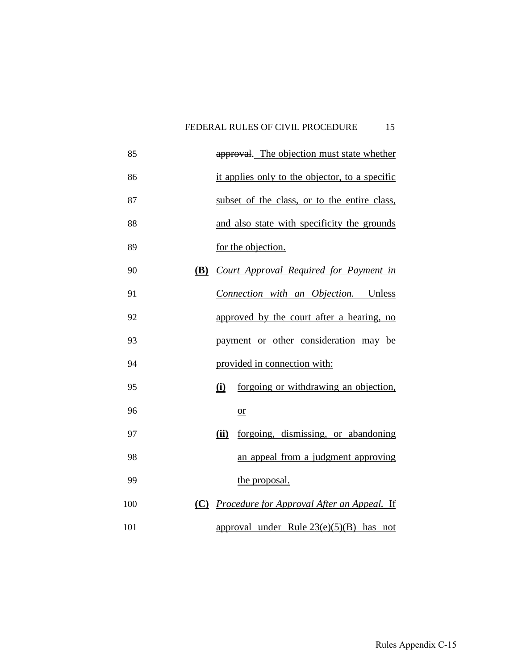| 85  |            | approval. The objection must state whether     |
|-----|------------|------------------------------------------------|
| 86  |            | it applies only to the objector, to a specific |
| 87  |            | subset of the class, or to the entire class,   |
| 88  |            | and also state with specificity the grounds    |
| 89  |            | for the objection.                             |
| 90  | <b>(B)</b> | Court Approval Required for Payment in         |
| 91  |            | Connection with an Objection. Unless           |
| 92  |            | approved by the court after a hearing, no      |
| 93  |            | payment or other consideration may be          |
| 94  |            | provided in connection with:                   |
| 95  |            | (i)<br>forgoing or withdrawing an objection,   |
| 96  |            | $\overline{\text{or}}$                         |
| 97  |            | forgoing, dismissing, or abandoning<br>(ii)    |
| 98  |            | an appeal from a judgment approving            |
| 99  |            | the proposal.                                  |
| 100 |            | (C) Procedure for Approval After an Appeal. If |
| 101 |            | approval under Rule $23(e)(5)(B)$ has not      |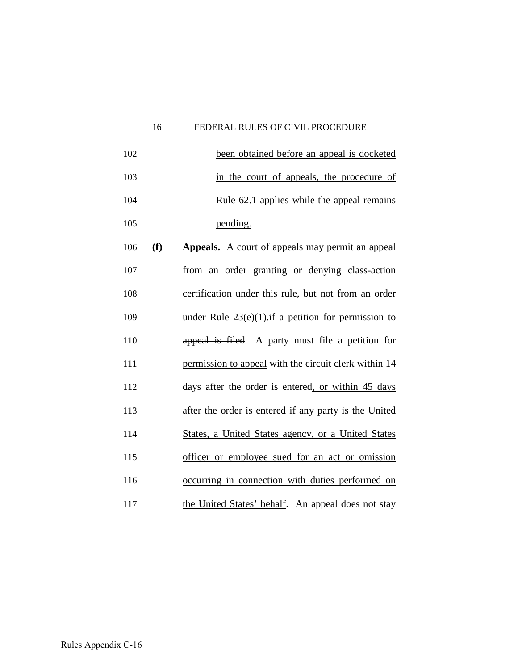|     | 16  | FEDERAL RULES OF CIVIL PROCEDURE                        |
|-----|-----|---------------------------------------------------------|
| 102 |     | been obtained before an appeal is docketed              |
| 103 |     | in the court of appeals, the procedure of               |
| 104 |     | <u>Rule 62.1 applies while the appeal remains</u>       |
| 105 |     | pending.                                                |
| 106 | (f) | <b>Appeals.</b> A court of appeals may permit an appeal |
| 107 |     | from an order granting or denying class-action          |
| 108 |     | certification under this rule, but not from an order    |
| 109 |     | under Rule $23(e)(1)$ if a petition for permission to   |
| 110 |     | appeal is filed A party must file a petition for        |
| 111 |     | permission to appeal with the circuit clerk within 14   |
| 112 |     | days after the order is entered, or within 45 days      |
| 113 |     | after the order is entered if any party is the United   |
| 114 |     | States, a United States agency, or a United States      |
| 115 |     | officer or employee sued for an act or omission         |
| 116 |     | occurring in connection with duties performed on        |
| 117 |     | the United States' behalf. An appeal does not stay      |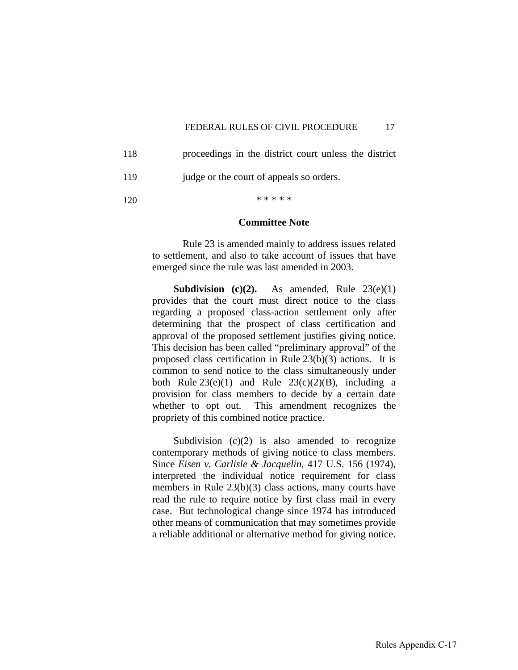| -118 | proceedings in the district court unless the district |
|------|-------------------------------------------------------|
| 119  | judge or the court of appeals so orders.              |
| 120  | * * * * *                                             |

#### **Committee Note**

Rule 23 is amended mainly to address issues related to settlement, and also to take account of issues that have emerged since the rule was last amended in 2003.

**Subdivision** (c)(2). As amended, Rule  $23(e)(1)$ provides that the court must direct notice to the class regarding a proposed class-action settlement only after determining that the prospect of class certification and approval of the proposed settlement justifies giving notice. This decision has been called "preliminary approval" of the proposed class certification in Rule 23(b)(3) actions. It is common to send notice to the class simultaneously under both Rule  $23(e)(1)$  and Rule  $23(c)(2)(B)$ , including a provision for class members to decide by a certain date whether to opt out. This amendment recognizes the propriety of this combined notice practice.

Subdivision  $(c)(2)$  is also amended to recognize contemporary methods of giving notice to class members. Since *Eisen v. Carlisle & Jacquelin*, 417 U.S. 156 (1974), interpreted the individual notice requirement for class members in Rule 23(b)(3) class actions, many courts have read the rule to require notice by first class mail in every case. But technological change since 1974 has introduced other means of communication that may sometimes provide a reliable additional or alternative method for giving notice.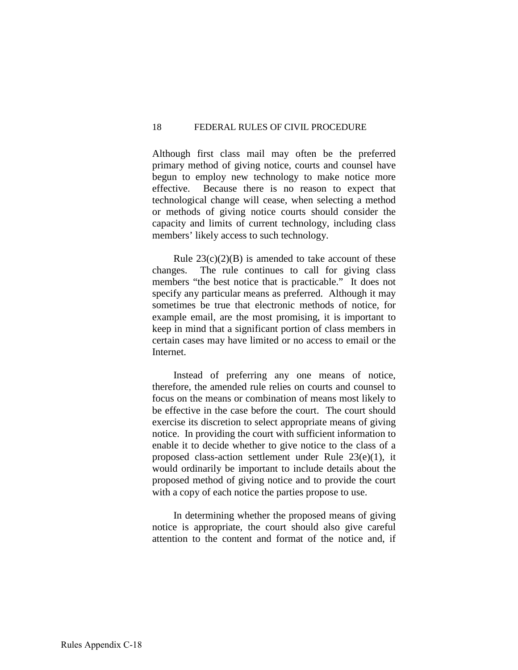Although first class mail may often be the preferred primary method of giving notice, courts and counsel have begun to employ new technology to make notice more effective. Because there is no reason to expect that technological change will cease, when selecting a method or methods of giving notice courts should consider the capacity and limits of current technology, including class members' likely access to such technology.

Rule  $23(c)(2)(B)$  is amended to take account of these changes. The rule continues to call for giving class members "the best notice that is practicable." It does not specify any particular means as preferred. Although it may sometimes be true that electronic methods of notice, for example email, are the most promising, it is important to keep in mind that a significant portion of class members in certain cases may have limited or no access to email or the Internet.

Instead of preferring any one means of notice, therefore, the amended rule relies on courts and counsel to focus on the means or combination of means most likely to be effective in the case before the court. The court should exercise its discretion to select appropriate means of giving notice. In providing the court with sufficient information to enable it to decide whether to give notice to the class of a proposed class-action settlement under Rule 23(e)(1), it would ordinarily be important to include details about the proposed method of giving notice and to provide the court with a copy of each notice the parties propose to use.

In determining whether the proposed means of giving notice is appropriate, the court should also give careful attention to the content and format of the notice and, if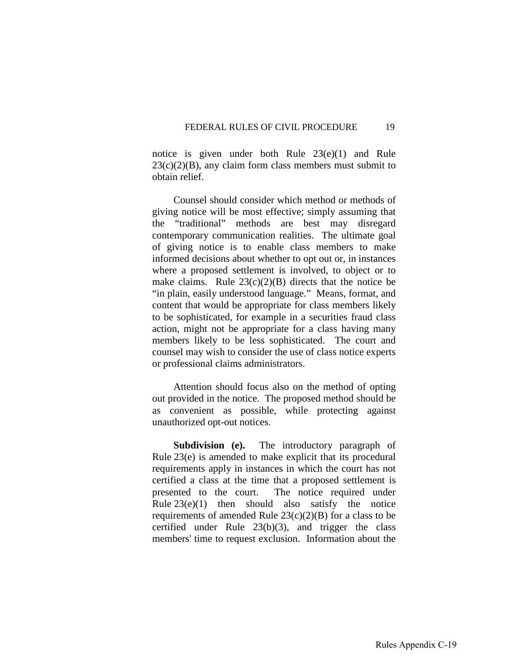notice is given under both Rule 23(e)(1) and Rule  $23(c)(2)(B)$ , any claim form class members must submit to obtain relief.

Counsel should consider which method or methods of giving notice will be most effective; simply assuming that the "traditional" methods are best may disregard contemporary communication realities. The ultimate goal of giving notice is to enable class members to make informed decisions about whether to opt out or, in instances where a proposed settlement is involved, to object or to make claims. Rule  $23(c)(2)(B)$  directs that the notice be "in plain, easily understood language." Means, format, and content that would be appropriate for class members likely to be sophisticated, for example in a securities fraud class action, might not be appropriate for a class having many members likely to be less sophisticated. The court and counsel may wish to consider the use of class notice experts or professional claims administrators.

Attention should focus also on the method of opting out provided in the notice. The proposed method should be as convenient as possible, while protecting against unauthorized opt-out notices.

**Subdivision (e).** The introductory paragraph of Rule 23(e) is amended to make explicit that its procedural requirements apply in instances in which the court has not certified a class at the time that a proposed settlement is presented to the court. The notice required under Rule  $23(e)(1)$  then should also satisfy the notice requirements of amended Rule  $23(c)(2)(B)$  for a class to be certified under Rule 23(b)(3), and trigger the class members' time to request exclusion. Information about the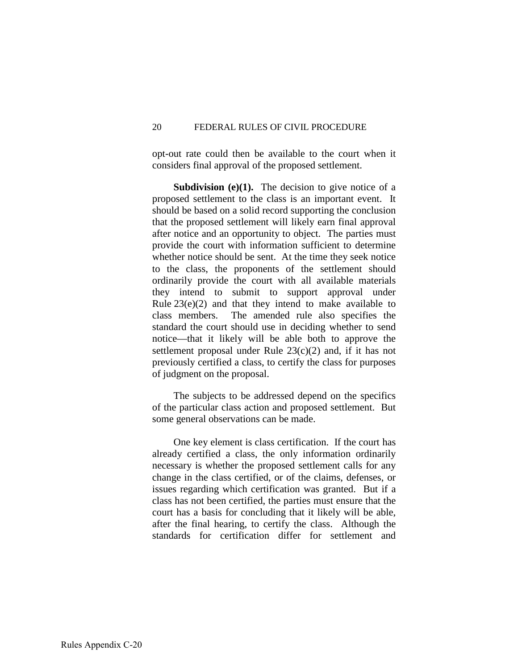opt-out rate could then be available to the court when it considers final approval of the proposed settlement.

**Subdivision (e)(1).** The decision to give notice of a proposed settlement to the class is an important event. It should be based on a solid record supporting the conclusion that the proposed settlement will likely earn final approval after notice and an opportunity to object. The parties must provide the court with information sufficient to determine whether notice should be sent. At the time they seek notice to the class, the proponents of the settlement should ordinarily provide the court with all available materials they intend to submit to support approval under Rule  $23(e)(2)$  and that they intend to make available to class members. The amended rule also specifies the standard the court should use in deciding whether to send notice—that it likely will be able both to approve the settlement proposal under Rule 23(c)(2) and, if it has not previously certified a class, to certify the class for purposes of judgment on the proposal.

The subjects to be addressed depend on the specifics of the particular class action and proposed settlement. But some general observations can be made.

One key element is class certification. If the court has already certified a class, the only information ordinarily necessary is whether the proposed settlement calls for any change in the class certified, or of the claims, defenses, or issues regarding which certification was granted. But if a class has not been certified, the parties must ensure that the court has a basis for concluding that it likely will be able, after the final hearing, to certify the class. Although the standards for certification differ for settlement and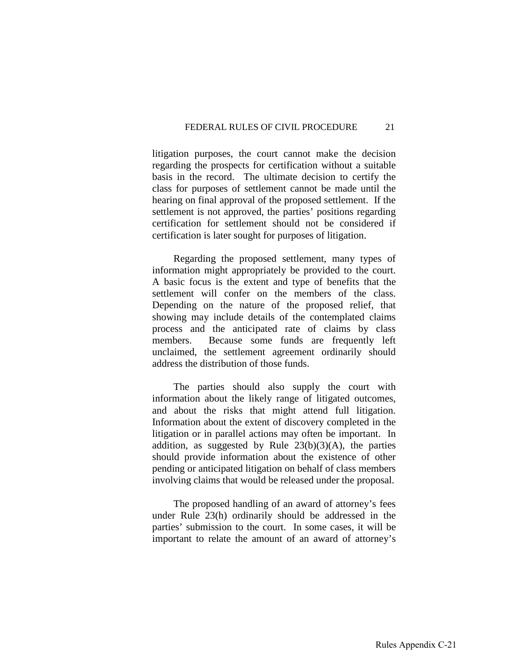litigation purposes, the court cannot make the decision regarding the prospects for certification without a suitable basis in the record. The ultimate decision to certify the class for purposes of settlement cannot be made until the hearing on final approval of the proposed settlement. If the settlement is not approved, the parties' positions regarding certification for settlement should not be considered if certification is later sought for purposes of litigation.

Regarding the proposed settlement, many types of information might appropriately be provided to the court. A basic focus is the extent and type of benefits that the settlement will confer on the members of the class. Depending on the nature of the proposed relief, that showing may include details of the contemplated claims process and the anticipated rate of claims by class members. Because some funds are frequently left unclaimed, the settlement agreement ordinarily should address the distribution of those funds.

The parties should also supply the court with information about the likely range of litigated outcomes, and about the risks that might attend full litigation. Information about the extent of discovery completed in the litigation or in parallel actions may often be important. In addition, as suggested by Rule  $23(b)(3)(A)$ , the parties should provide information about the existence of other pending or anticipated litigation on behalf of class members involving claims that would be released under the proposal.

The proposed handling of an award of attorney's fees under Rule 23(h) ordinarily should be addressed in the parties' submission to the court. In some cases, it will be important to relate the amount of an award of attorney's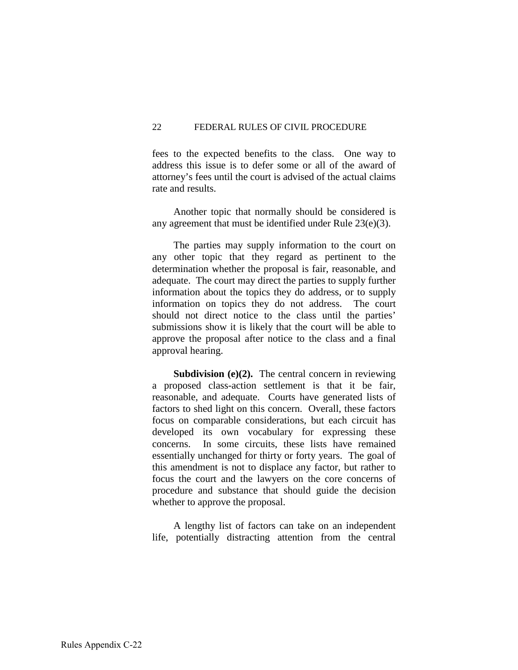fees to the expected benefits to the class. One way to address this issue is to defer some or all of the award of attorney's fees until the court is advised of the actual claims rate and results.

Another topic that normally should be considered is any agreement that must be identified under Rule 23(e)(3).

The parties may supply information to the court on any other topic that they regard as pertinent to the determination whether the proposal is fair, reasonable, and adequate. The court may direct the parties to supply further information about the topics they do address, or to supply information on topics they do not address. The court should not direct notice to the class until the parties' submissions show it is likely that the court will be able to approve the proposal after notice to the class and a final approval hearing.

**Subdivision (e)(2).** The central concern in reviewing a proposed class-action settlement is that it be fair, reasonable, and adequate. Courts have generated lists of factors to shed light on this concern. Overall, these factors focus on comparable considerations, but each circuit has developed its own vocabulary for expressing these concerns. In some circuits, these lists have remained essentially unchanged for thirty or forty years. The goal of this amendment is not to displace any factor, but rather to focus the court and the lawyers on the core concerns of procedure and substance that should guide the decision whether to approve the proposal.

A lengthy list of factors can take on an independent life, potentially distracting attention from the central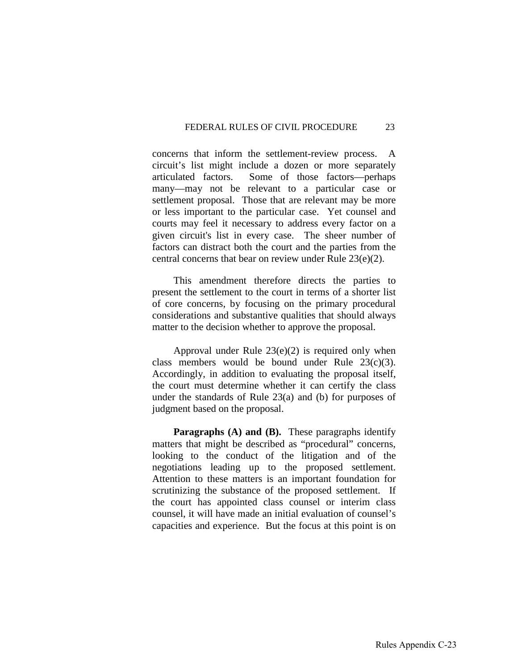concerns that inform the settlement-review process. A circuit's list might include a dozen or more separately articulated factors. Some of those factors—perhaps many—may not be relevant to a particular case or settlement proposal. Those that are relevant may be more or less important to the particular case. Yet counsel and courts may feel it necessary to address every factor on a given circuit's list in every case. The sheer number of factors can distract both the court and the parties from the central concerns that bear on review under Rule 23(e)(2).

This amendment therefore directs the parties to present the settlement to the court in terms of a shorter list of core concerns, by focusing on the primary procedural considerations and substantive qualities that should always matter to the decision whether to approve the proposal.

Approval under Rule  $23(e)(2)$  is required only when class members would be bound under Rule  $23(c)(3)$ . Accordingly, in addition to evaluating the proposal itself, the court must determine whether it can certify the class under the standards of Rule 23(a) and (b) for purposes of judgment based on the proposal.

**Paragraphs (A) and (B).** These paragraphs identify matters that might be described as "procedural" concerns, looking to the conduct of the litigation and of the negotiations leading up to the proposed settlement. Attention to these matters is an important foundation for scrutinizing the substance of the proposed settlement. If the court has appointed class counsel or interim class counsel, it will have made an initial evaluation of counsel's capacities and experience. But the focus at this point is on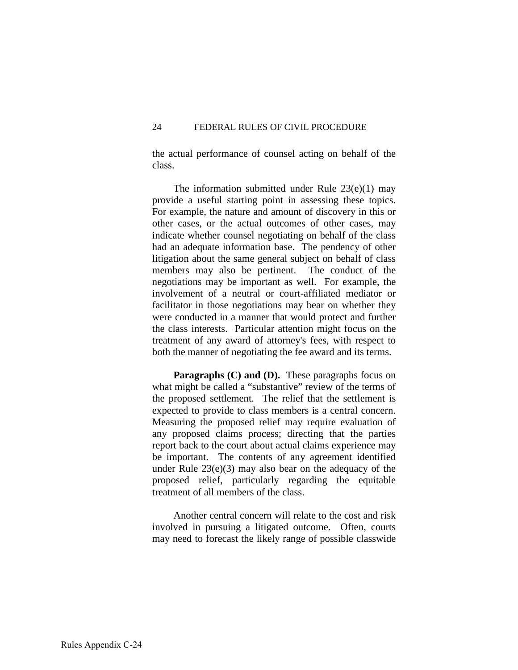the actual performance of counsel acting on behalf of the class.

The information submitted under Rule 23(e)(1) may provide a useful starting point in assessing these topics. For example, the nature and amount of discovery in this or other cases, or the actual outcomes of other cases, may indicate whether counsel negotiating on behalf of the class had an adequate information base. The pendency of other litigation about the same general subject on behalf of class members may also be pertinent. The conduct of the negotiations may be important as well. For example, the involvement of a neutral or court-affiliated mediator or facilitator in those negotiations may bear on whether they were conducted in a manner that would protect and further the class interests. Particular attention might focus on the treatment of any award of attorney's fees, with respect to both the manner of negotiating the fee award and its terms.

**Paragraphs (C) and (D).** These paragraphs focus on what might be called a "substantive" review of the terms of the proposed settlement. The relief that the settlement is expected to provide to class members is a central concern. Measuring the proposed relief may require evaluation of any proposed claims process; directing that the parties report back to the court about actual claims experience may be important. The contents of any agreement identified under Rule 23(e)(3) may also bear on the adequacy of the proposed relief, particularly regarding the equitable treatment of all members of the class.

Another central concern will relate to the cost and risk involved in pursuing a litigated outcome. Often, courts may need to forecast the likely range of possible classwide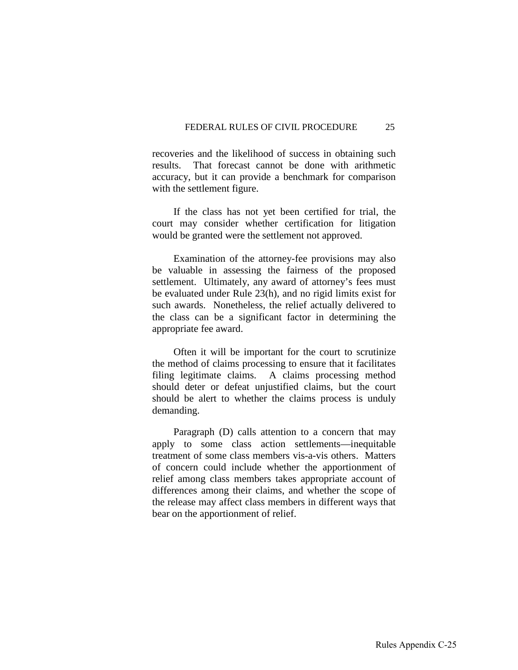recoveries and the likelihood of success in obtaining such results. That forecast cannot be done with arithmetic accuracy, but it can provide a benchmark for comparison with the settlement figure.

If the class has not yet been certified for trial, the court may consider whether certification for litigation would be granted were the settlement not approved.

Examination of the attorney-fee provisions may also be valuable in assessing the fairness of the proposed settlement. Ultimately, any award of attorney's fees must be evaluated under Rule 23(h), and no rigid limits exist for such awards. Nonetheless, the relief actually delivered to the class can be a significant factor in determining the appropriate fee award.

Often it will be important for the court to scrutinize the method of claims processing to ensure that it facilitates filing legitimate claims. A claims processing method should deter or defeat unjustified claims, but the court should be alert to whether the claims process is unduly demanding.

Paragraph (D) calls attention to a concern that may apply to some class action settlements—inequitable treatment of some class members vis-a-vis others. Matters of concern could include whether the apportionment of relief among class members takes appropriate account of differences among their claims, and whether the scope of the release may affect class members in different ways that bear on the apportionment of relief.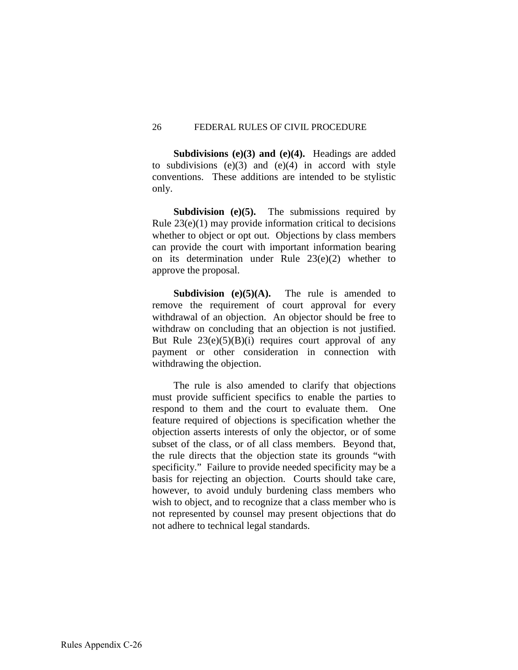**Subdivisions (e)(3) and (e)(4).** Headings are added to subdivisions  $(e)(3)$  and  $(e)(4)$  in accord with style conventions. These additions are intended to be stylistic only.

**Subdivision (e)(5).** The submissions required by Rule  $23(e)(1)$  may provide information critical to decisions whether to object or opt out. Objections by class members can provide the court with important information bearing on its determination under Rule 23(e)(2) whether to approve the proposal.

**Subdivision** (e)(5)(A). The rule is amended to remove the requirement of court approval for every withdrawal of an objection. An objector should be free to withdraw on concluding that an objection is not justified. But Rule  $23(e)(5)(B)(i)$  requires court approval of any payment or other consideration in connection with withdrawing the objection.

The rule is also amended to clarify that objections must provide sufficient specifics to enable the parties to respond to them and the court to evaluate them. One feature required of objections is specification whether the objection asserts interests of only the objector, or of some subset of the class, or of all class members. Beyond that, the rule directs that the objection state its grounds "with specificity." Failure to provide needed specificity may be a basis for rejecting an objection. Courts should take care, however, to avoid unduly burdening class members who wish to object, and to recognize that a class member who is not represented by counsel may present objections that do not adhere to technical legal standards.

Rules Appendix C-26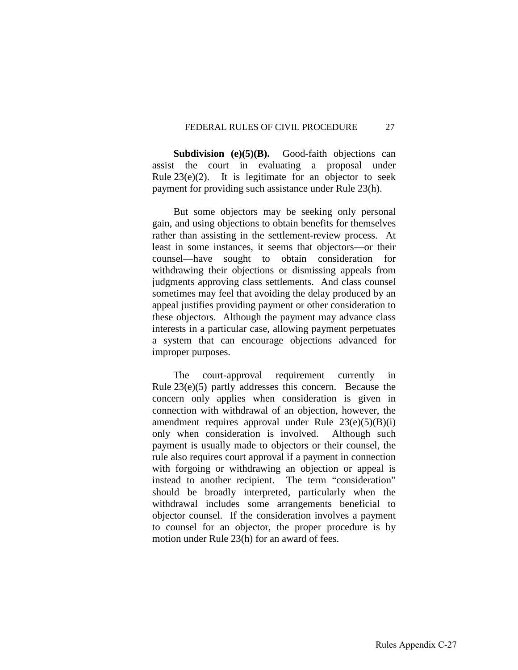**Subdivision** (e)(5)(B). Good-faith objections can assist the court in evaluating a proposal under Rule  $23(e)(2)$ . It is legitimate for an objector to seek payment for providing such assistance under Rule 23(h).

But some objectors may be seeking only personal gain, and using objections to obtain benefits for themselves rather than assisting in the settlement-review process. At least in some instances, it seems that objectors—or their counsel—have sought to obtain consideration for withdrawing their objections or dismissing appeals from judgments approving class settlements. And class counsel sometimes may feel that avoiding the delay produced by an appeal justifies providing payment or other consideration to these objectors. Although the payment may advance class interests in a particular case, allowing payment perpetuates a system that can encourage objections advanced for improper purposes.

The court-approval requirement currently in Rule 23(e)(5) partly addresses this concern. Because the concern only applies when consideration is given in connection with withdrawal of an objection, however, the amendment requires approval under Rule  $23(e)(5)(B)(i)$ only when consideration is involved. Although such payment is usually made to objectors or their counsel, the rule also requires court approval if a payment in connection with forgoing or withdrawing an objection or appeal is instead to another recipient. The term "consideration" should be broadly interpreted, particularly when the withdrawal includes some arrangements beneficial to objector counsel. If the consideration involves a payment to counsel for an objector, the proper procedure is by motion under Rule 23(h) for an award of fees.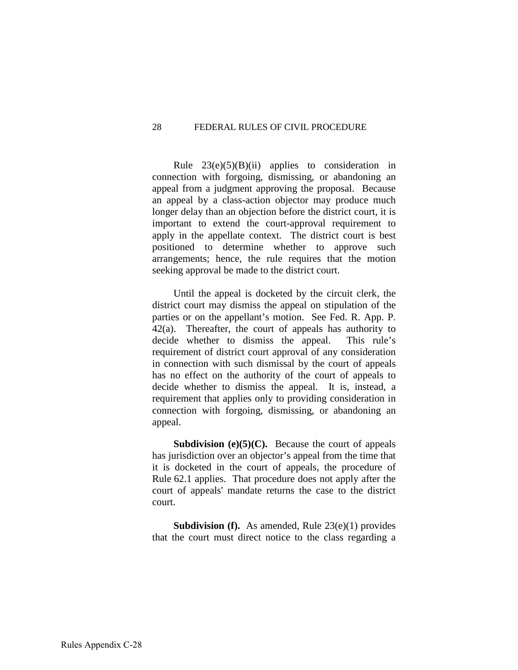Rule  $23(e)(5)(B)(ii)$  applies to consideration in connection with forgoing, dismissing, or abandoning an appeal from a judgment approving the proposal. Because an appeal by a class-action objector may produce much longer delay than an objection before the district court, it is important to extend the court-approval requirement to apply in the appellate context. The district court is best positioned to determine whether to approve such arrangements; hence, the rule requires that the motion seeking approval be made to the district court.

Until the appeal is docketed by the circuit clerk, the district court may dismiss the appeal on stipulation of the parties or on the appellant's motion. See Fed. R. App. P. 42(a). Thereafter, the court of appeals has authority to decide whether to dismiss the appeal. This rule's requirement of district court approval of any consideration in connection with such dismissal by the court of appeals has no effect on the authority of the court of appeals to decide whether to dismiss the appeal. It is, instead, a requirement that applies only to providing consideration in connection with forgoing, dismissing, or abandoning an appeal.

**Subdivision (e)(5)(C).** Because the court of appeals has jurisdiction over an objector's appeal from the time that it is docketed in the court of appeals, the procedure of Rule 62.1 applies. That procedure does not apply after the court of appeals' mandate returns the case to the district court.

**Subdivision (f).** As amended, Rule 23(e)(1) provides that the court must direct notice to the class regarding a